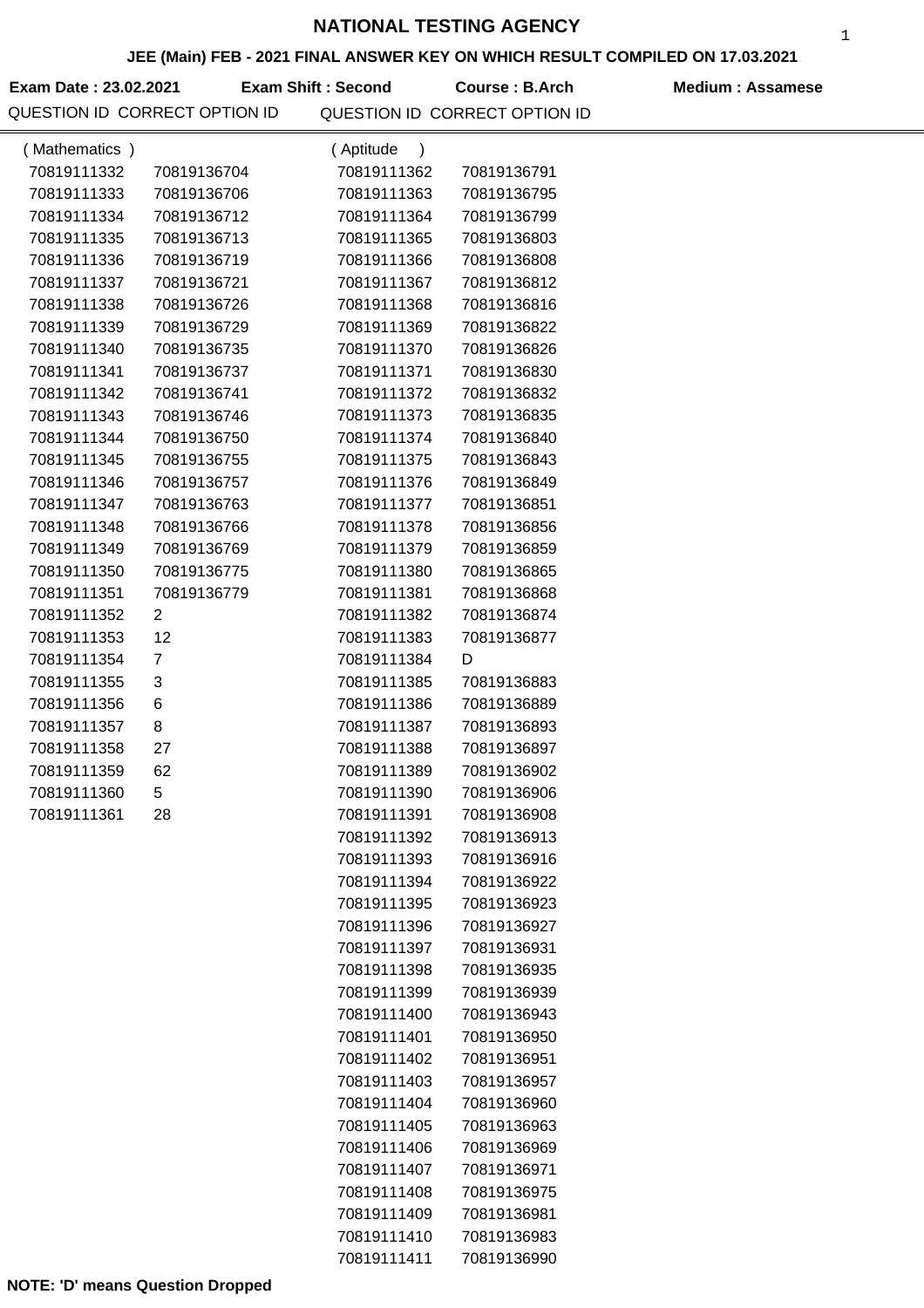### **JEE (Main) FEB - 2021 FINAL ANSWER KEY ON WHICH RESULT COMPILED ON 17.03.2021**

Exam Date : 23.02.2021 **Exam Shift : Second** Course : B.Arch Medium : Assamese **Exam Shift : Second**

|               | שו יוסו וס וסאומגבטו סו ווסוז שב |                            | שטבט ווטוז וט טטאנוגבטו טו ווטוז וט |  |
|---------------|----------------------------------|----------------------------|-------------------------------------|--|
| (Mathematics) |                                  | (Aptitude<br>$\lambda$     |                                     |  |
| 70819111332   | 70819136704                      | 70819111362                | 70819136791                         |  |
| 70819111333   | 70819136706                      | 70819111363                | 70819136795                         |  |
| 70819111334   | 70819136712                      | 70819111364                | 70819136799                         |  |
| 70819111335   | 70819136713                      | 70819111365                | 70819136803                         |  |
| 70819111336   | 70819136719                      | 70819111366                | 70819136808                         |  |
| 70819111337   | 70819136721                      | 70819111367                | 70819136812                         |  |
| 70819111338   | 70819136726                      | 70819111368                | 70819136816                         |  |
| 70819111339   | 70819136729                      | 70819111369                | 70819136822                         |  |
| 70819111340   | 70819136735                      | 70819111370                | 70819136826                         |  |
| 70819111341   | 70819136737                      | 70819111371                | 70819136830                         |  |
| 70819111342   | 70819136741                      | 70819111372                | 70819136832                         |  |
| 70819111343   | 70819136746                      | 70819111373                | 70819136835                         |  |
| 70819111344   | 70819136750                      | 70819111374                | 70819136840                         |  |
| 70819111345   | 70819136755                      | 70819111375                | 70819136843                         |  |
| 70819111346   | 70819136757                      | 70819111376                | 70819136849                         |  |
| 70819111347   | 70819136763                      | 70819111377                | 70819136851                         |  |
| 70819111348   | 70819136766                      | 70819111378                | 70819136856                         |  |
| 70819111349   | 70819136769                      | 70819111379                | 70819136859                         |  |
| 70819111350   | 70819136775                      | 70819111380                | 70819136865                         |  |
| 70819111351   | 70819136779                      | 70819111381                | 70819136868                         |  |
| 70819111352   | $\overline{c}$                   | 70819111382                | 70819136874                         |  |
| 70819111353   | 12                               | 70819111383                | 70819136877                         |  |
| 70819111354   | $\overline{7}$                   | 70819111384                | D                                   |  |
| 70819111355   | 3                                | 70819111385                | 70819136883                         |  |
| 70819111356   | 6                                | 70819111386                | 70819136889                         |  |
| 70819111357   | 8                                | 70819111387                | 70819136893                         |  |
| 70819111358   | 27                               | 70819111388                | 70819136897                         |  |
| 70819111359   | 62                               | 70819111389                | 70819136902                         |  |
| 70819111360   | 5                                | 70819111390                | 70819136906                         |  |
| 70819111361   | 28                               | 70819111391                | 70819136908                         |  |
|               |                                  | 70819111392                | 70819136913                         |  |
|               |                                  | 70819111393                | 70819136916                         |  |
|               |                                  | 70819111394                | 70819136922                         |  |
|               |                                  | 70819111395                | 70819136923                         |  |
|               |                                  | 70819111396                | 70819136927                         |  |
|               |                                  | 70819111397                | 70819136931                         |  |
|               |                                  | 70819111398                | 70819136935                         |  |
|               |                                  | 70819111399<br>70819111400 | 70819136939                         |  |
|               |                                  |                            | 70819136943                         |  |
|               |                                  | 70819111401                | 70819136950                         |  |
|               |                                  | 70819111402                | 70819136951                         |  |
|               |                                  | 70819111403                | 70819136957                         |  |
|               |                                  | 70819111404<br>70819111405 | 70819136960<br>70819136963          |  |
|               |                                  | 70819111406                | 70819136969                         |  |
|               |                                  | 70819111407                | 70819136971                         |  |
|               |                                  | 70819111408                | 70819136975                         |  |
|               |                                  | 70819111409                | 70819136981                         |  |
|               |                                  | 70819111410                | 70819136983                         |  |
|               |                                  | 70819111411                | 70819136990                         |  |
|               |                                  |                            |                                     |  |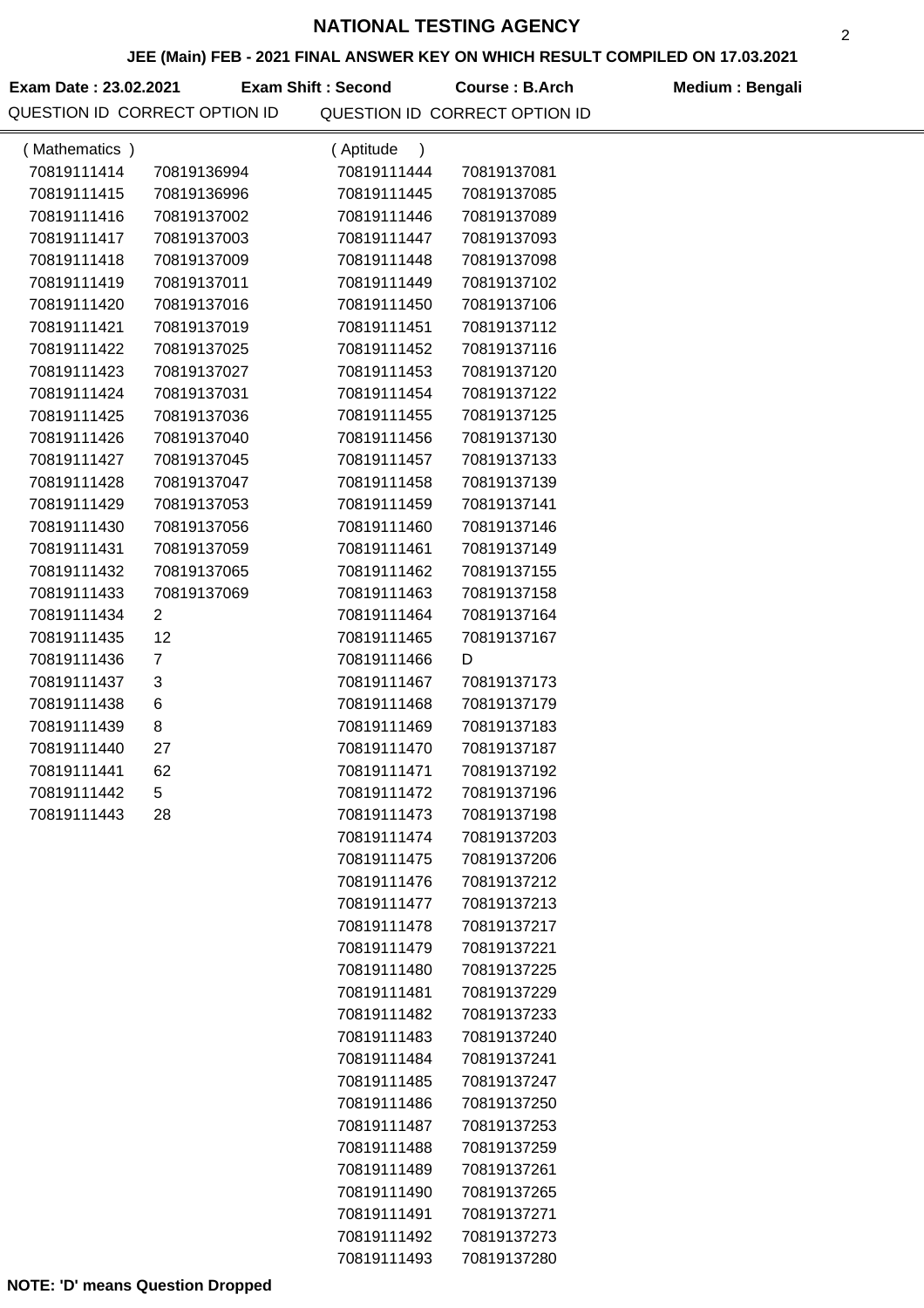## **JEE (Main) FEB - 2021 FINAL ANSWER KEY ON WHICH RESULT COMPILED ON 17.03.2021**

Exam Date : 23.02.2021 Exam Shift : Second Course : B.Arch Medium : Bengali QUESTION ID CORRECT OPTION ID QUESTION ID CORRECT OPTION ID

| (Mathematics) |                | (Aptitude<br>$\lambda$     |                            |  |
|---------------|----------------|----------------------------|----------------------------|--|
| 70819111414   | 70819136994    | 70819111444                | 70819137081                |  |
| 70819111415   | 70819136996    | 70819111445                | 70819137085                |  |
| 70819111416   | 70819137002    | 70819111446                | 70819137089                |  |
| 70819111417   | 70819137003    | 70819111447                | 70819137093                |  |
| 70819111418   | 70819137009    | 70819111448                | 70819137098                |  |
| 70819111419   | 70819137011    | 70819111449                | 70819137102                |  |
| 70819111420   | 70819137016    | 70819111450                | 70819137106                |  |
| 70819111421   | 70819137019    | 70819111451                | 70819137112                |  |
| 70819111422   | 70819137025    | 70819111452                | 70819137116                |  |
| 70819111423   | 70819137027    | 70819111453                | 70819137120                |  |
| 70819111424   | 70819137031    | 70819111454                | 70819137122                |  |
| 70819111425   | 70819137036    | 70819111455                | 70819137125                |  |
| 70819111426   | 70819137040    | 70819111456                | 70819137130                |  |
| 70819111427   | 70819137045    | 70819111457                | 70819137133                |  |
| 70819111428   | 70819137047    | 70819111458                | 70819137139                |  |
| 70819111429   | 70819137053    | 70819111459                | 70819137141                |  |
| 70819111430   | 70819137056    | 70819111460                | 70819137146                |  |
| 70819111431   | 70819137059    | 70819111461                | 70819137149                |  |
| 70819111432   | 70819137065    | 70819111462                | 70819137155                |  |
| 70819111433   | 70819137069    | 70819111463                | 70819137158                |  |
| 70819111434   | $\overline{2}$ | 70819111464                | 70819137164                |  |
| 70819111435   | 12             | 70819111465                | 70819137167                |  |
| 70819111436   | $\overline{7}$ | 70819111466                | D                          |  |
| 70819111437   | 3              | 70819111467                | 70819137173                |  |
| 70819111438   | 6              | 70819111468                | 70819137179                |  |
| 70819111439   | 8              | 70819111469                | 70819137183                |  |
| 70819111440   | 27             | 70819111470                | 70819137187                |  |
| 70819111441   | 62             | 70819111471                | 70819137192                |  |
| 70819111442   | 5              | 70819111472                | 70819137196                |  |
| 70819111443   | 28             | 70819111473                | 70819137198                |  |
|               |                | 70819111474                | 70819137203                |  |
|               |                | 70819111475                | 70819137206                |  |
|               |                | 70819111476                | 70819137212                |  |
|               |                | 70819111477                | 70819137213                |  |
|               |                | 70819111478                | 70819137217                |  |
|               |                | 70819111479                | 70819137221                |  |
|               |                | 70819111480                | 70819137225                |  |
|               |                | 70819111481                | 70819137229                |  |
|               |                | 70819111482                | 70819137233                |  |
|               |                | 70819111483<br>70819111484 | 70819137240<br>70819137241 |  |
|               |                | 70819111485                | 70819137247                |  |
|               |                |                            |                            |  |
|               |                | 70819111486<br>70819111487 | 70819137250<br>70819137253 |  |
|               |                | 70819111488                | 70819137259                |  |
|               |                | 70819111489                | 70819137261                |  |
|               |                | 70819111490                | 70819137265                |  |
|               |                | 70819111491                | 70819137271                |  |
|               |                | 70819111492                | 70819137273                |  |
|               |                | 70819111493                | 70819137280                |  |
|               |                |                            |                            |  |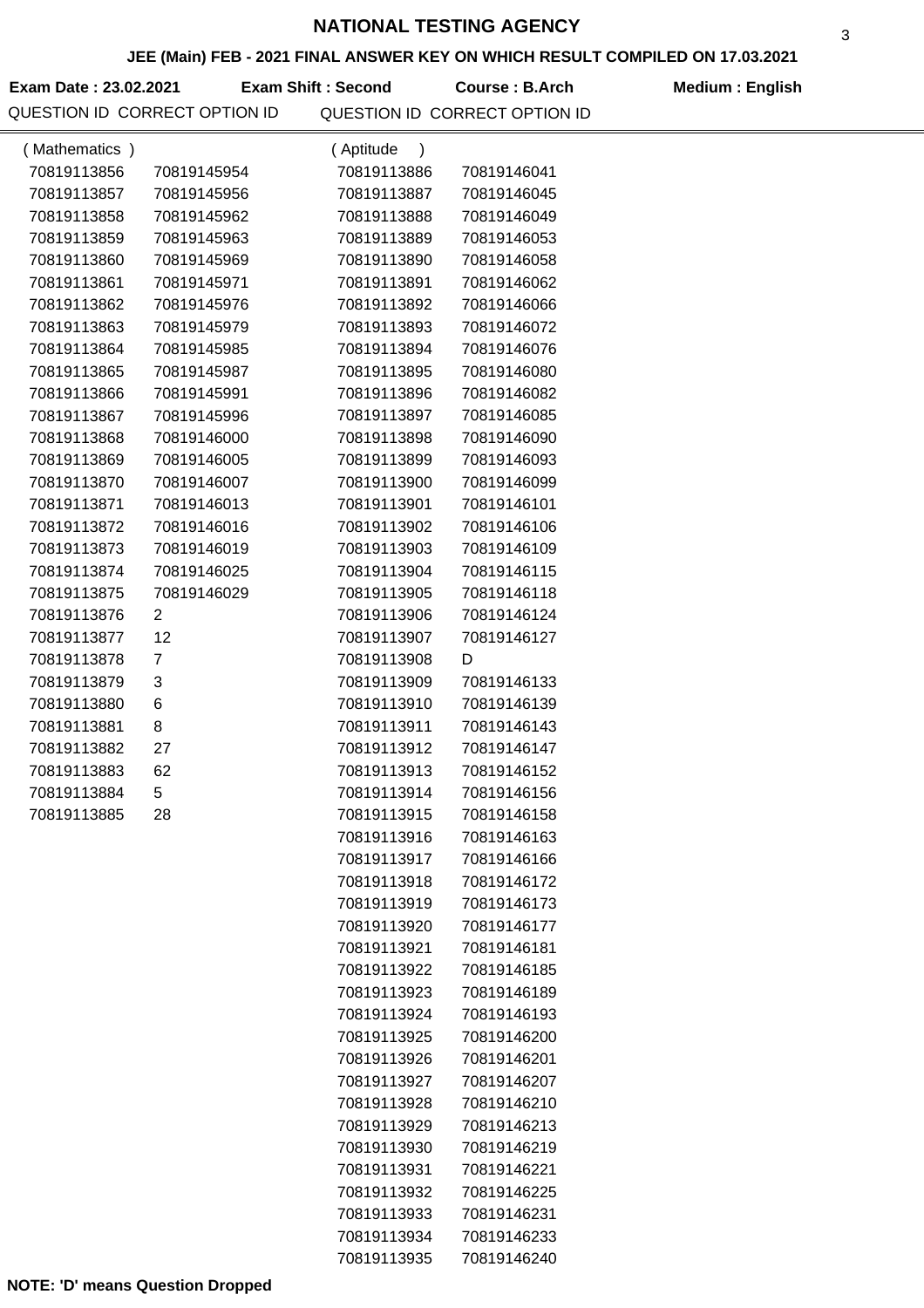### **JEE (Main) FEB - 2021 FINAL ANSWER KEY ON WHICH RESULT COMPILED ON 17.03.2021**

**Exam Date : 23.02.2021 Course : B.Arch Medium : English Exam Shift : Second**

| (Mathematics) |                | (Aptitude<br>$\lambda$ |             |  |
|---------------|----------------|------------------------|-------------|--|
| 70819113856   | 70819145954    | 70819113886            | 70819146041 |  |
| 70819113857   | 70819145956    | 70819113887            | 70819146045 |  |
| 70819113858   | 70819145962    | 70819113888            | 70819146049 |  |
| 70819113859   | 70819145963    | 70819113889            | 70819146053 |  |
| 70819113860   | 70819145969    | 70819113890            | 70819146058 |  |
| 70819113861   | 70819145971    | 70819113891            | 70819146062 |  |
| 70819113862   | 70819145976    | 70819113892            | 70819146066 |  |
| 70819113863   | 70819145979    | 70819113893            | 70819146072 |  |
| 70819113864   | 70819145985    | 70819113894            | 70819146076 |  |
| 70819113865   | 70819145987    | 70819113895            | 70819146080 |  |
| 70819113866   | 70819145991    | 70819113896            | 70819146082 |  |
| 70819113867   | 70819145996    | 70819113897            | 70819146085 |  |
| 70819113868   | 70819146000    | 70819113898            | 70819146090 |  |
| 70819113869   | 70819146005    | 70819113899            | 70819146093 |  |
| 70819113870   | 70819146007    | 70819113900            | 70819146099 |  |
| 70819113871   | 70819146013    | 70819113901            | 70819146101 |  |
| 70819113872   | 70819146016    | 70819113902            | 70819146106 |  |
| 70819113873   | 70819146019    | 70819113903            | 70819146109 |  |
| 70819113874   | 70819146025    | 70819113904            | 70819146115 |  |
| 70819113875   | 70819146029    | 70819113905            | 70819146118 |  |
| 70819113876   | $\overline{2}$ | 70819113906            | 70819146124 |  |
| 70819113877   | 12             | 70819113907            | 70819146127 |  |
| 70819113878   | 7              | 70819113908            | D           |  |
| 70819113879   | 3              | 70819113909            | 70819146133 |  |
| 70819113880   | 6              | 70819113910            | 70819146139 |  |
| 70819113881   | 8              | 70819113911            | 70819146143 |  |
| 70819113882   | 27             | 70819113912            | 70819146147 |  |
| 70819113883   | 62             | 70819113913            | 70819146152 |  |
| 70819113884   | 5              | 70819113914            | 70819146156 |  |
| 70819113885   | 28             | 70819113915            | 70819146158 |  |
|               |                | 70819113916            | 70819146163 |  |
|               |                | 70819113917            | 70819146166 |  |
|               |                | 70819113918            | 70819146172 |  |
|               |                | 70819113919            | 70819146173 |  |
|               |                | 70819113920            | 70819146177 |  |
|               |                | 70819113921            | 70819146181 |  |
|               |                | 70819113922            | 70819146185 |  |
|               |                | 70819113923            | 70819146189 |  |
|               |                | 70819113924            | 70819146193 |  |
|               |                | 70819113925            | 70819146200 |  |
|               |                | 70819113926            | 70819146201 |  |
|               |                | 70819113927            | 70819146207 |  |
|               |                | 70819113928            | 70819146210 |  |
|               |                | 70819113929            | 70819146213 |  |
|               |                | 70819113930            | 70819146219 |  |
|               |                | 70819113931            | 70819146221 |  |
|               |                | 70819113932            | 70819146225 |  |
|               |                | 70819113933            | 70819146231 |  |
|               |                | 70819113934            | 70819146233 |  |
|               |                | 70819113935            | 70819146240 |  |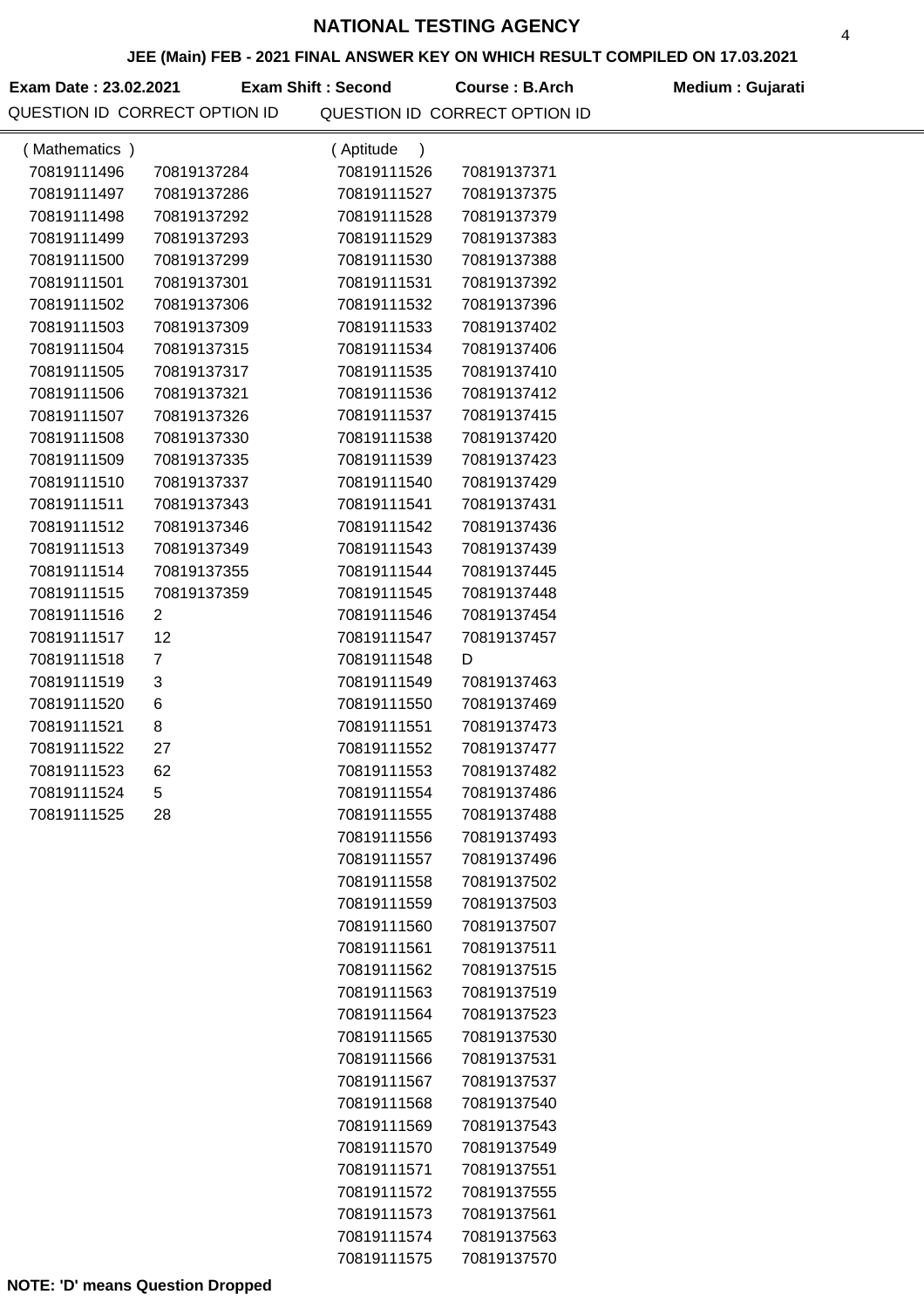### **JEE (Main) FEB - 2021 FINAL ANSWER KEY ON WHICH RESULT COMPILED ON 17.03.2021**

Exam Date : 23.02.2021 Exam Shift : Second Course : B.Arch Medium : Gujarati QUESTION ID CORRECT OPTION ID QUESTION ID CORRECT OPTION ID

| (Mathematics) |                | (Aptitude<br>$\lambda$     |                            |
|---------------|----------------|----------------------------|----------------------------|
| 70819111496   | 70819137284    | 70819111526                | 70819137371                |
| 70819111497   | 70819137286    | 70819111527                | 70819137375                |
| 70819111498   | 70819137292    | 70819111528                | 70819137379                |
| 70819111499   | 70819137293    | 70819111529                | 70819137383                |
| 70819111500   | 70819137299    | 70819111530                | 70819137388                |
| 70819111501   | 70819137301    | 70819111531                | 70819137392                |
| 70819111502   | 70819137306    | 70819111532                | 70819137396                |
| 70819111503   | 70819137309    | 70819111533                | 70819137402                |
| 70819111504   | 70819137315    | 70819111534                | 70819137406                |
| 70819111505   | 70819137317    | 70819111535                | 70819137410                |
| 70819111506   | 70819137321    | 70819111536                | 70819137412                |
| 70819111507   | 70819137326    | 70819111537                | 70819137415                |
| 70819111508   | 70819137330    | 70819111538                | 70819137420                |
| 70819111509   | 70819137335    | 70819111539                | 70819137423                |
| 70819111510   | 70819137337    | 70819111540                | 70819137429                |
| 70819111511   | 70819137343    | 70819111541                | 70819137431                |
| 70819111512   | 70819137346    | 70819111542                | 70819137436                |
| 70819111513   | 70819137349    | 70819111543                | 70819137439                |
| 70819111514   | 70819137355    | 70819111544                | 70819137445                |
| 70819111515   | 70819137359    | 70819111545                | 70819137448                |
| 70819111516   | $\overline{2}$ | 70819111546                | 70819137454                |
| 70819111517   | 12             | 70819111547                | 70819137457                |
| 70819111518   | $\overline{7}$ | 70819111548                | D                          |
| 70819111519   | 3              | 70819111549                | 70819137463                |
| 70819111520   | 6              | 70819111550                | 70819137469                |
| 70819111521   | 8              | 70819111551                | 70819137473                |
| 70819111522   | 27             | 70819111552                | 70819137477                |
| 70819111523   | 62             | 70819111553                | 70819137482                |
| 70819111524   | 5              | 70819111554                | 70819137486                |
| 70819111525   | 28             | 70819111555                | 70819137488                |
|               |                | 70819111556                | 70819137493                |
|               |                | 70819111557                | 70819137496                |
|               |                | 70819111558                | 70819137502                |
|               |                | 70819111559                | 70819137503                |
|               |                | 70819111560                | 70819137507                |
|               |                | 70819111561                | 70819137511                |
|               |                | 70819111562                | 70819137515                |
|               |                | 70819111563                | 70819137519                |
|               |                | 70819111564                | 70819137523                |
|               |                | 70819111565                | 70819137530                |
|               |                | 70819111566                | 70819137531                |
|               |                | 70819111567                | 70819137537                |
|               |                | 70819111568<br>70819111569 | 70819137540                |
|               |                |                            | 70819137543<br>70819137549 |
|               |                | 70819111570<br>70819111571 | 70819137551                |
|               |                | 70819111572                | 70819137555                |
|               |                | 70819111573                | 70819137561                |
|               |                | 70819111574                | 70819137563                |
|               |                | 70819111575                | 70819137570                |
|               |                |                            |                            |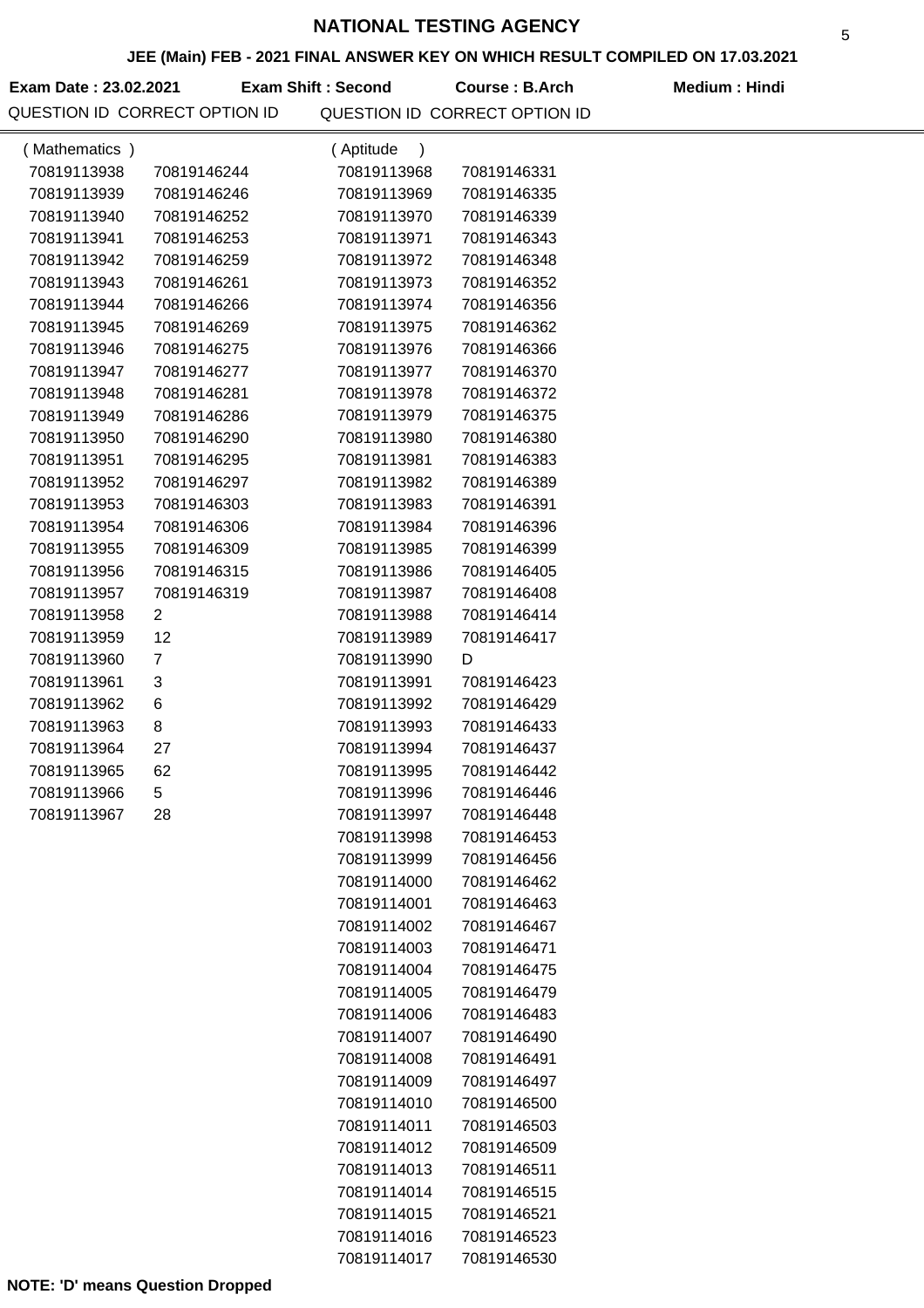### **JEE (Main) FEB - 2021 FINAL ANSWER KEY ON WHICH RESULT COMPILED ON 17.03.2021**

**Exam Date : 23.02.2021 Exam Shift : Second Course : B.Arch Medium : Hindi** 

| (Mathematics) |             | (Aptitude<br>$\lambda$ |             |  |
|---------------|-------------|------------------------|-------------|--|
| 70819113938   | 70819146244 | 70819113968            | 70819146331 |  |
| 70819113939   | 70819146246 | 70819113969            | 70819146335 |  |
| 70819113940   | 70819146252 | 70819113970            | 70819146339 |  |
| 70819113941   | 70819146253 | 70819113971            | 70819146343 |  |
| 70819113942   | 70819146259 | 70819113972            | 70819146348 |  |
| 70819113943   | 70819146261 | 70819113973            | 70819146352 |  |
| 70819113944   | 70819146266 | 70819113974            | 70819146356 |  |
| 70819113945   | 70819146269 | 70819113975            | 70819146362 |  |
| 70819113946   | 70819146275 | 70819113976            | 70819146366 |  |
| 70819113947   | 70819146277 | 70819113977            | 70819146370 |  |
| 70819113948   | 70819146281 | 70819113978            | 70819146372 |  |
| 70819113949   | 70819146286 | 70819113979            | 70819146375 |  |
| 70819113950   | 70819146290 | 70819113980            | 70819146380 |  |
| 70819113951   | 70819146295 | 70819113981            | 70819146383 |  |
| 70819113952   | 70819146297 | 70819113982            | 70819146389 |  |
| 70819113953   | 70819146303 | 70819113983            | 70819146391 |  |
| 70819113954   | 70819146306 | 70819113984            | 70819146396 |  |
| 70819113955   | 70819146309 | 70819113985            | 70819146399 |  |
| 70819113956   | 70819146315 | 70819113986            | 70819146405 |  |
| 70819113957   | 70819146319 | 70819113987            | 70819146408 |  |
| 70819113958   | 2           | 70819113988            | 70819146414 |  |
| 70819113959   | 12          | 70819113989            | 70819146417 |  |
| 70819113960   | 7           | 70819113990            | D           |  |
| 70819113961   | 3           | 70819113991            | 70819146423 |  |
| 70819113962   | 6           | 70819113992            | 70819146429 |  |
| 70819113963   | 8           | 70819113993            | 70819146433 |  |
| 70819113964   | 27          | 70819113994            | 70819146437 |  |
| 70819113965   | 62          | 70819113995            | 70819146442 |  |
| 70819113966   | 5           | 70819113996            | 70819146446 |  |
| 70819113967   | 28          | 70819113997            | 70819146448 |  |
|               |             | 70819113998            | 70819146453 |  |
|               |             | 70819113999            | 70819146456 |  |
|               |             | 70819114000            | 70819146462 |  |
|               |             | 70819114001            | 70819146463 |  |
|               |             | 70819114002            | 70819146467 |  |
|               |             | 70819114003            | 70819146471 |  |
|               |             | 70819114004            | 70819146475 |  |
|               |             | 70819114005            | 70819146479 |  |
|               |             | 70819114006            | 70819146483 |  |
|               |             | 70819114007            | 70819146490 |  |
|               |             | 70819114008            | 70819146491 |  |
|               |             | 70819114009            | 70819146497 |  |
|               |             | 70819114010            | 70819146500 |  |
|               |             | 70819114011            | 70819146503 |  |
|               |             | 70819114012            | 70819146509 |  |
|               |             | 70819114013            | 70819146511 |  |
|               |             | 70819114014            | 70819146515 |  |
|               |             | 70819114015            | 70819146521 |  |
|               |             | 70819114016            | 70819146523 |  |
|               |             | 70819114017            | 70819146530 |  |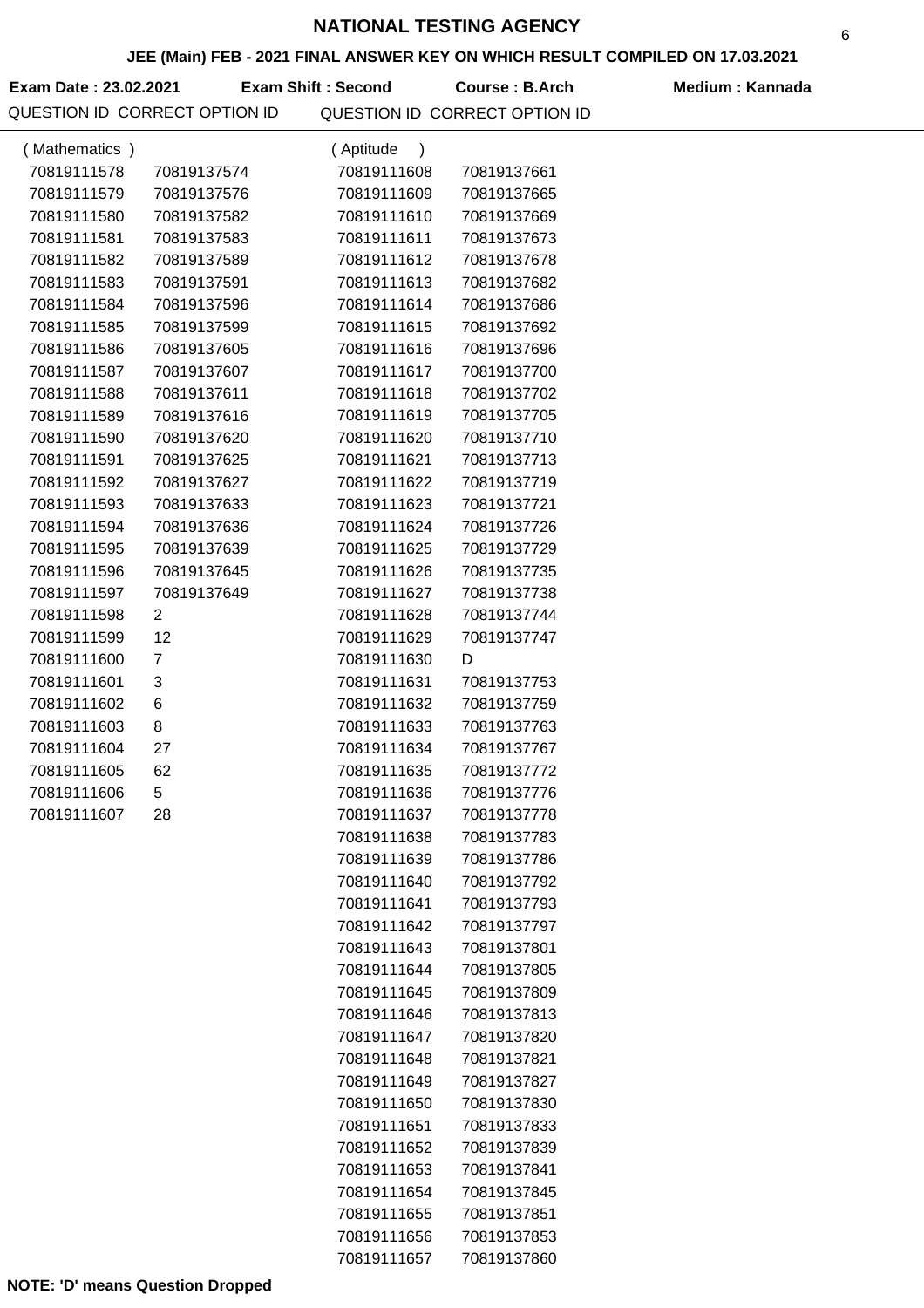### **JEE (Main) FEB - 2021 FINAL ANSWER KEY ON WHICH RESULT COMPILED ON 17.03.2021**

**Exam Date : 23.02.2021 Course : B.Arch Medium : Kannada Exam Shift : Second**

| (Mathematics) |                | (Aptitude<br>$\lambda$ |             |
|---------------|----------------|------------------------|-------------|
| 70819111578   | 70819137574    | 70819111608            | 70819137661 |
| 70819111579   | 70819137576    | 70819111609            | 70819137665 |
| 70819111580   | 70819137582    | 70819111610            | 70819137669 |
| 70819111581   | 70819137583    | 70819111611            | 70819137673 |
| 70819111582   | 70819137589    | 70819111612            | 70819137678 |
| 70819111583   | 70819137591    | 70819111613            | 70819137682 |
| 70819111584   | 70819137596    | 70819111614            | 70819137686 |
| 70819111585   | 70819137599    | 70819111615            | 70819137692 |
| 70819111586   | 70819137605    | 70819111616            | 70819137696 |
| 70819111587   | 70819137607    | 70819111617            | 70819137700 |
| 70819111588   | 70819137611    | 70819111618            | 70819137702 |
| 70819111589   | 70819137616    | 70819111619            | 70819137705 |
| 70819111590   | 70819137620    | 70819111620            | 70819137710 |
| 70819111591   | 70819137625    | 70819111621            | 70819137713 |
| 70819111592   | 70819137627    | 70819111622            | 70819137719 |
| 70819111593   | 70819137633    | 70819111623            | 70819137721 |
| 70819111594   | 70819137636    | 70819111624            | 70819137726 |
| 70819111595   | 70819137639    | 70819111625            | 70819137729 |
| 70819111596   | 70819137645    | 70819111626            | 70819137735 |
| 70819111597   | 70819137649    | 70819111627            | 70819137738 |
| 70819111598   | $\overline{2}$ | 70819111628            | 70819137744 |
| 70819111599   | 12             | 70819111629            | 70819137747 |
| 70819111600   | $\overline{7}$ | 70819111630            | D           |
| 70819111601   | 3              | 70819111631            | 70819137753 |
| 70819111602   | 6              | 70819111632            | 70819137759 |
| 70819111603   | 8              | 70819111633            | 70819137763 |
| 70819111604   | 27             | 70819111634            | 70819137767 |
| 70819111605   | 62             | 70819111635            | 70819137772 |
| 70819111606   | 5              | 70819111636            | 70819137776 |
| 70819111607   | 28             | 70819111637            | 70819137778 |
|               |                | 70819111638            | 70819137783 |
|               |                | 70819111639            | 70819137786 |
|               |                | 70819111640            | 70819137792 |
|               |                | 70819111641            | 70819137793 |
|               |                | 70819111642            | 70819137797 |
|               |                | 70819111643            | 70819137801 |
|               |                | 70819111644            | 70819137805 |
|               |                | 70819111645            | 70819137809 |
|               |                | 70819111646            | 70819137813 |
|               |                | 70819111647            | 70819137820 |
|               |                | 70819111648            | 70819137821 |
|               |                | 70819111649            | 70819137827 |
|               |                | 70819111650            | 70819137830 |
|               |                | 70819111651            | 70819137833 |
|               |                | 70819111652            | 70819137839 |
|               |                | 70819111653            | 70819137841 |
|               |                | 70819111654            | 70819137845 |
|               |                | 70819111655            | 70819137851 |
|               |                | 70819111656            | 70819137853 |
|               |                | 70819111657            | 70819137860 |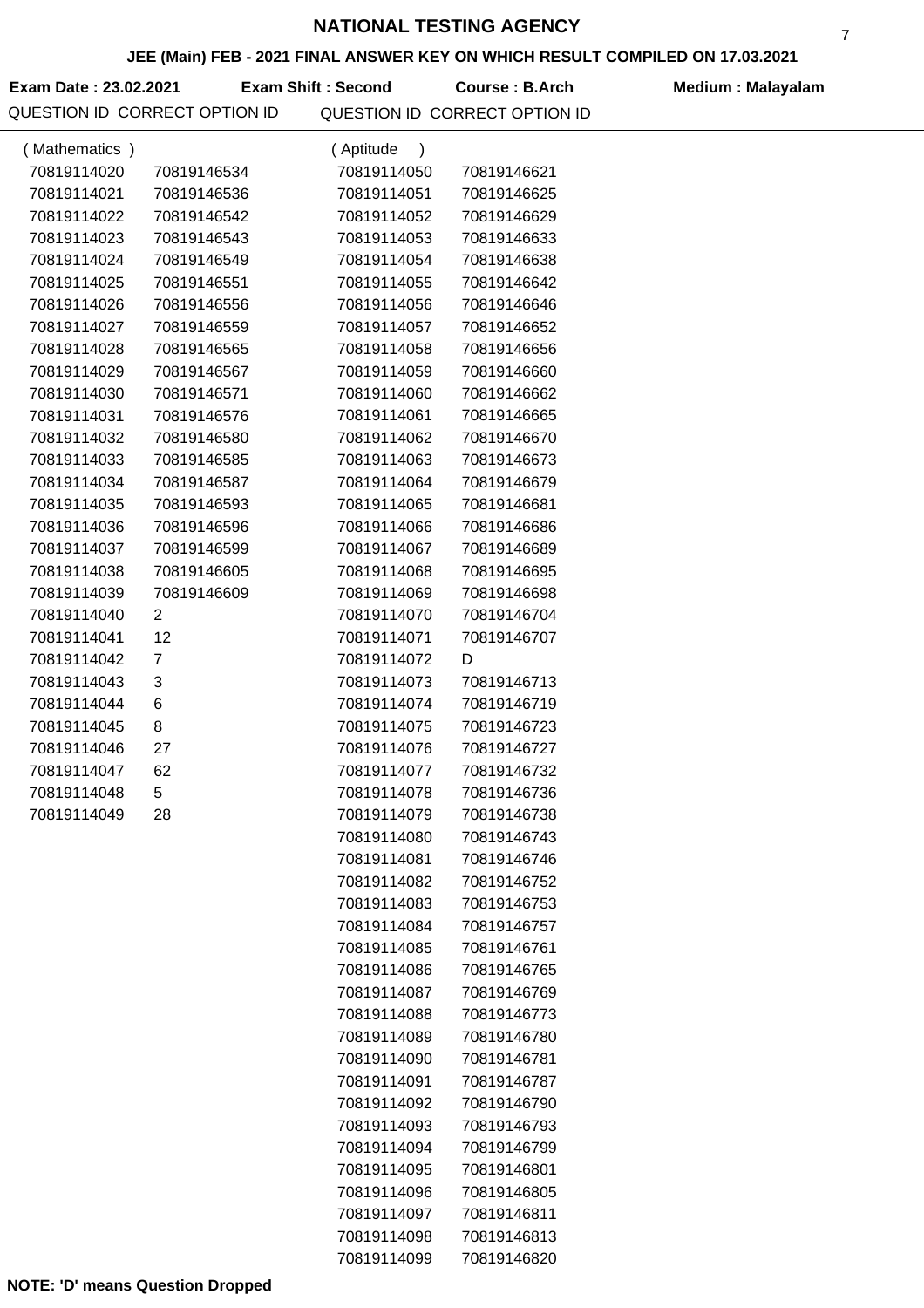#### **JEE (Main) FEB - 2021 FINAL ANSWER KEY ON WHICH RESULT COMPILED ON 17.03.2021**

Exam Date : 23.02.2021 **Exam Shift : Second** Course : B.Arch Medium : Malayalam

QUESTION ID CORRECT OPTION ID QUESTION ID CORRECT OPTION ID **Exam Shift : Second**

| (Mathematics) |                | (Aptitude<br>$\lambda$ |             |  |
|---------------|----------------|------------------------|-------------|--|
| 70819114020   | 70819146534    | 70819114050            | 70819146621 |  |
| 70819114021   | 70819146536    | 70819114051            | 70819146625 |  |
| 70819114022   | 70819146542    | 70819114052            | 70819146629 |  |
| 70819114023   | 70819146543    | 70819114053            | 70819146633 |  |
| 70819114024   | 70819146549    | 70819114054            | 70819146638 |  |
| 70819114025   | 70819146551    | 70819114055            | 70819146642 |  |
| 70819114026   | 70819146556    | 70819114056            | 70819146646 |  |
| 70819114027   | 70819146559    | 70819114057            | 70819146652 |  |
| 70819114028   | 70819146565    | 70819114058            | 70819146656 |  |
| 70819114029   | 70819146567    | 70819114059            | 70819146660 |  |
| 70819114030   | 70819146571    | 70819114060            | 70819146662 |  |
| 70819114031   | 70819146576    | 70819114061            | 70819146665 |  |
| 70819114032   | 70819146580    | 70819114062            | 70819146670 |  |
| 70819114033   | 70819146585    | 70819114063            | 70819146673 |  |
| 70819114034   | 70819146587    | 70819114064            | 70819146679 |  |
| 70819114035   | 70819146593    | 70819114065            | 70819146681 |  |
| 70819114036   | 70819146596    | 70819114066            | 70819146686 |  |
| 70819114037   | 70819146599    | 70819114067            | 70819146689 |  |
| 70819114038   | 70819146605    | 70819114068            | 70819146695 |  |
| 70819114039   | 70819146609    | 70819114069            | 70819146698 |  |
| 70819114040   | $\overline{2}$ | 70819114070            | 70819146704 |  |
| 70819114041   | 12             | 70819114071            | 70819146707 |  |
| 70819114042   | $\overline{7}$ | 70819114072            | D           |  |
| 70819114043   | 3              | 70819114073            | 70819146713 |  |
| 70819114044   | 6              | 70819114074            | 70819146719 |  |
| 70819114045   | 8              | 70819114075            | 70819146723 |  |
| 70819114046   | 27             | 70819114076            | 70819146727 |  |
| 70819114047   | 62             | 70819114077            | 70819146732 |  |
| 70819114048   | 5              | 70819114078            | 70819146736 |  |
| 70819114049   | 28             | 70819114079            | 70819146738 |  |
|               |                | 70819114080            | 70819146743 |  |
|               |                | 70819114081            | 70819146746 |  |
|               |                | 70819114082            | 70819146752 |  |
|               |                | 70819114083            | 70819146753 |  |
|               |                | 70819114084            | 70819146757 |  |
|               |                | 70819114085            | 70819146761 |  |
|               |                | 70819114086            | 70819146765 |  |
|               |                | 70819114087            | 70819146769 |  |
|               |                | 70819114088            | 70819146773 |  |
|               |                | 70819114089            | 70819146780 |  |
|               |                | 70819114090            | 70819146781 |  |
|               |                | 70819114091            | 70819146787 |  |
|               |                | 70819114092            | 70819146790 |  |
|               |                | 70819114093            | 70819146793 |  |
|               |                | 70819114094            | 70819146799 |  |
|               |                | 70819114095            | 70819146801 |  |
|               |                | 70819114096            | 70819146805 |  |
|               |                | 70819114097            | 70819146811 |  |
|               |                | 70819114098            | 70819146813 |  |
|               |                | 70819114099            | 70819146820 |  |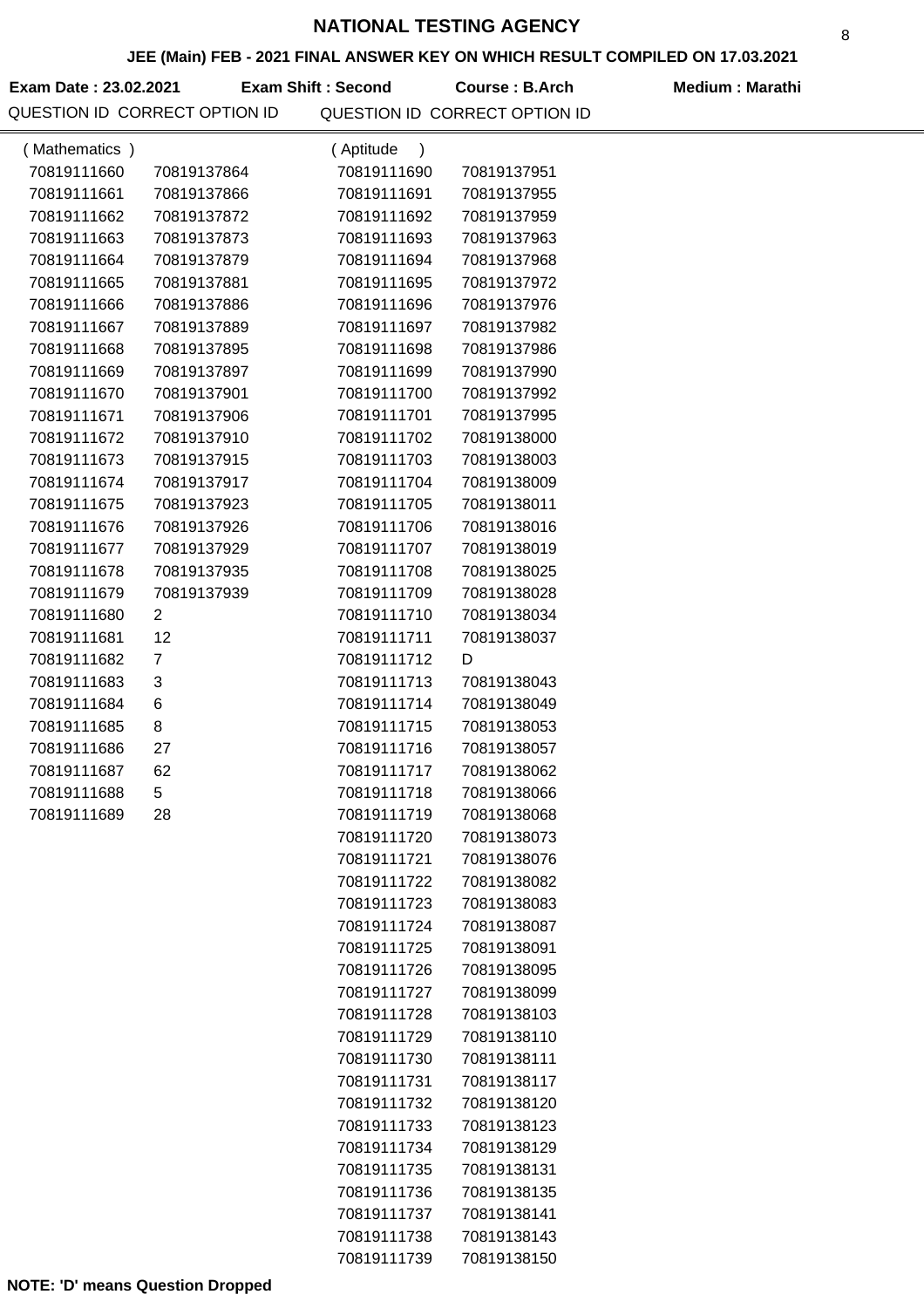#### **JEE (Main) FEB - 2021 FINAL ANSWER KEY ON WHICH RESULT COMPILED ON 17.03.2021**

Exam Date : 23.02.2021 **Exam Shift : Second Course : B.Arch Medium : Marathi** QUESTION ID CORRECT OPTION ID QUESTION ID CORRECT OPTION ID **Exam Shift : Second**

|               | <b>WESTION ID CONNECT OF HON ID</b> |                        | QUESTIUN IL GURREGT UPTIUN IL |  |
|---------------|-------------------------------------|------------------------|-------------------------------|--|
| (Mathematics) |                                     | (Aptitude<br>$\lambda$ |                               |  |
| 70819111660   | 70819137864                         | 70819111690            | 70819137951                   |  |
| 70819111661   | 70819137866                         | 70819111691            | 70819137955                   |  |
| 70819111662   | 70819137872                         | 70819111692            | 70819137959                   |  |
| 70819111663   | 70819137873                         | 70819111693            | 70819137963                   |  |
| 70819111664   | 70819137879                         | 70819111694            | 70819137968                   |  |
| 70819111665   | 70819137881                         | 70819111695            | 70819137972                   |  |
| 70819111666   | 70819137886                         | 70819111696            | 70819137976                   |  |
| 70819111667   | 70819137889                         | 70819111697            | 70819137982                   |  |
| 70819111668   | 70819137895                         | 70819111698            | 70819137986                   |  |
| 70819111669   | 70819137897                         | 70819111699            | 70819137990                   |  |
| 70819111670   | 70819137901                         | 70819111700            | 70819137992                   |  |
| 70819111671   | 70819137906                         | 70819111701            | 70819137995                   |  |
| 70819111672   | 70819137910                         | 70819111702            | 70819138000                   |  |
| 70819111673   | 70819137915                         | 70819111703            | 70819138003                   |  |
| 70819111674   | 70819137917                         | 70819111704            | 70819138009                   |  |
| 70819111675   | 70819137923                         | 70819111705            | 70819138011                   |  |
| 70819111676   | 70819137926                         | 70819111706            | 70819138016                   |  |
| 70819111677   | 70819137929                         | 70819111707            | 70819138019                   |  |
| 70819111678   | 70819137935                         | 70819111708            | 70819138025                   |  |
| 70819111679   | 70819137939                         | 70819111709            | 70819138028                   |  |
| 70819111680   | 2                                   | 70819111710            | 70819138034                   |  |
| 70819111681   | 12                                  | 70819111711            | 70819138037                   |  |
| 70819111682   | $\overline{7}$                      | 70819111712            | D                             |  |
| 70819111683   | 3                                   | 70819111713            | 70819138043                   |  |
| 70819111684   | 6                                   | 70819111714            | 70819138049                   |  |
| 70819111685   | 8                                   | 70819111715            | 70819138053                   |  |
| 70819111686   | 27                                  | 70819111716            | 70819138057                   |  |
| 70819111687   | 62                                  | 70819111717            | 70819138062                   |  |
| 70819111688   | 5                                   | 70819111718            | 70819138066                   |  |
| 70819111689   | 28                                  | 70819111719            | 70819138068                   |  |
|               |                                     | 70819111720            | 70819138073                   |  |
|               |                                     | 70819111721            | 70819138076                   |  |
|               |                                     | 70819111722            | 70819138082                   |  |
|               |                                     | 70819111723            | 70819138083                   |  |
|               |                                     | 70819111724            | 70819138087                   |  |
|               |                                     | 70819111725            | 70819138091                   |  |
|               |                                     | 70819111726            | 70819138095                   |  |
|               |                                     | 70819111727            | 70819138099                   |  |
|               |                                     | 70819111728            | 70819138103                   |  |
|               |                                     | 70819111729            | 70819138110                   |  |
|               |                                     | 70819111730            | 70819138111                   |  |
|               |                                     | 70819111731            | 70819138117                   |  |
|               |                                     | 70819111732            | 70819138120                   |  |
|               |                                     | 70819111733            | 70819138123                   |  |
|               |                                     | 70819111734            | 70819138129                   |  |
|               |                                     | 70819111735            | 70819138131                   |  |
|               |                                     | 70819111736            | 70819138135                   |  |
|               |                                     | 70819111737            | 70819138141                   |  |

70819111738 70819138143 70819111739 70819138150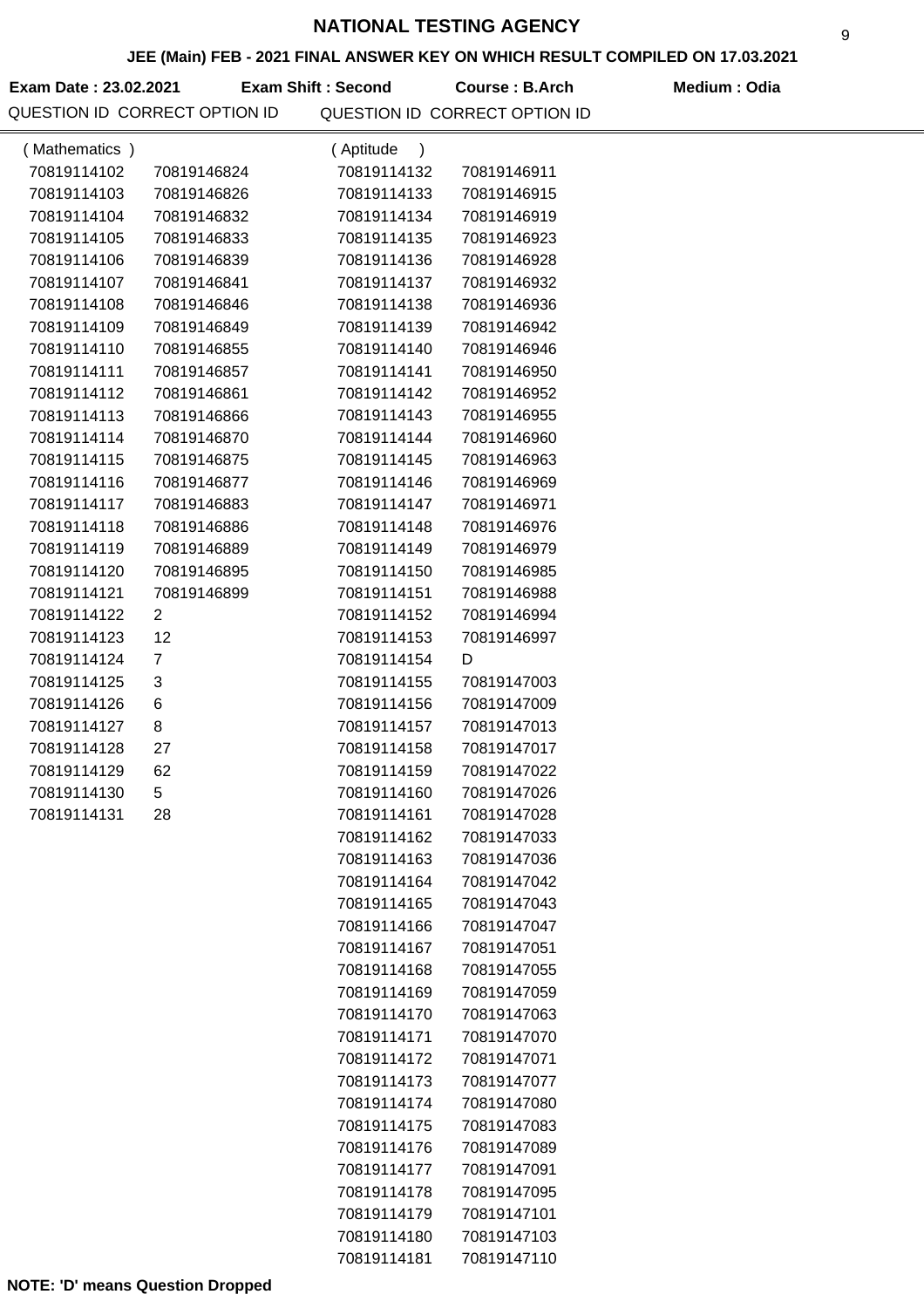### **JEE (Main) FEB - 2021 FINAL ANSWER KEY ON WHICH RESULT COMPILED ON 17.03.2021**

**Exam Date : 23.02.2021 Course : B.Arch Medium : Odia Exam Shift : Second** QUESTION ID CORRECT OPTION ID QUESTION ID CORRECT OPTION ID

| (Mathematics) |                | (Aptitude<br>$\rightarrow$ |             |  |
|---------------|----------------|----------------------------|-------------|--|
| 70819114102   | 70819146824    | 70819114132                | 70819146911 |  |
| 70819114103   | 70819146826    | 70819114133                | 70819146915 |  |
| 70819114104   | 70819146832    | 70819114134                | 70819146919 |  |
| 70819114105   | 70819146833    | 70819114135                | 70819146923 |  |
| 70819114106   | 70819146839    | 70819114136                | 70819146928 |  |
| 70819114107   | 70819146841    | 70819114137                | 70819146932 |  |
| 70819114108   | 70819146846    | 70819114138                | 70819146936 |  |
| 70819114109   | 70819146849    | 70819114139                | 70819146942 |  |
| 70819114110   | 70819146855    | 70819114140                | 70819146946 |  |
| 70819114111   | 70819146857    | 70819114141                | 70819146950 |  |
| 70819114112   | 70819146861    | 70819114142                | 70819146952 |  |
| 70819114113   | 70819146866    | 70819114143                | 70819146955 |  |
| 70819114114   | 70819146870    | 70819114144                | 70819146960 |  |
| 70819114115   | 70819146875    | 70819114145                | 70819146963 |  |
| 70819114116   | 70819146877    | 70819114146                | 70819146969 |  |
| 70819114117   | 70819146883    | 70819114147                | 70819146971 |  |
| 70819114118   | 70819146886    | 70819114148                | 70819146976 |  |
| 70819114119   | 70819146889    | 70819114149                | 70819146979 |  |
| 70819114120   | 70819146895    | 70819114150                | 70819146985 |  |
| 70819114121   | 70819146899    | 70819114151                | 70819146988 |  |
| 70819114122   | $\overline{2}$ | 70819114152                | 70819146994 |  |
| 70819114123   | 12             | 70819114153                | 70819146997 |  |
| 70819114124   | $\overline{7}$ | 70819114154                | D           |  |
| 70819114125   | 3              | 70819114155                | 70819147003 |  |
| 70819114126   | 6              | 70819114156                | 70819147009 |  |
| 70819114127   | 8              | 70819114157                | 70819147013 |  |
| 70819114128   | 27             | 70819114158                | 70819147017 |  |
| 70819114129   | 62             | 70819114159                | 70819147022 |  |
| 70819114130   | 5              | 70819114160                | 70819147026 |  |
| 70819114131   | 28             | 70819114161                | 70819147028 |  |
|               |                | 70819114162                | 70819147033 |  |
|               |                | 70819114163                | 70819147036 |  |
|               |                | 70819114164                | 70819147042 |  |
|               |                | 70819114165                | 70819147043 |  |
|               |                | 70819114166                | 70819147047 |  |
|               |                | 70819114167                | 70819147051 |  |
|               |                | 70819114168                | 70819147055 |  |
|               |                | 70819114169                | 70819147059 |  |
|               |                | 70819114170                | 70819147063 |  |
|               |                | 70819114171                | 70819147070 |  |
|               |                | 70819114172                | 70819147071 |  |
|               |                | 70819114173                | 70819147077 |  |
|               |                | 70819114174                | 70819147080 |  |
|               |                | 70819114175                | 70819147083 |  |
|               |                | 70819114176                | 70819147089 |  |
|               |                | 70819114177                | 70819147091 |  |
|               |                | 70819114178                | 70819147095 |  |
|               |                | 70819114179                | 70819147101 |  |
|               |                | 70819114180                | 70819147103 |  |
|               |                | 70819114181                | 70819147110 |  |

9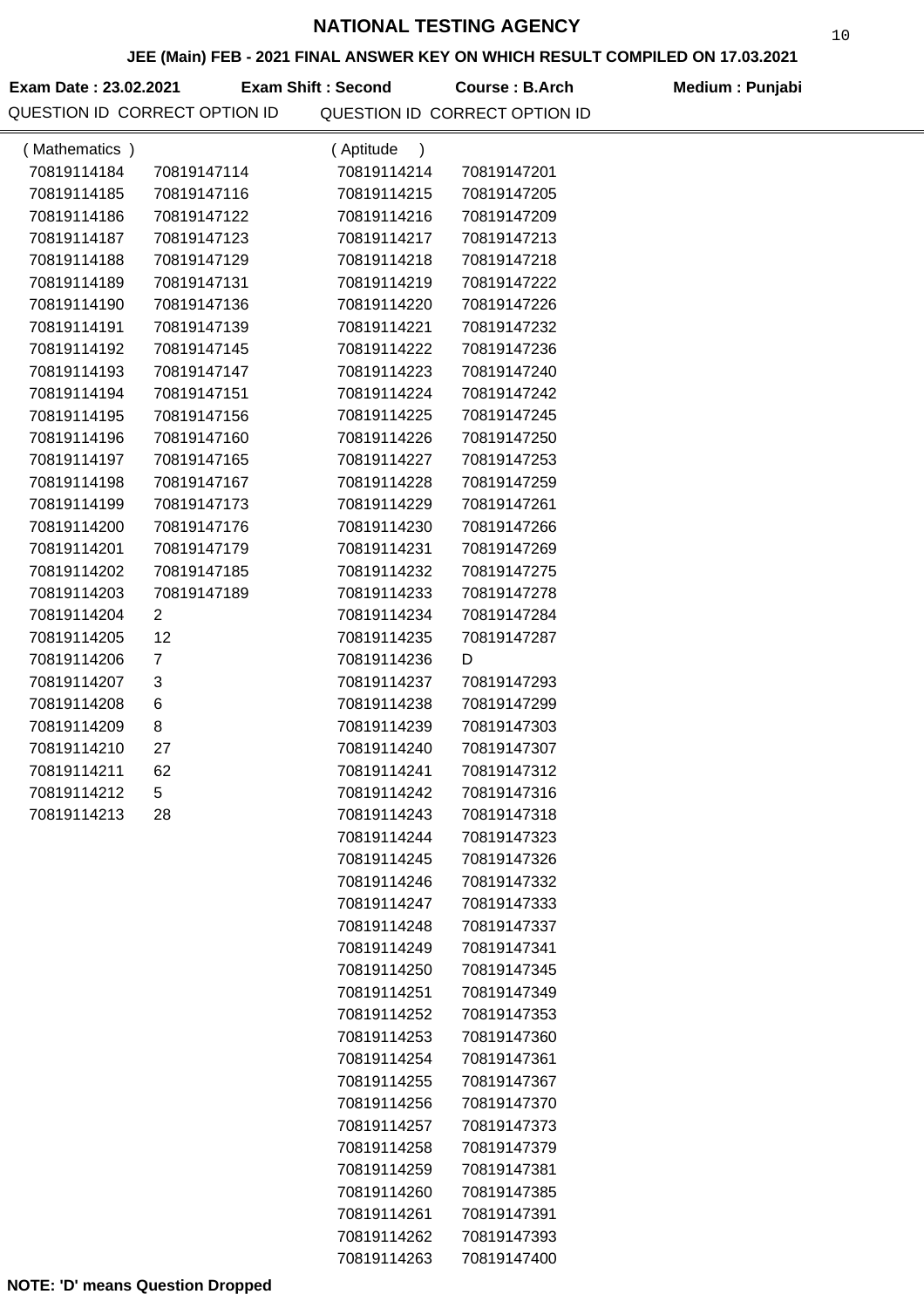### **JEE (Main) FEB - 2021 FINAL ANSWER KEY ON WHICH RESULT COMPILED ON 17.03.2021**

Exam Date : 23.02.2021 Exam Shift : Second Course : B.Arch Medium : Punjabi QUESTION ID CORRECT OPTION ID QUESTION ID CORRECT OPTION ID

| (Mathematics) |                | (Aptitude<br>$\lambda$ |             |  |
|---------------|----------------|------------------------|-------------|--|
| 70819114184   | 70819147114    | 70819114214            | 70819147201 |  |
| 70819114185   | 70819147116    | 70819114215            | 70819147205 |  |
| 70819114186   | 70819147122    | 70819114216            | 70819147209 |  |
| 70819114187   | 70819147123    | 70819114217            | 70819147213 |  |
| 70819114188   | 70819147129    | 70819114218            | 70819147218 |  |
| 70819114189   | 70819147131    | 70819114219            | 70819147222 |  |
| 70819114190   | 70819147136    | 70819114220            | 70819147226 |  |
| 70819114191   | 70819147139    | 70819114221            | 70819147232 |  |
| 70819114192   | 70819147145    | 70819114222            | 70819147236 |  |
| 70819114193   | 70819147147    | 70819114223            | 70819147240 |  |
| 70819114194   | 70819147151    | 70819114224            | 70819147242 |  |
| 70819114195   | 70819147156    | 70819114225            | 70819147245 |  |
| 70819114196   | 70819147160    | 70819114226            | 70819147250 |  |
| 70819114197   | 70819147165    | 70819114227            | 70819147253 |  |
| 70819114198   | 70819147167    | 70819114228            | 70819147259 |  |
| 70819114199   | 70819147173    | 70819114229            | 70819147261 |  |
| 70819114200   | 70819147176    | 70819114230            | 70819147266 |  |
| 70819114201   | 70819147179    | 70819114231            | 70819147269 |  |
| 70819114202   | 70819147185    | 70819114232            | 70819147275 |  |
| 70819114203   | 70819147189    | 70819114233            | 70819147278 |  |
| 70819114204   | $\overline{2}$ | 70819114234            | 70819147284 |  |
| 70819114205   | 12             | 70819114235            | 70819147287 |  |
| 70819114206   | $\overline{7}$ | 70819114236            | D           |  |
| 70819114207   | 3              | 70819114237            | 70819147293 |  |
| 70819114208   | 6              | 70819114238            | 70819147299 |  |
| 70819114209   | 8              | 70819114239            | 70819147303 |  |
| 70819114210   | 27             | 70819114240            | 70819147307 |  |
| 70819114211   | 62             | 70819114241            | 70819147312 |  |
| 70819114212   | 5              | 70819114242            | 70819147316 |  |
| 70819114213   | 28             | 70819114243            | 70819147318 |  |
|               |                | 70819114244            | 70819147323 |  |
|               |                | 70819114245            | 70819147326 |  |
|               |                | 70819114246            | 70819147332 |  |
|               |                | 70819114247            | 70819147333 |  |
|               |                | 70819114248            | 70819147337 |  |
|               |                | 70819114249            | 70819147341 |  |
|               |                | 70819114250            | 70819147345 |  |
|               |                | 70819114251            | 70819147349 |  |
|               |                | 70819114252            | 70819147353 |  |
|               |                | 70819114253            | 70819147360 |  |
|               |                | 70819114254            | 70819147361 |  |
|               |                | 70819114255            | 70819147367 |  |
|               |                | 70819114256            | 70819147370 |  |
|               |                | 70819114257            | 70819147373 |  |
|               |                | 70819114258            | 70819147379 |  |
|               |                | 70819114259            | 70819147381 |  |
|               |                | 70819114260            | 70819147385 |  |
|               |                | 70819114261            | 70819147391 |  |
|               |                | 70819114262            | 70819147393 |  |
|               |                | 70819114263            | 70819147400 |  |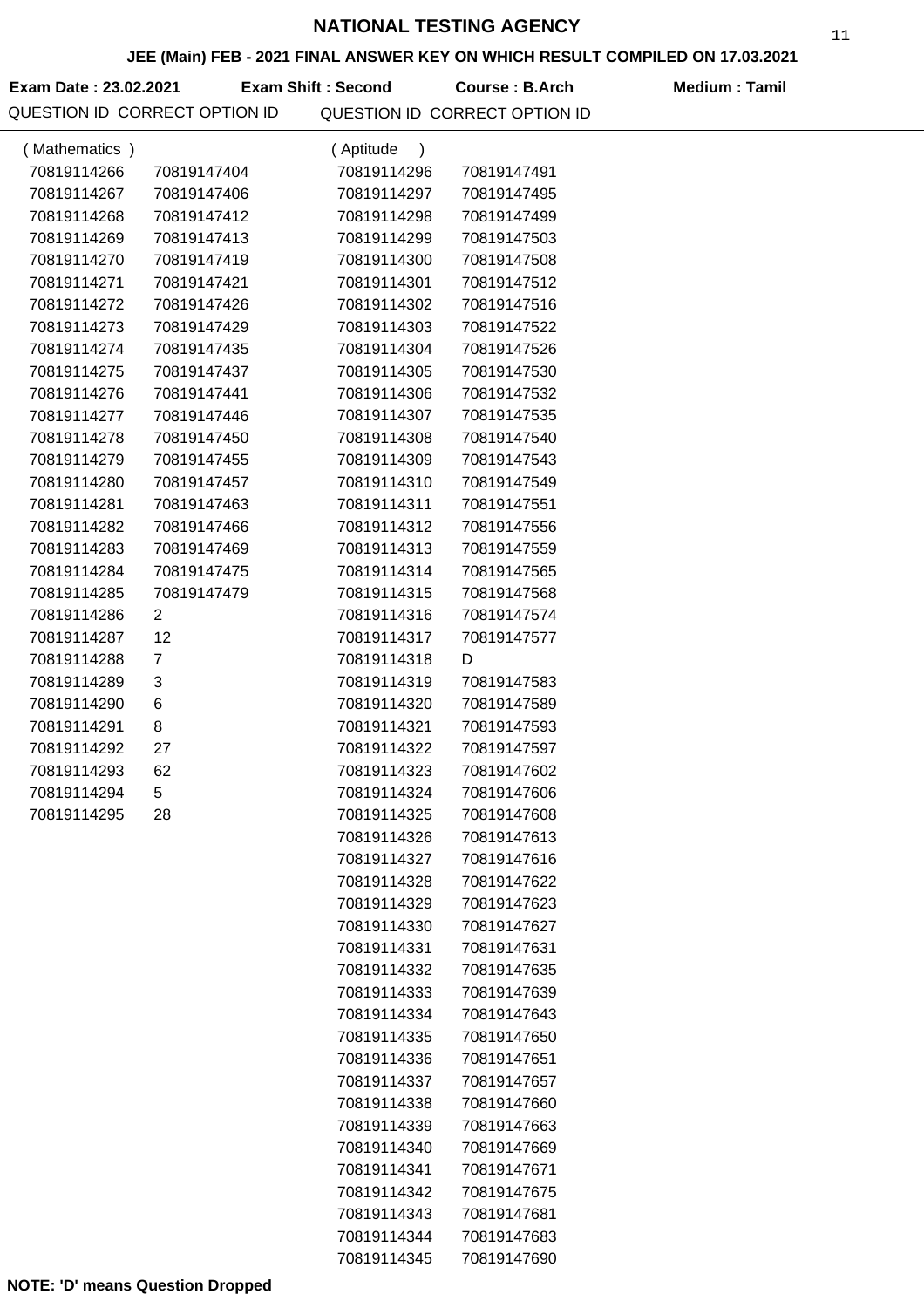### **JEE (Main) FEB - 2021 FINAL ANSWER KEY ON WHICH RESULT COMPILED ON 17.03.2021**

**Exam Date : 23.02.2021 Course : B.Arch Medium : Tamil Exam Shift : Second**

| (Mathematics) |                | (Aptitude<br>$\lambda$     |                            |  |
|---------------|----------------|----------------------------|----------------------------|--|
| 70819114266   | 70819147404    | 70819114296                | 70819147491                |  |
| 70819114267   | 70819147406    | 70819114297                | 70819147495                |  |
| 70819114268   | 70819147412    | 70819114298                | 70819147499                |  |
| 70819114269   | 70819147413    | 70819114299                | 70819147503                |  |
| 70819114270   | 70819147419    | 70819114300                | 70819147508                |  |
| 70819114271   | 70819147421    | 70819114301                | 70819147512                |  |
| 70819114272   | 70819147426    | 70819114302                | 70819147516                |  |
| 70819114273   | 70819147429    | 70819114303                | 70819147522                |  |
| 70819114274   | 70819147435    | 70819114304                | 70819147526                |  |
| 70819114275   | 70819147437    | 70819114305                | 70819147530                |  |
| 70819114276   | 70819147441    | 70819114306                | 70819147532                |  |
| 70819114277   | 70819147446    | 70819114307                | 70819147535                |  |
| 70819114278   | 70819147450    | 70819114308                | 70819147540                |  |
| 70819114279   | 70819147455    | 70819114309                | 70819147543                |  |
| 70819114280   | 70819147457    | 70819114310                | 70819147549                |  |
| 70819114281   | 70819147463    | 70819114311                | 70819147551                |  |
| 70819114282   | 70819147466    | 70819114312                | 70819147556                |  |
| 70819114283   | 70819147469    | 70819114313                | 70819147559                |  |
| 70819114284   | 70819147475    | 70819114314                | 70819147565                |  |
| 70819114285   | 70819147479    | 70819114315                | 70819147568                |  |
| 70819114286   | $\overline{2}$ | 70819114316                | 70819147574                |  |
| 70819114287   | 12             | 70819114317                | 70819147577                |  |
| 70819114288   | 7              | 70819114318                | D                          |  |
| 70819114289   | 3              | 70819114319                | 70819147583                |  |
| 70819114290   | 6              | 70819114320                | 70819147589                |  |
| 70819114291   | 8              | 70819114321                | 70819147593                |  |
| 70819114292   | 27             | 70819114322                | 70819147597                |  |
| 70819114293   | 62             | 70819114323                | 70819147602                |  |
| 70819114294   | 5              | 70819114324                | 70819147606                |  |
| 70819114295   | 28             | 70819114325                | 70819147608                |  |
|               |                | 70819114326                | 70819147613                |  |
|               |                | 70819114327                | 70819147616                |  |
|               |                | 70819114328                | 70819147622                |  |
|               |                | 70819114329                | 70819147623                |  |
|               |                | 70819114330                | 70819147627                |  |
|               |                | 70819114331                | 70819147631                |  |
|               |                | 70819114332                | 70819147635                |  |
|               |                | 70819114333                | 70819147639                |  |
|               |                | 70819114334                | 70819147643                |  |
|               |                | 70819114335                | 70819147650                |  |
|               |                | 70819114336                | 70819147651                |  |
|               |                | 70819114337                | 70819147657                |  |
|               |                | 70819114338                | 70819147660                |  |
|               |                | 70819114339                | 70819147663                |  |
|               |                | 70819114340                | 70819147669                |  |
|               |                | 70819114341                | 70819147671                |  |
|               |                | 70819114342                | 70819147675                |  |
|               |                | 70819114343<br>70819114344 | 70819147681<br>70819147683 |  |
|               |                |                            |                            |  |
|               |                | 70819114345                | 70819147690                |  |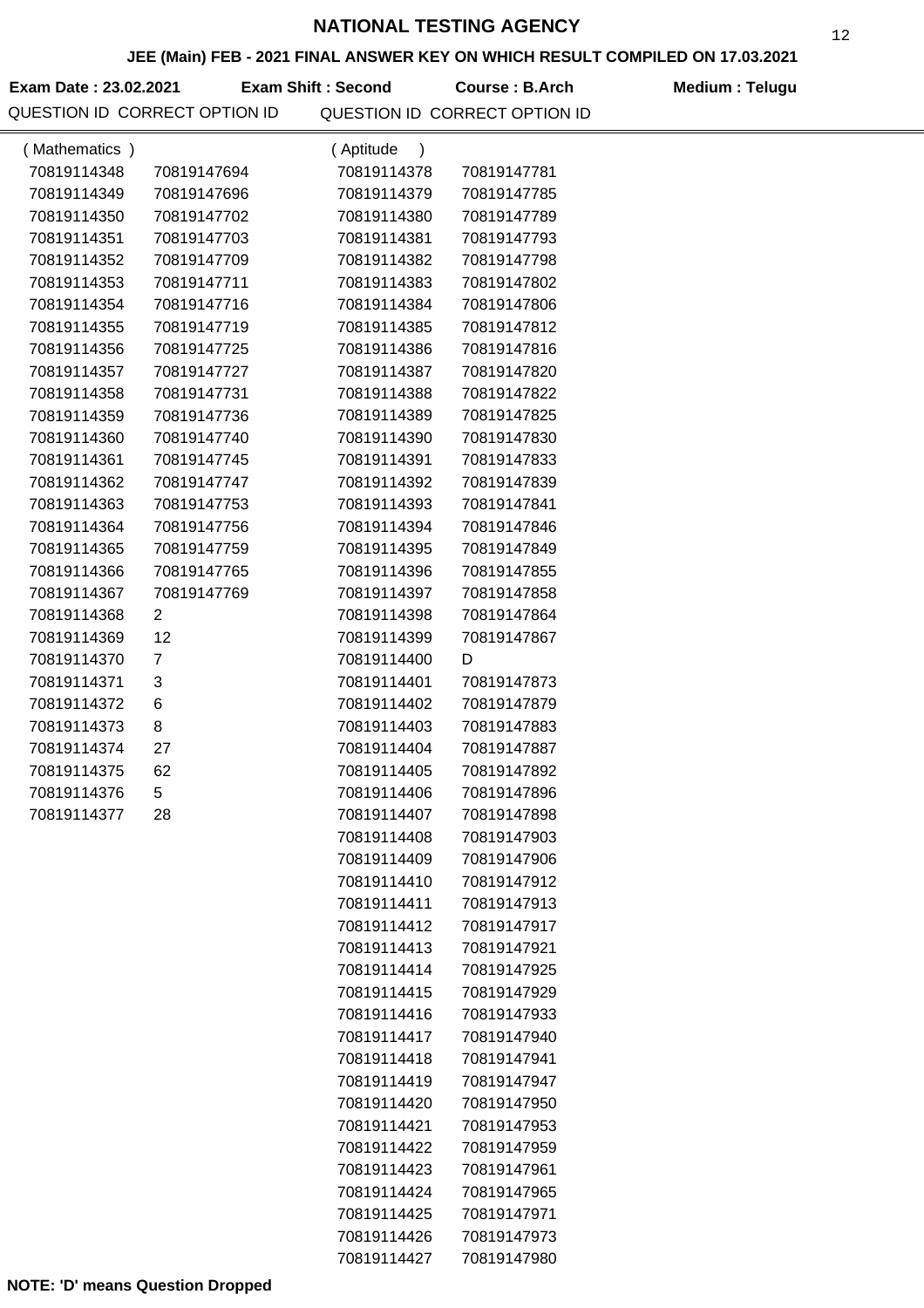### **JEE (Main) FEB - 2021 FINAL ANSWER KEY ON WHICH RESULT COMPILED ON 17.03.2021**

**Exam Date : 23.02.2021 Course : B.Arch Medium : Telugu Exam Shift : Second**

| (Mathematics) |                | (Aptitude<br>$\mathcal{C}$ |             |  |
|---------------|----------------|----------------------------|-------------|--|
| 70819114348   | 70819147694    | 70819114378                | 70819147781 |  |
| 70819114349   | 70819147696    | 70819114379                | 70819147785 |  |
| 70819114350   | 70819147702    | 70819114380                | 70819147789 |  |
| 70819114351   | 70819147703    | 70819114381                | 70819147793 |  |
| 70819114352   | 70819147709    | 70819114382                | 70819147798 |  |
| 70819114353   | 70819147711    | 70819114383                | 70819147802 |  |
| 70819114354   | 70819147716    | 70819114384                | 70819147806 |  |
| 70819114355   | 70819147719    | 70819114385                | 70819147812 |  |
| 70819114356   | 70819147725    | 70819114386                | 70819147816 |  |
| 70819114357   | 70819147727    | 70819114387                | 70819147820 |  |
| 70819114358   | 70819147731    | 70819114388                | 70819147822 |  |
| 70819114359   | 70819147736    | 70819114389                | 70819147825 |  |
| 70819114360   | 70819147740    | 70819114390                | 70819147830 |  |
| 70819114361   | 70819147745    | 70819114391                | 70819147833 |  |
| 70819114362   | 70819147747    | 70819114392                | 70819147839 |  |
| 70819114363   | 70819147753    | 70819114393                | 70819147841 |  |
| 70819114364   | 70819147756    | 70819114394                | 70819147846 |  |
| 70819114365   | 70819147759    | 70819114395                | 70819147849 |  |
| 70819114366   | 70819147765    | 70819114396                | 70819147855 |  |
| 70819114367   | 70819147769    | 70819114397                | 70819147858 |  |
| 70819114368   | 2              | 70819114398                | 70819147864 |  |
| 70819114369   | 12             | 70819114399                | 70819147867 |  |
| 70819114370   | $\overline{7}$ | 70819114400                | D           |  |
| 70819114371   | 3              | 70819114401                | 70819147873 |  |
| 70819114372   | 6              | 70819114402                | 70819147879 |  |
| 70819114373   | 8              | 70819114403                | 70819147883 |  |
| 70819114374   | 27             | 70819114404                | 70819147887 |  |
| 70819114375   | 62             | 70819114405                | 70819147892 |  |
| 70819114376   | 5              | 70819114406                | 70819147896 |  |
| 70819114377   | 28             | 70819114407                | 70819147898 |  |
|               |                | 70819114408                | 70819147903 |  |
|               |                | 70819114409                | 70819147906 |  |
|               |                | 70819114410                | 70819147912 |  |
|               |                | 70819114411                | 70819147913 |  |
|               |                | 70819114412                | 70819147917 |  |
|               |                | 70819114413                | 70819147921 |  |
|               |                | 70819114414                | 70819147925 |  |
|               |                | 70819114415                | 70819147929 |  |
|               |                | 70819114416                | 70819147933 |  |
|               |                | 70819114417                | 70819147940 |  |
|               |                | 70819114418                | 70819147941 |  |
|               |                | 70819114419                | 70819147947 |  |
|               |                | 70819114420                | 70819147950 |  |
|               |                | 70819114421                | 70819147953 |  |
|               |                | 70819114422                | 70819147959 |  |
|               |                | 70819114423                | 70819147961 |  |
|               |                | 70819114424                | 70819147965 |  |
|               |                | 70819114425                | 70819147971 |  |
|               |                | 70819114426                | 70819147973 |  |
|               |                | 70819114427                | 70819147980 |  |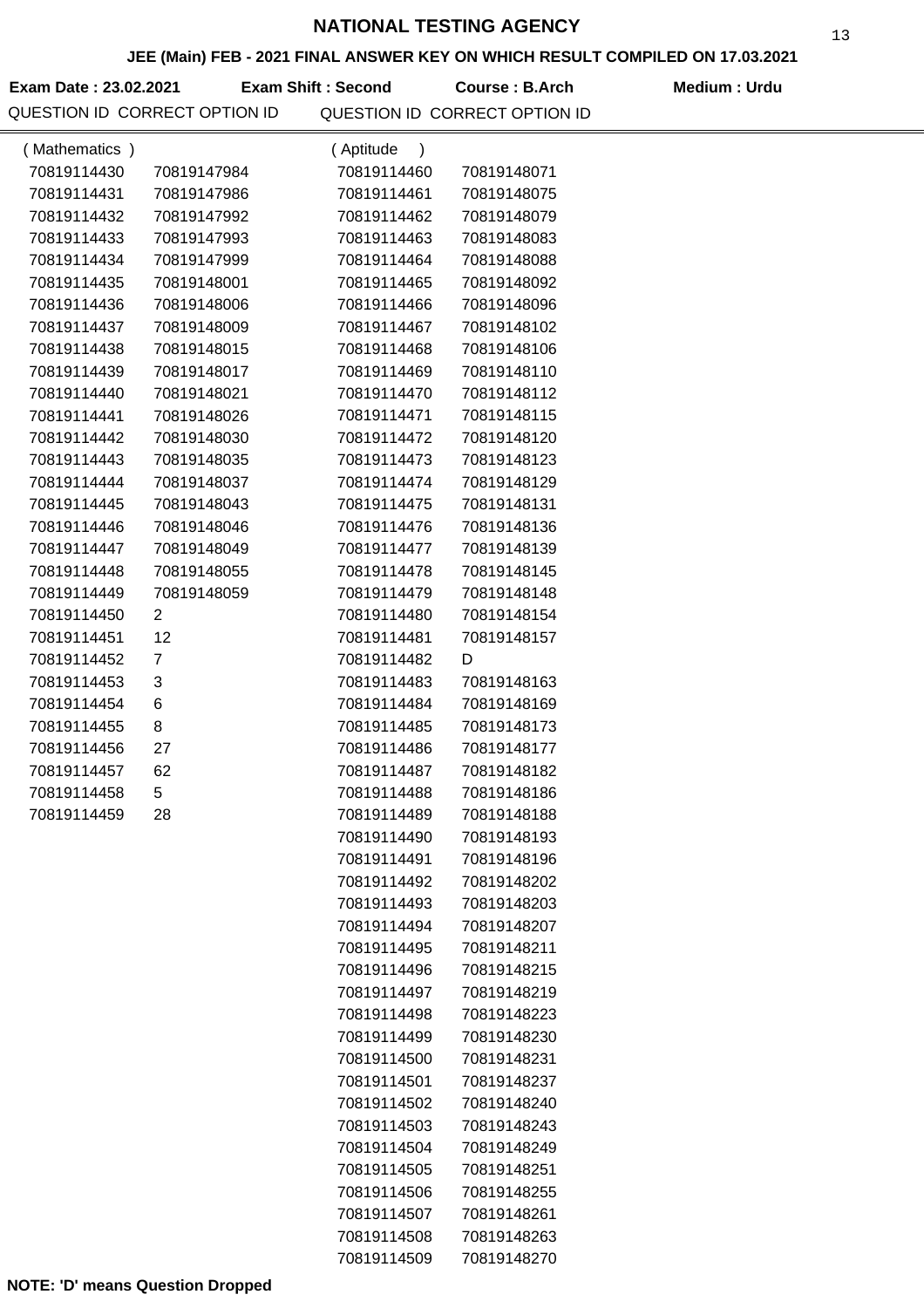### **JEE (Main) FEB - 2021 FINAL ANSWER KEY ON WHICH RESULT COMPILED ON 17.03.2021**

**Exam Date : 23.02.2021 Course : B.Arch Medium : Urdu Exam Shift : Second**

| (Mathematics) |                | (Aptitude)<br>$\rightarrow$ |             |  |
|---------------|----------------|-----------------------------|-------------|--|
| 70819114430   | 70819147984    | 70819114460                 | 70819148071 |  |
| 70819114431   | 70819147986    | 70819114461                 | 70819148075 |  |
| 70819114432   | 70819147992    | 70819114462                 | 70819148079 |  |
| 70819114433   | 70819147993    | 70819114463                 | 70819148083 |  |
| 70819114434   | 70819147999    | 70819114464                 | 70819148088 |  |
| 70819114435   | 70819148001    | 70819114465                 | 70819148092 |  |
| 70819114436   | 70819148006    | 70819114466                 | 70819148096 |  |
| 70819114437   | 70819148009    | 70819114467                 | 70819148102 |  |
| 70819114438   | 70819148015    | 70819114468                 | 70819148106 |  |
| 70819114439   | 70819148017    | 70819114469                 | 70819148110 |  |
| 70819114440   | 70819148021    | 70819114470                 | 70819148112 |  |
| 70819114441   | 70819148026    | 70819114471                 | 70819148115 |  |
| 70819114442   | 70819148030    | 70819114472                 | 70819148120 |  |
| 70819114443   | 70819148035    | 70819114473                 | 70819148123 |  |
| 70819114444   | 70819148037    | 70819114474                 | 70819148129 |  |
| 70819114445   | 70819148043    | 70819114475                 | 70819148131 |  |
| 70819114446   | 70819148046    | 70819114476                 | 70819148136 |  |
| 70819114447   | 70819148049    | 70819114477                 | 70819148139 |  |
| 70819114448   | 70819148055    | 70819114478                 | 70819148145 |  |
| 70819114449   | 70819148059    | 70819114479                 | 70819148148 |  |
| 70819114450   | $\mathbf{2}$   | 70819114480                 | 70819148154 |  |
| 70819114451   | 12             | 70819114481                 | 70819148157 |  |
| 70819114452   | $\overline{7}$ | 70819114482                 | D           |  |
| 70819114453   | 3              | 70819114483                 | 70819148163 |  |
| 70819114454   | 6              | 70819114484                 | 70819148169 |  |
| 70819114455   | 8              | 70819114485                 | 70819148173 |  |
| 70819114456   | 27             | 70819114486                 | 70819148177 |  |
| 70819114457   | 62             | 70819114487                 | 70819148182 |  |
| 70819114458   | 5              | 70819114488                 | 70819148186 |  |
| 70819114459   | 28             | 70819114489                 | 70819148188 |  |
|               |                | 70819114490                 | 70819148193 |  |
|               |                | 70819114491                 | 70819148196 |  |
|               |                | 70819114492                 | 70819148202 |  |
|               |                | 70819114493                 | 70819148203 |  |
|               |                | 70819114494                 | 70819148207 |  |
|               |                | 70819114495                 | 70819148211 |  |
|               |                | 70819114496                 | 70819148215 |  |
|               |                | 70819114497                 | 70819148219 |  |
|               |                | 70819114498                 | 70819148223 |  |
|               |                | 70819114499                 | 70819148230 |  |
|               |                | 70819114500                 | 70819148231 |  |
|               |                | 70819114501                 | 70819148237 |  |
|               |                | 70819114502                 | 70819148240 |  |
|               |                | 70819114503                 | 70819148243 |  |
|               |                | 70819114504                 | 70819148249 |  |
|               |                | 70819114505                 | 70819148251 |  |
|               |                | 70819114506                 | 70819148255 |  |
|               |                | 70819114507                 | 70819148261 |  |
|               |                | 70819114508                 | 70819148263 |  |
|               |                | 70819114509                 | 70819148270 |  |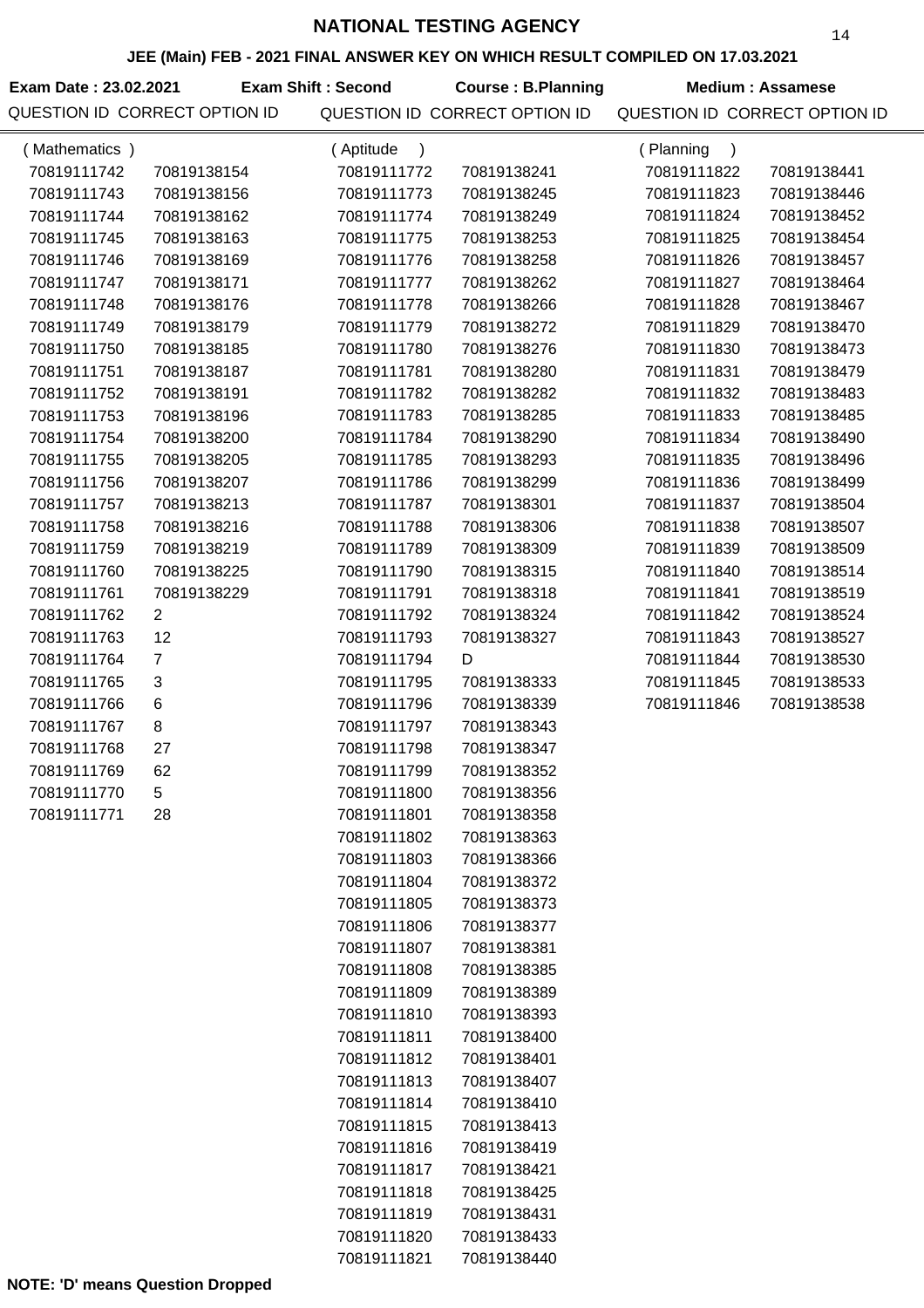## **JEE (Main) FEB - 2021 FINAL ANSWER KEY ON WHICH RESULT COMPILED ON 17.03.2021**

| JEE (MAIN) FEB - 2021 FINAL ANSWER KET ON WHICH RESULT COMPILED ON 17.03.2021 |                               |                            |                               |                               |                         |  |  |
|-------------------------------------------------------------------------------|-------------------------------|----------------------------|-------------------------------|-------------------------------|-------------------------|--|--|
| Exam Date: 23.02.2021                                                         |                               | <b>Exam Shift: Second</b>  | <b>Course: B.Planning</b>     |                               | <b>Medium: Assamese</b> |  |  |
|                                                                               | QUESTION ID CORRECT OPTION ID |                            | QUESTION ID CORRECT OPTION ID | QUESTION ID CORRECT OPTION ID |                         |  |  |
| (Mathematics)                                                                 |                               | (Aptitude<br>$\rightarrow$ |                               | (Planning<br>$\lambda$        |                         |  |  |
| 70819111742                                                                   | 70819138154                   | 70819111772                | 70819138241                   | 70819111822                   | 70819138441             |  |  |
| 70819111743                                                                   | 70819138156                   | 70819111773                | 70819138245                   | 70819111823                   | 70819138446             |  |  |
| 70819111744                                                                   | 70819138162                   | 70819111774                | 70819138249                   | 70819111824                   | 70819138452             |  |  |
| 70819111745                                                                   | 70819138163                   | 70819111775                | 70819138253                   | 70819111825                   | 70819138454             |  |  |
| 70819111746                                                                   | 70819138169                   | 70819111776                | 70819138258                   | 70819111826                   | 70819138457             |  |  |
| 70819111747                                                                   | 70819138171                   | 70819111777                | 70819138262                   | 70819111827                   | 70819138464             |  |  |
| 70819111748                                                                   | 70819138176                   | 70819111778                | 70819138266                   | 70819111828                   | 70819138467             |  |  |
| 70819111749                                                                   | 70819138179                   | 70819111779                | 70819138272                   | 70819111829                   | 70819138470             |  |  |
| 70819111750                                                                   | 70819138185                   | 70819111780                | 70819138276                   | 70819111830                   | 70819138473             |  |  |
| 70819111751                                                                   | 70819138187                   | 70819111781                | 70819138280                   | 70819111831                   | 70819138479             |  |  |
| 70819111752                                                                   | 70819138191                   | 70819111782                | 70819138282                   | 70819111832                   | 70819138483             |  |  |
| 70819111753                                                                   | 70819138196                   | 70819111783                | 70819138285                   | 70819111833                   | 70819138485             |  |  |
| 70819111754                                                                   | 70819138200                   | 70819111784                | 70819138290                   | 70819111834                   | 70819138490             |  |  |
| 70819111755                                                                   | 70819138205                   | 70819111785                | 70819138293                   | 70819111835                   | 70819138496             |  |  |
| 70819111756                                                                   | 70819138207                   | 70819111786                | 70819138299                   | 70819111836                   | 70819138499             |  |  |
| 70819111757                                                                   | 70819138213                   | 70819111787                | 70819138301                   | 70819111837                   | 70819138504             |  |  |
| 70819111758                                                                   | 70819138216                   | 70819111788                | 70819138306                   | 70819111838                   | 70819138507             |  |  |
| 70819111759                                                                   | 70819138219                   | 70819111789                | 70819138309                   | 70819111839                   | 70819138509             |  |  |
| 70819111760                                                                   | 70819138225                   | 70819111790                | 70819138315                   | 70819111840                   | 70819138514             |  |  |
| 70819111761                                                                   | 70819138229                   | 70819111791                | 70819138318                   | 70819111841                   | 70819138519             |  |  |
| 70819111762                                                                   | $\overline{2}$                | 70819111792                | 70819138324                   | 70819111842                   | 70819138524             |  |  |
| 70819111763                                                                   | 12                            | 70819111793                | 70819138327                   | 70819111843                   | 70819138527             |  |  |
| 70819111764                                                                   | $\overline{7}$                | 70819111794                | D                             | 70819111844                   | 70819138530             |  |  |
| 70819111765                                                                   | $\sqrt{3}$                    | 70819111795                | 70819138333                   | 70819111845                   | 70819138533             |  |  |
| 70819111766                                                                   | 6                             | 70819111796                | 70819138339                   | 70819111846                   | 70819138538             |  |  |
| 70819111767                                                                   | $\, 8$                        | 70819111797                | 70819138343                   |                               |                         |  |  |
| 70819111768                                                                   | 27                            | 70819111798                | 70819138347                   |                               |                         |  |  |
| 70819111769                                                                   | 62                            | 70819111799                | 70819138352                   |                               |                         |  |  |
| 70819111770                                                                   | 5                             | 70819111800                | 70819138356                   |                               |                         |  |  |
| 70819111771                                                                   | 28                            | 70819111801                | 70819138358                   |                               |                         |  |  |
|                                                                               |                               | 70819111802                | 70819138363                   |                               |                         |  |  |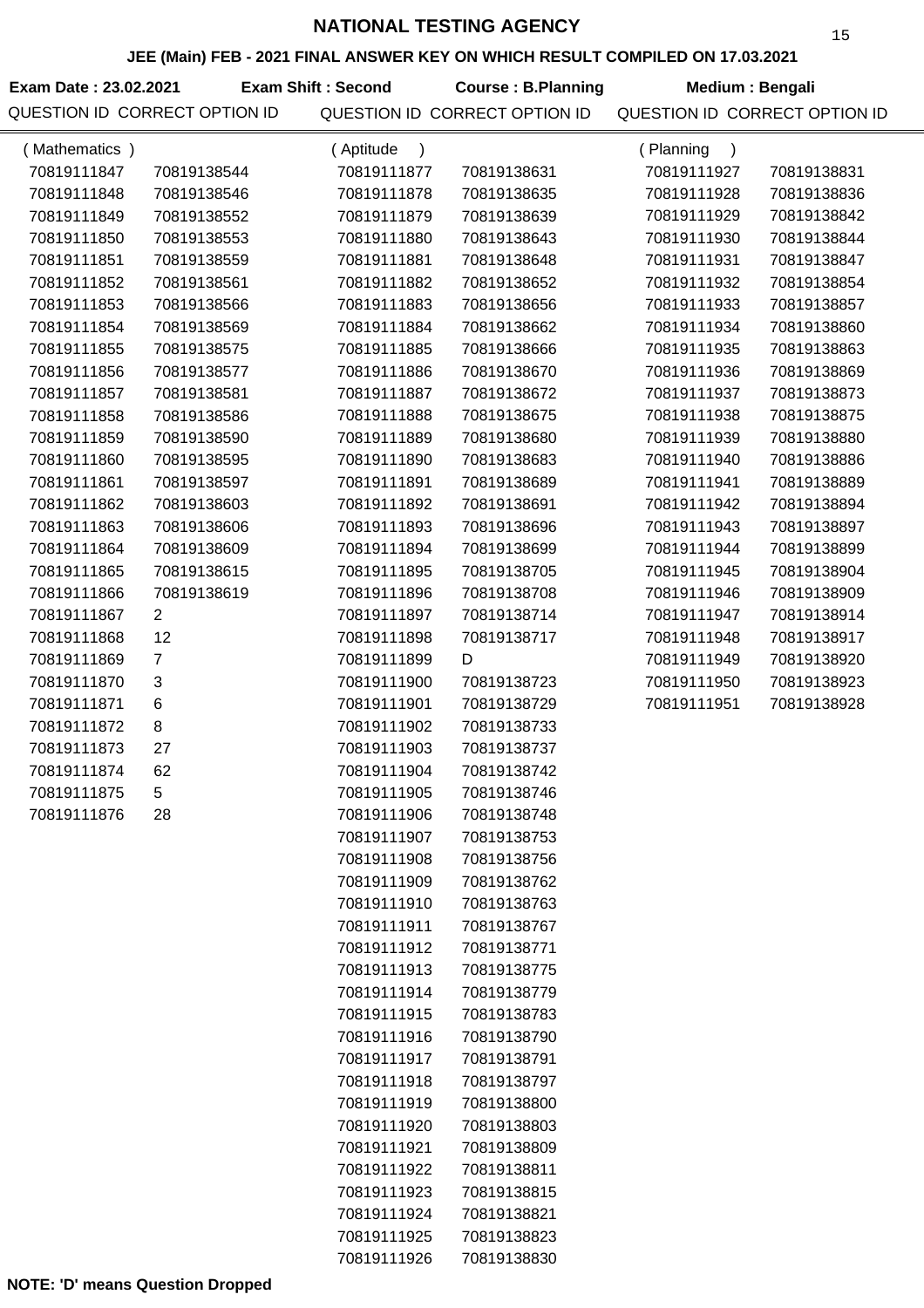## **JEE (Main) FEB - 2021 FINAL ANSWER KEY ON WHICH RESULT COMPILED ON 17.03.2021**

Exam Date : 23.02.2021 **Exam Shift : Second Course : B.Planning Medium : Bengali** 

| (Mathematics) |                | (Aptitude<br>$\lambda$ |             | (Planning<br>$\lambda$ |             |
|---------------|----------------|------------------------|-------------|------------------------|-------------|
| 70819111847   | 70819138544    | 70819111877            | 70819138631 | 70819111927            | 70819138831 |
| 70819111848   | 70819138546    | 70819111878            | 70819138635 | 70819111928            | 70819138836 |
| 70819111849   | 70819138552    | 70819111879            | 70819138639 | 70819111929            | 70819138842 |
| 70819111850   | 70819138553    | 70819111880            | 70819138643 | 70819111930            | 70819138844 |
| 70819111851   | 70819138559    | 70819111881            | 70819138648 | 70819111931            | 70819138847 |
| 70819111852   | 70819138561    | 70819111882            | 70819138652 | 70819111932            | 70819138854 |
| 70819111853   | 70819138566    | 70819111883            | 70819138656 | 70819111933            | 70819138857 |
| 70819111854   | 70819138569    | 70819111884            | 70819138662 | 70819111934            | 70819138860 |
| 70819111855   | 70819138575    | 70819111885            | 70819138666 | 70819111935            | 70819138863 |
| 70819111856   | 70819138577    | 70819111886            | 70819138670 | 70819111936            | 70819138869 |
| 70819111857   | 70819138581    | 70819111887            | 70819138672 | 70819111937            | 70819138873 |
| 70819111858   | 70819138586    | 70819111888            | 70819138675 | 70819111938            | 70819138875 |
| 70819111859   | 70819138590    | 70819111889            | 70819138680 | 70819111939            | 70819138880 |
| 70819111860   | 70819138595    | 70819111890            | 70819138683 | 70819111940            | 70819138886 |
| 70819111861   | 70819138597    | 70819111891            | 70819138689 | 70819111941            | 70819138889 |
| 70819111862   | 70819138603    | 70819111892            | 70819138691 | 70819111942            | 70819138894 |
| 70819111863   | 70819138606    | 70819111893            | 70819138696 | 70819111943            | 70819138897 |
| 70819111864   | 70819138609    | 70819111894            | 70819138699 | 70819111944            | 70819138899 |
| 70819111865   | 70819138615    | 70819111895            | 70819138705 | 70819111945            | 70819138904 |
| 70819111866   | 70819138619    | 70819111896            | 70819138708 | 70819111946            | 70819138909 |
| 70819111867   | $\overline{2}$ | 70819111897            | 70819138714 | 70819111947            | 70819138914 |
| 70819111868   | 12             | 70819111898            | 70819138717 | 70819111948            | 70819138917 |
| 70819111869   | 7              | 70819111899            | D           | 70819111949            | 70819138920 |
| 70819111870   | 3              | 70819111900            | 70819138723 | 70819111950            | 70819138923 |
| 70819111871   | 6              | 70819111901            | 70819138729 | 70819111951            | 70819138928 |
| 70819111872   | 8              | 70819111902            | 70819138733 |                        |             |
| 70819111873   | 27             | 70819111903            | 70819138737 |                        |             |
| 70819111874   | 62             | 70819111904            | 70819138742 |                        |             |
| 70819111875   | 5              | 70819111905            | 70819138746 |                        |             |
| 70819111876   | 28             | 70819111906            | 70819138748 |                        |             |
|               |                | 70819111907            | 70819138753 |                        |             |
|               |                | 70819111908            | 70819138756 |                        |             |
|               |                | 70819111909            | 70819138762 |                        |             |
|               |                | 70819111910            | 70819138763 |                        |             |
|               |                | 70819111911            | 70819138767 |                        |             |
|               |                | 70819111912            | 70819138771 |                        |             |
|               |                | 70819111913            | 70819138775 |                        |             |
|               |                | 70819111914            | 70819138779 |                        |             |
|               |                | 70819111915            | 70819138783 |                        |             |
|               |                | 70819111916            | 70819138790 |                        |             |
|               |                | 70819111917            | 70819138791 |                        |             |
|               |                | 70819111918            | 70819138797 |                        |             |
|               |                | 70819111919            | 70819138800 |                        |             |
|               |                | 70819111920            | 70819138803 |                        |             |
|               |                | 70819111921            | 70819138809 |                        |             |
|               |                | 70819111922            | 70819138811 |                        |             |
|               |                | 70819111923            | 70819138815 |                        |             |
|               |                | 70819111924            | 70819138821 |                        |             |
|               |                | 70819111925            | 70819138823 |                        |             |
|               |                | 70819111926            | 70819138830 |                        |             |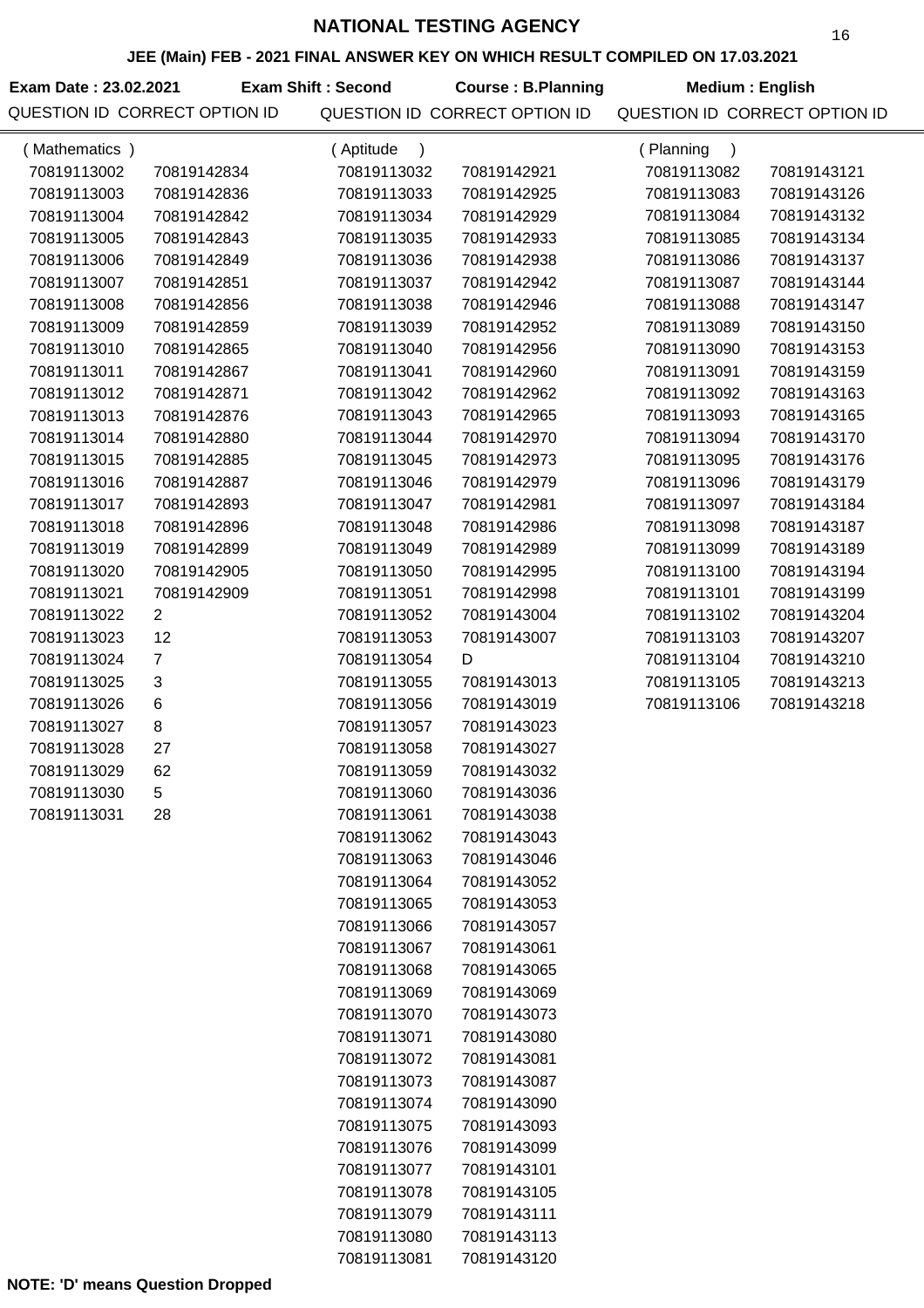## **JEE (Main) FEB - 2021 FINAL ANSWER KEY ON WHICH RESULT COMPILED ON 17.03.2021**

**Exam Date : 23.02.2021 Exam Shift : Second Course : B.Planning Medium : English** QUESTION ID CORRECT OPTION ID QUESTION ID CORRECT OPTION ID QUESTION ID CORRECT OPTION ID

| (Mathematics) |                           | (Aptitude<br>$\lambda$ |             | (Planning<br>$\lambda$ |             |
|---------------|---------------------------|------------------------|-------------|------------------------|-------------|
| 70819113002   | 70819142834               | 70819113032            | 70819142921 | 70819113082            | 70819143121 |
| 70819113003   | 70819142836               | 70819113033            | 70819142925 | 70819113083            | 70819143126 |
| 70819113004   | 70819142842               | 70819113034            | 70819142929 | 70819113084            | 70819143132 |
| 70819113005   | 70819142843               | 70819113035            | 70819142933 | 70819113085            | 70819143134 |
| 70819113006   | 70819142849               | 70819113036            | 70819142938 | 70819113086            | 70819143137 |
| 70819113007   | 70819142851               | 70819113037            | 70819142942 | 70819113087            | 70819143144 |
| 70819113008   | 70819142856               | 70819113038            | 70819142946 | 70819113088            | 70819143147 |
| 70819113009   | 70819142859               | 70819113039            | 70819142952 | 70819113089            | 70819143150 |
| 70819113010   | 70819142865               | 70819113040            | 70819142956 | 70819113090            | 70819143153 |
| 70819113011   | 70819142867               | 70819113041            | 70819142960 | 70819113091            | 70819143159 |
| 70819113012   | 70819142871               | 70819113042            | 70819142962 | 70819113092            | 70819143163 |
| 70819113013   | 70819142876               | 70819113043            | 70819142965 | 70819113093            | 70819143165 |
| 70819113014   | 70819142880               | 70819113044            | 70819142970 | 70819113094            | 70819143170 |
| 70819113015   | 70819142885               | 70819113045            | 70819142973 | 70819113095            | 70819143176 |
| 70819113016   | 70819142887               | 70819113046            | 70819142979 | 70819113096            | 70819143179 |
| 70819113017   | 70819142893               | 70819113047            | 70819142981 | 70819113097            | 70819143184 |
| 70819113018   | 70819142896               | 70819113048            | 70819142986 | 70819113098            | 70819143187 |
| 70819113019   | 70819142899               | 70819113049            | 70819142989 | 70819113099            | 70819143189 |
| 70819113020   | 70819142905               | 70819113050            | 70819142995 | 70819113100            | 70819143194 |
| 70819113021   | 70819142909               | 70819113051            | 70819142998 | 70819113101            | 70819143199 |
| 70819113022   | $\overline{2}$            | 70819113052            | 70819143004 | 70819113102            | 70819143204 |
| 70819113023   | 12                        | 70819113053            | 70819143007 | 70819113103            | 70819143207 |
| 70819113024   | $\overline{7}$            | 70819113054            | D           | 70819113104            | 70819143210 |
| 70819113025   | $\ensuremath{\mathsf{3}}$ | 70819113055            | 70819143013 | 70819113105            | 70819143213 |
| 70819113026   | $\,6$                     | 70819113056            | 70819143019 | 70819113106            | 70819143218 |
| 70819113027   | 8                         | 70819113057            | 70819143023 |                        |             |
| 70819113028   | 27                        | 70819113058            | 70819143027 |                        |             |
| 70819113029   | 62                        | 70819113059            | 70819143032 |                        |             |
| 70819113030   | 5                         | 70819113060            | 70819143036 |                        |             |
| 70819113031   | 28                        | 70819113061            | 70819143038 |                        |             |
|               |                           | 70819113062            | 70819143043 |                        |             |
|               |                           | 70819113063            | 70819143046 |                        |             |
|               |                           | 70819113064            | 70819143052 |                        |             |
|               |                           | 70819113065            | 70819143053 |                        |             |
|               |                           | 70819113066            | 70819143057 |                        |             |
|               |                           | 70819113067            | 70819143061 |                        |             |
|               |                           | 70819113068            | 70819143065 |                        |             |
|               |                           | 70819113069            | 70819143069 |                        |             |
|               |                           | 70819113070            | 70819143073 |                        |             |
|               |                           | 70819113071            | 70819143080 |                        |             |
|               |                           | 70819113072            | 70819143081 |                        |             |
|               |                           | 70819113073            | 70819143087 |                        |             |
|               |                           | 70819113074            | 70819143090 |                        |             |
|               |                           | 70819113075            | 70819143093 |                        |             |
|               |                           | 70819113076            | 70819143099 |                        |             |
|               |                           | 70819113077            | 70819143101 |                        |             |
|               |                           | 70819113078            | 70819143105 |                        |             |
|               |                           | 70819113079            | 70819143111 |                        |             |
|               |                           | 70819113080            | 70819143113 |                        |             |
|               |                           | 70819113081            | 70819143120 |                        |             |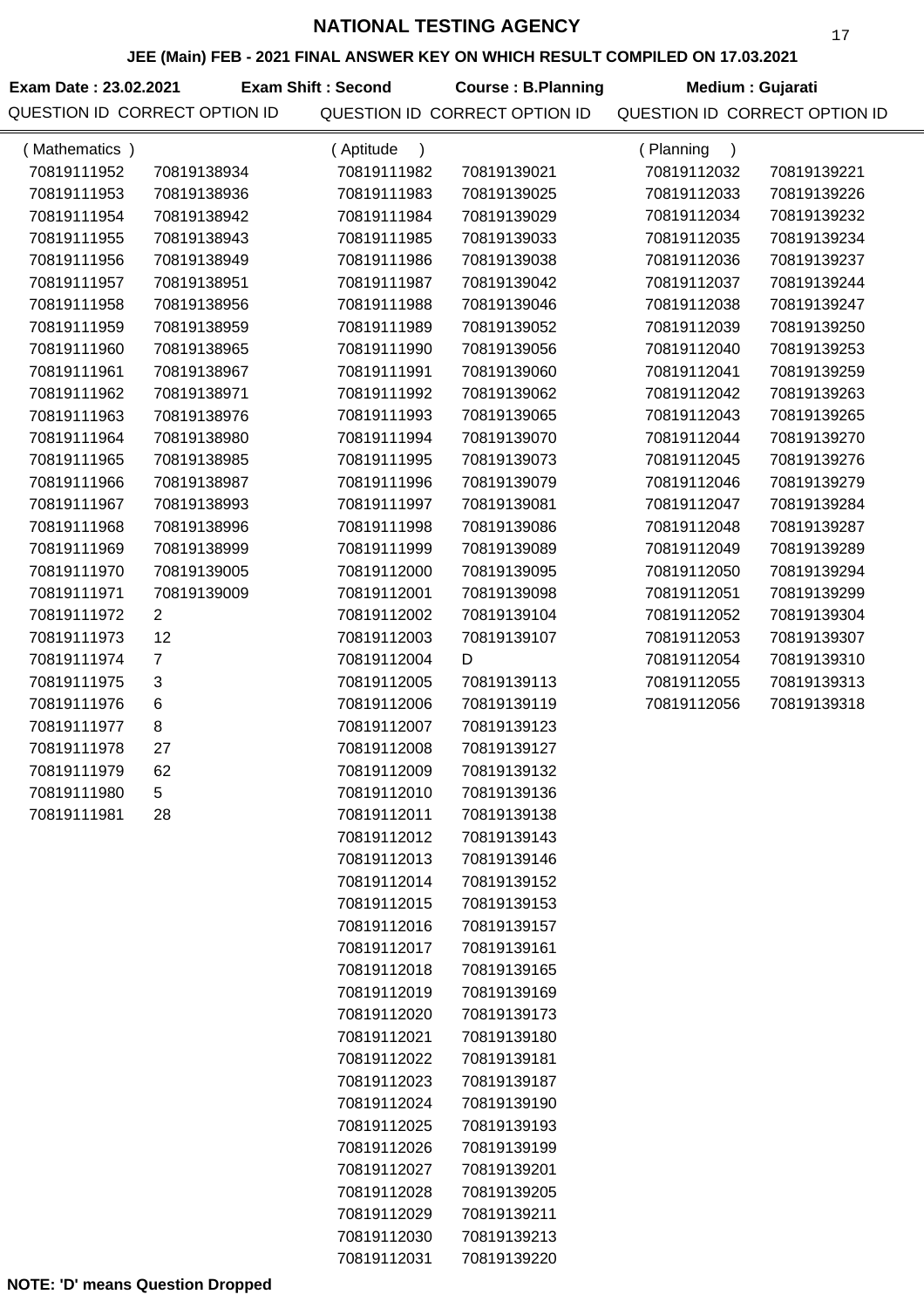| JEE (Main) FEB - 2021 FINAL ANSWER KEY ON WHICH RESULT COMPILED ON 17.03.2021 |                               |                           |                               |                               |             |  |
|-------------------------------------------------------------------------------|-------------------------------|---------------------------|-------------------------------|-------------------------------|-------------|--|
| Exam Date: 23.02.2021                                                         |                               | <b>Exam Shift: Second</b> | <b>Course: B.Planning</b>     | Medium : Gujarati             |             |  |
|                                                                               | QUESTION ID CORRECT OPTION ID |                           | QUESTION ID CORRECT OPTION ID | QUESTION ID CORRECT OPTION ID |             |  |
| (Mathematics)                                                                 |                               | (Aptitude<br>$\lambda$    |                               | (Planning<br>$\rightarrow$    |             |  |
| 70819111952                                                                   | 70819138934                   | 70819111982               | 70819139021                   | 70819112032                   | 70819139221 |  |
| 70819111953                                                                   | 70819138936                   | 70819111983               | 70819139025                   | 70819112033                   | 70819139226 |  |
| 70819111954                                                                   | 70819138942                   | 70819111984               | 70819139029                   | 70819112034                   | 70819139232 |  |
| 70819111955                                                                   | 70819138943                   | 70819111985               | 70819139033                   | 70819112035                   | 70819139234 |  |
| 70819111956                                                                   | 70819138949                   | 70819111986               | 70819139038                   | 70819112036                   | 70819139237 |  |
| 70819111957                                                                   | 70819138951                   | 70819111987               | 70819139042                   | 70819112037                   | 70819139244 |  |
| 70819111958                                                                   | 70819138956                   | 70819111988               | 70819139046                   | 70819112038                   | 70819139247 |  |
| 70819111959                                                                   | 70819138959                   | 70819111989               | 70819139052                   | 70819112039                   | 70819139250 |  |
| 70819111960                                                                   | 70819138965                   | 70819111990               | 70819139056                   | 70819112040                   | 70819139253 |  |
| 70819111961                                                                   | 70819138967                   | 70819111991               | 70819139060                   | 70819112041                   | 70819139259 |  |
| 70819111962                                                                   | 70819138971                   | 70819111992               | 70819139062                   | 70819112042                   | 70819139263 |  |
| 70819111963                                                                   | 70819138976                   | 70819111993               | 70819139065                   | 70819112043                   | 70819139265 |  |
| 70819111964                                                                   | 70819138980                   | 70819111994               | 70819139070                   | 70819112044                   | 70819139270 |  |
| 70819111965                                                                   | 70819138985                   | 70819111995               | 70819139073                   | 70819112045                   | 70819139276 |  |
| 70819111966                                                                   | 70819138987                   | 70819111996               | 70819139079                   | 70819112046                   | 70819139279 |  |
| 70819111967                                                                   | 70819138993                   | 70819111997               | 70819139081                   | 70819112047                   | 70819139284 |  |
| 70819111968                                                                   | 70819138996                   | 70819111998               | 70819139086                   | 70819112048                   | 70819139287 |  |
| 70819111969                                                                   | 70819138999                   | 70819111999               | 70819139089                   | 70819112049                   | 70819139289 |  |
| 70819111970                                                                   | 70819139005                   | 70819112000               | 70819139095                   | 70819112050                   | 70819139294 |  |
| 70819111971                                                                   | 70819139009                   | 70819112001               | 70819139098                   | 70819112051                   | 70819139299 |  |
| 70819111972                                                                   | 2                             | 70819112002               | 70819139104                   | 70819112052                   | 70819139304 |  |
| 70819111973                                                                   | 12                            | 70819112003               | 70819139107                   | 70819112053                   | 70819139307 |  |
| 70819111974                                                                   | $\overline{7}$                | 70819112004               | D                             | 70819112054                   | 70819139310 |  |
| 70819111975                                                                   | $\sqrt{3}$                    | 70819112005               | 70819139113                   | 70819112055                   | 70819139313 |  |
| 70819111976                                                                   | 6                             | 70819112006               | 70819139119                   | 70819112056                   | 70819139318 |  |
| 70819111977                                                                   | 8                             | 70819112007               | 70819139123                   |                               |             |  |
| 70819111978                                                                   | 27                            | 70819112008               | 70819139127                   |                               |             |  |

70819111979 62 70819111980 5 70819111981 28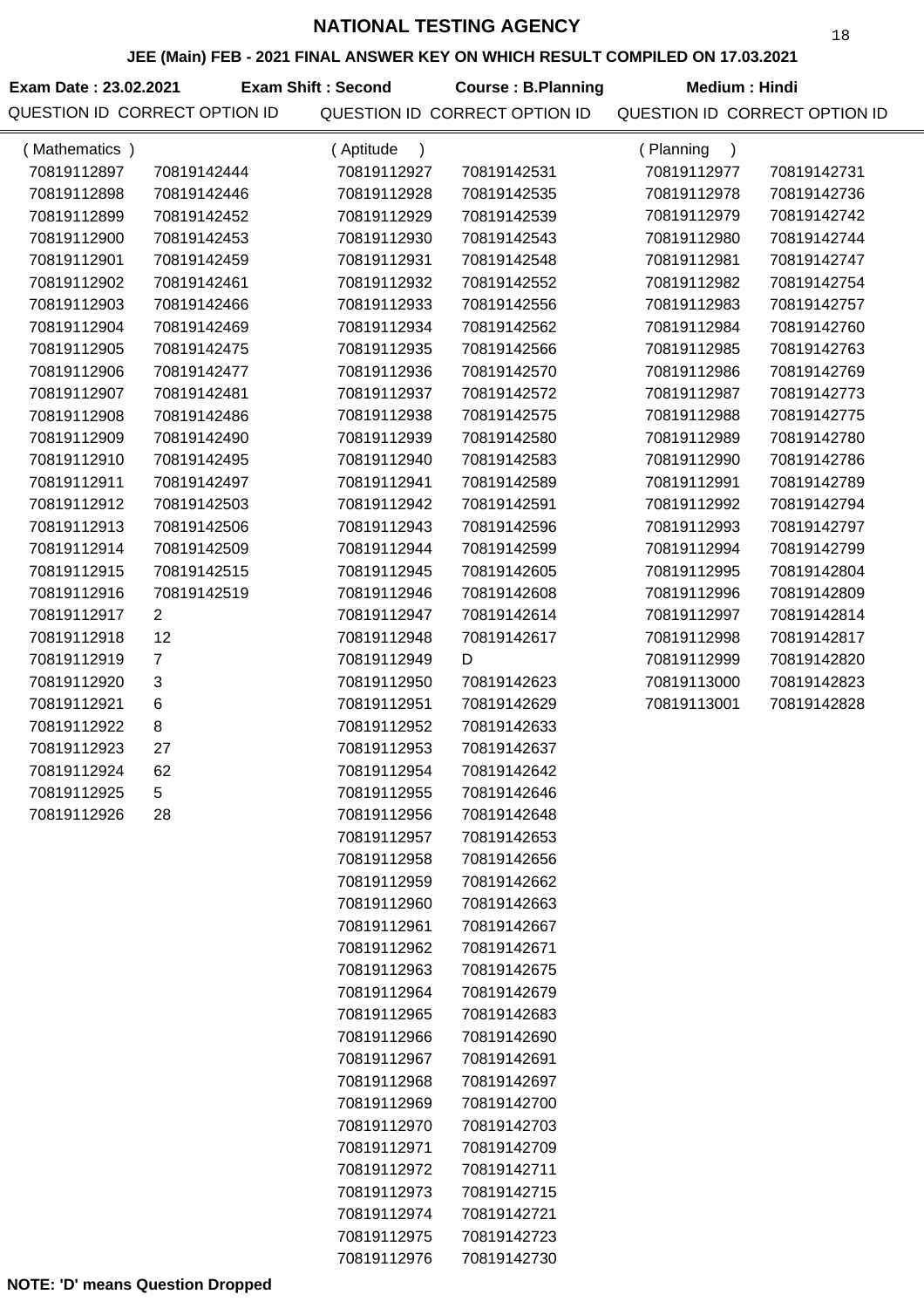### **JEE (Main) FEB - 2021 FINAL ANSWER KEY ON WHICH RESULT COMPILED ON 17.03.2021**

**Exam Date : 23.02.2021 Exam Shift : Second Course : B.Planning Medium : Hindi** QUESTION ID CORRECT OPTION ID QUESTION ID CORRECT OPTION ID QUESTION ID CORRECT OPTION ID

| (Mathematics) |                | (Aptitude<br>$\lambda$ |             | (Planning<br>$\lambda$ |             |
|---------------|----------------|------------------------|-------------|------------------------|-------------|
| 70819112897   | 70819142444    | 70819112927            | 70819142531 | 70819112977            | 70819142731 |
| 70819112898   | 70819142446    | 70819112928            | 70819142535 | 70819112978            | 70819142736 |
| 70819112899   | 70819142452    | 70819112929            | 70819142539 | 70819112979            | 70819142742 |
| 70819112900   | 70819142453    | 70819112930            | 70819142543 | 70819112980            | 70819142744 |
| 70819112901   | 70819142459    | 70819112931            | 70819142548 | 70819112981            | 70819142747 |
| 70819112902   | 70819142461    | 70819112932            | 70819142552 | 70819112982            | 70819142754 |
| 70819112903   | 70819142466    | 70819112933            | 70819142556 | 70819112983            | 70819142757 |
| 70819112904   | 70819142469    | 70819112934            | 70819142562 | 70819112984            | 70819142760 |
| 70819112905   | 70819142475    | 70819112935            | 70819142566 | 70819112985            | 70819142763 |
| 70819112906   | 70819142477    | 70819112936            | 70819142570 | 70819112986            | 70819142769 |
| 70819112907   | 70819142481    | 70819112937            | 70819142572 | 70819112987            | 70819142773 |
| 70819112908   | 70819142486    | 70819112938            | 70819142575 | 70819112988            | 70819142775 |
| 70819112909   | 70819142490    | 70819112939            | 70819142580 | 70819112989            | 70819142780 |
| 70819112910   | 70819142495    | 70819112940            | 70819142583 | 70819112990            | 70819142786 |
| 70819112911   | 70819142497    | 70819112941            | 70819142589 | 70819112991            | 70819142789 |
| 70819112912   | 70819142503    | 70819112942            | 70819142591 | 70819112992            | 70819142794 |
| 70819112913   | 70819142506    | 70819112943            | 70819142596 | 70819112993            | 70819142797 |
| 70819112914   | 70819142509    | 70819112944            | 70819142599 | 70819112994            | 70819142799 |
| 70819112915   | 70819142515    | 70819112945            | 70819142605 | 70819112995            | 70819142804 |
| 70819112916   | 70819142519    | 70819112946            | 70819142608 | 70819112996            | 70819142809 |
| 70819112917   | 2              | 70819112947            | 70819142614 | 70819112997            | 70819142814 |
| 70819112918   | 12             | 70819112948            | 70819142617 | 70819112998            | 70819142817 |
| 70819112919   | $\overline{7}$ | 70819112949            | D           | 70819112999            | 70819142820 |
| 70819112920   | 3              | 70819112950            | 70819142623 | 70819113000            | 70819142823 |
| 70819112921   | 6              | 70819112951            | 70819142629 | 70819113001            | 70819142828 |
| 70819112922   | 8              | 70819112952            | 70819142633 |                        |             |
| 70819112923   | 27             | 70819112953            | 70819142637 |                        |             |
| 70819112924   | 62             | 70819112954            | 70819142642 |                        |             |
| 70819112925   | 5              | 70819112955            | 70819142646 |                        |             |
| 70819112926   | 28             | 70819112956            | 70819142648 |                        |             |
|               |                | 70819112957            | 70819142653 |                        |             |
|               |                | 70819112958            | 70819142656 |                        |             |
|               |                | 70819112959            | 70819142662 |                        |             |
|               |                | 70819112960            | 70819142663 |                        |             |
|               |                | 70819112961            | 70819142667 |                        |             |
|               |                | 70819112962            | 70819142671 |                        |             |
|               |                | 70819112963            | 70819142675 |                        |             |
|               |                | 70819112964            | 70819142679 |                        |             |
|               |                | 70819112965            | 70819142683 |                        |             |
|               |                | 70819112966            | 70819142690 |                        |             |
|               |                | 70819112967            | 70819142691 |                        |             |
|               |                | 70819112968            | 70819142697 |                        |             |
|               |                | 70819112969            | 70819142700 |                        |             |
|               |                | 70819112970            | 70819142703 |                        |             |
|               |                | 70819112971            | 70819142709 |                        |             |
|               |                | 70819112972            | 70819142711 |                        |             |
|               |                | 70819112973            | 70819142715 |                        |             |
|               |                | 70819112974            | 70819142721 |                        |             |
|               |                | 70819112975            | 70819142723 |                        |             |
|               |                | 70819112976            | 70819142730 |                        |             |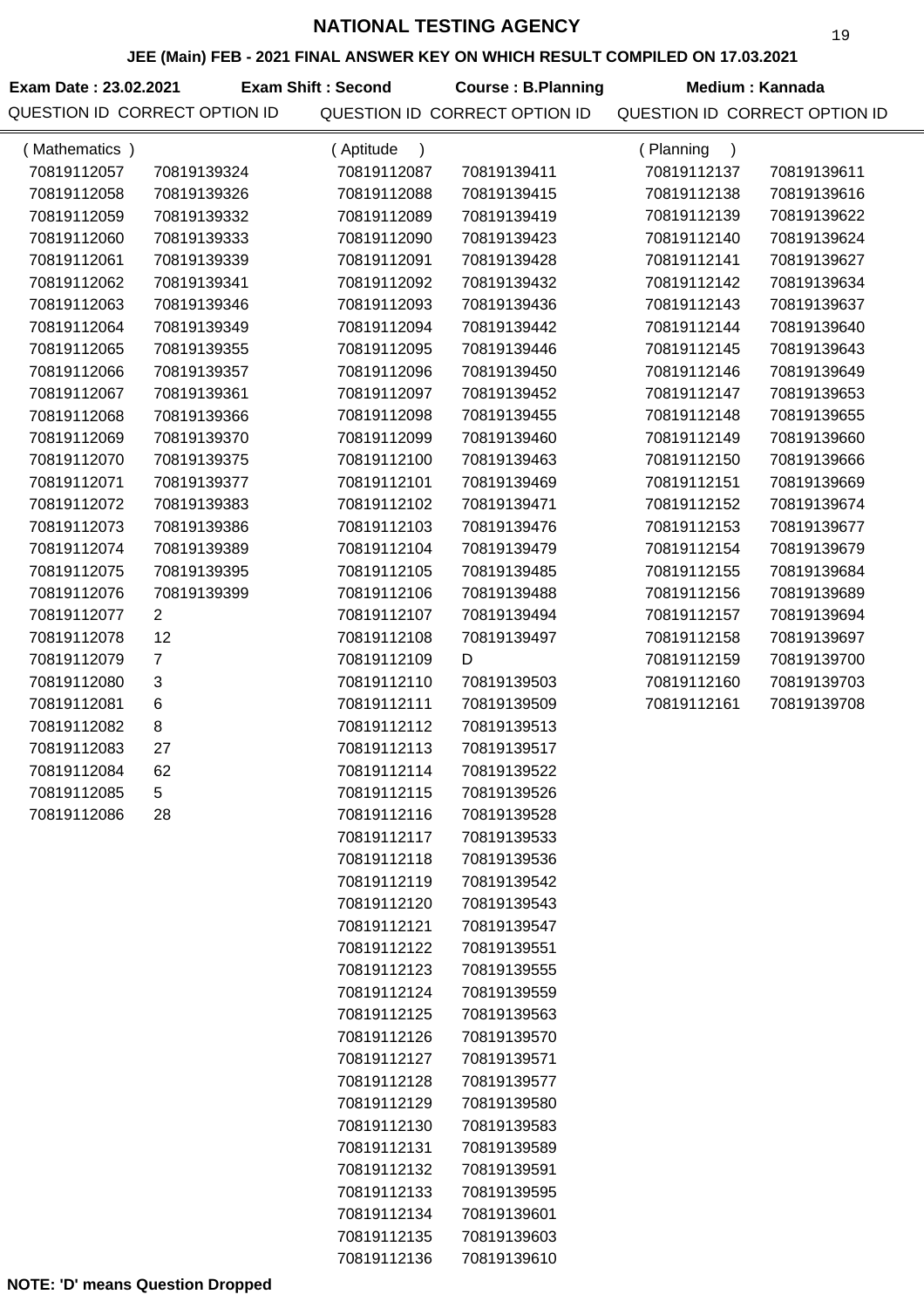#### **JEE (Main) FEB - 2021 FINAL ANSWER KEY ON WHICH RESULT COMPILED ON 17.03.2021**

| JEE (Main) FEB - 2021 FINAL ANSWER KEY ON WHICH RESULT COMPILED ON 17.03.2021 |                               |                           |                               |                               |                        |  |
|-------------------------------------------------------------------------------|-------------------------------|---------------------------|-------------------------------|-------------------------------|------------------------|--|
| Exam Date: 23.02.2021                                                         |                               | <b>Exam Shift: Second</b> | <b>Course: B.Planning</b>     |                               | <b>Medium: Kannada</b> |  |
|                                                                               | QUESTION ID CORRECT OPTION ID |                           | QUESTION ID CORRECT OPTION ID | QUESTION ID CORRECT OPTION ID |                        |  |
| (Mathematics)                                                                 |                               | (Aptitude<br>$\lambda$    |                               | (Planning<br>$\lambda$        |                        |  |
| 70819112057                                                                   | 70819139324                   | 70819112087               | 70819139411                   | 70819112137                   | 70819139611            |  |
| 70819112058                                                                   | 70819139326                   | 70819112088               | 70819139415                   | 70819112138                   | 70819139616            |  |
| 70819112059                                                                   | 70819139332                   | 70819112089               | 70819139419                   | 70819112139                   | 70819139622            |  |
| 70819112060                                                                   | 70819139333                   | 70819112090               | 70819139423                   | 70819112140                   | 70819139624            |  |
| 70819112061                                                                   | 70819139339                   | 70819112091               | 70819139428                   | 70819112141                   | 70819139627            |  |
| 70819112062                                                                   | 70819139341                   | 70819112092               | 70819139432                   | 70819112142                   | 70819139634            |  |
| 70819112063                                                                   | 70819139346                   | 70819112093               | 70819139436                   | 70819112143                   | 70819139637            |  |
| 70819112064                                                                   | 70819139349                   | 70819112094               | 70819139442                   | 70819112144                   | 70819139640            |  |
| 70819112065                                                                   | 70819139355                   | 70819112095               | 70819139446                   | 70819112145                   | 70819139643            |  |
| 70819112066                                                                   | 70819139357                   | 70819112096               | 70819139450                   | 70819112146                   | 70819139649            |  |
| 70819112067                                                                   | 70819139361                   | 70819112097               | 70819139452                   | 70819112147                   | 70819139653            |  |
| 70819112068                                                                   | 70819139366                   | 70819112098               | 70819139455                   | 70819112148                   | 70819139655            |  |
| 70819112069                                                                   | 70819139370                   | 70819112099               | 70819139460                   | 70819112149                   | 70819139660            |  |
| 70819112070                                                                   | 70819139375                   | 70819112100               | 70819139463                   | 70819112150                   | 70819139666            |  |
| 70819112071                                                                   | 70819139377                   | 70819112101               | 70819139469                   | 70819112151                   | 70819139669            |  |
| 70819112072                                                                   | 70819139383                   | 70819112102               | 70819139471                   | 70819112152                   | 70819139674            |  |
| 70819112073                                                                   | 70819139386                   | 70819112103               | 70819139476                   | 70819112153                   | 70819139677            |  |
| 70819112074                                                                   | 70819139389                   | 70819112104               | 70819139479                   | 70819112154                   | 70819139679            |  |
| 70819112075                                                                   | 70819139395                   | 70819112105               | 70819139485                   | 70819112155                   | 70819139684            |  |
| 70819112076                                                                   | 70819139399                   | 70819112106               | 70819139488                   | 70819112156                   | 70819139689            |  |
| 70819112077                                                                   | $\overline{2}$                | 70819112107               | 70819139494                   | 70819112157                   | 70819139694            |  |
| 70819112078                                                                   | 12                            | 70819112108               | 70819139497                   | 70819112158                   | 70819139697            |  |
| 70819112079                                                                   | $\overline{7}$                | 70819112109               | D                             | 70819112159                   | 70819139700            |  |
| 70819112080                                                                   | 3                             | 70819112110               | 70819139503                   | 70819112160                   | 70819139703            |  |
| 70819112081                                                                   | 6                             | 70819112111               | 70819139509                   | 70819112161                   | 70819139708            |  |
| 70819112082                                                                   | 8                             | 70819112112               | 70819139513                   |                               |                        |  |
| 70819112083                                                                   | 27                            | 70819112113               | 70819139517                   |                               |                        |  |
| 70819112084                                                                   | 62                            | 70819112114               | 70819139522                   |                               |                        |  |
| 70819112085                                                                   | 5                             | 70819112115               | 70819139526                   |                               |                        |  |
| 70819112086                                                                   | 28                            | 70819112116               | 70819139528                   |                               |                        |  |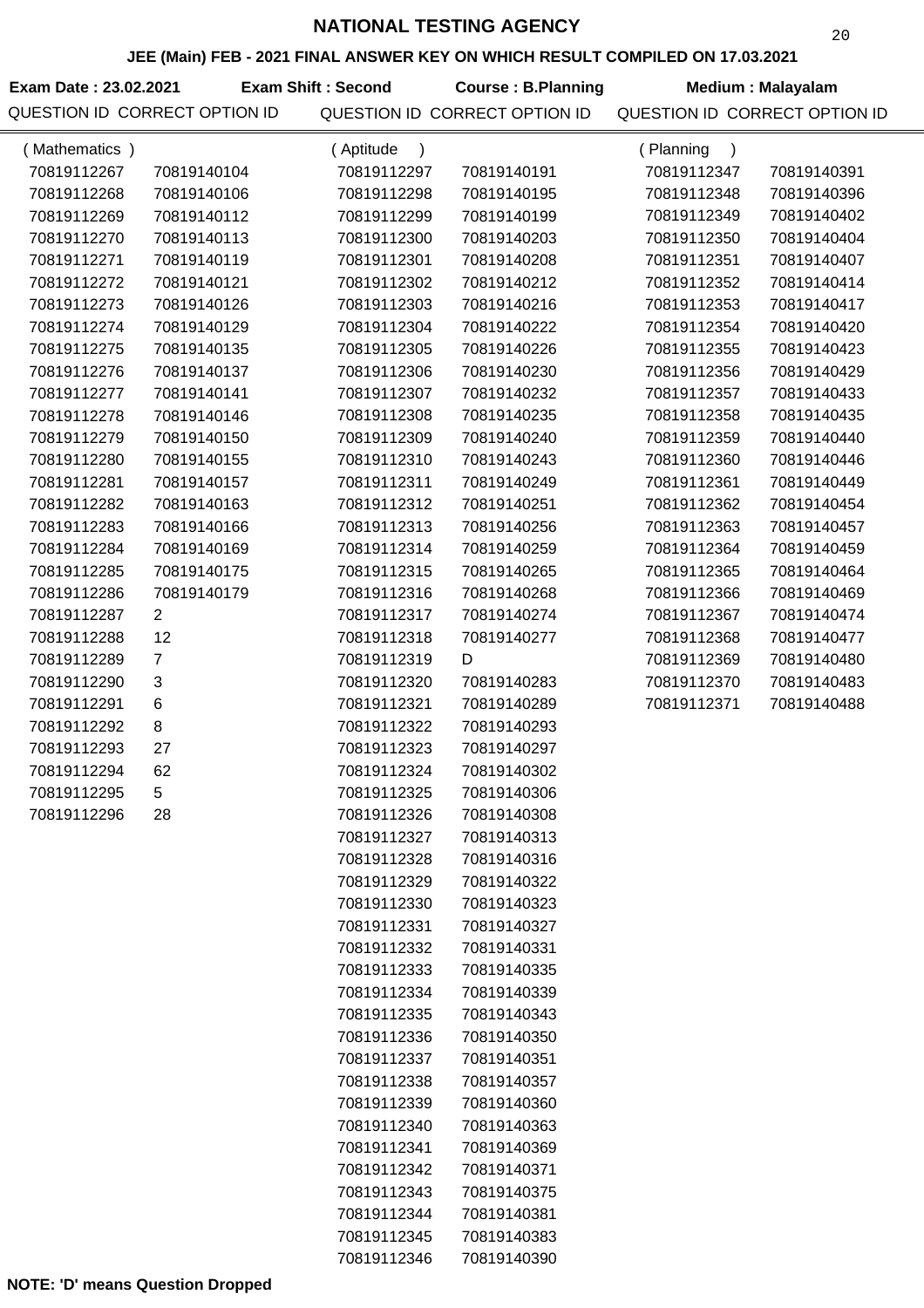### **JEE (Main) FEB - 2021 FINAL ANSWER KEY ON WHICH RESULT COMPILED ON 17.03.2021**

| Exam Date: 23.02.2021         | Exam S |
|-------------------------------|--------|
| QUESTION ID CORRECT OPTION ID |        |

**Course : B.Planning Medium : Malayalam Exam Shift : Second**

| (Mathematics) |                | (Aptitude   |             | (Planning<br>$\lambda$ |             |
|---------------|----------------|-------------|-------------|------------------------|-------------|
| 70819112267   | 70819140104    | 70819112297 | 70819140191 | 70819112347            | 70819140391 |
| 70819112268   | 70819140106    | 70819112298 | 70819140195 | 70819112348            | 70819140396 |
| 70819112269   | 70819140112    | 70819112299 | 70819140199 | 70819112349            | 70819140402 |
| 70819112270   | 70819140113    | 70819112300 | 70819140203 | 70819112350            | 70819140404 |
| 70819112271   | 70819140119    | 70819112301 | 70819140208 | 70819112351            | 70819140407 |
| 70819112272   | 70819140121    | 70819112302 | 70819140212 | 70819112352            | 70819140414 |
| 70819112273   | 70819140126    | 70819112303 | 70819140216 | 70819112353            | 70819140417 |
| 70819112274   | 70819140129    | 70819112304 | 70819140222 | 70819112354            | 70819140420 |
| 70819112275   | 70819140135    | 70819112305 | 70819140226 | 70819112355            | 70819140423 |
| 70819112276   | 70819140137    | 70819112306 | 70819140230 | 70819112356            | 70819140429 |
| 70819112277   | 70819140141    | 70819112307 | 70819140232 | 70819112357            | 70819140433 |
| 70819112278   | 70819140146    | 70819112308 | 70819140235 | 70819112358            | 70819140435 |
| 70819112279   | 70819140150    | 70819112309 | 70819140240 | 70819112359            | 70819140440 |
| 70819112280   | 70819140155    | 70819112310 | 70819140243 | 70819112360            | 70819140446 |
| 70819112281   | 70819140157    | 70819112311 | 70819140249 | 70819112361            | 70819140449 |
| 70819112282   | 70819140163    | 70819112312 | 70819140251 | 70819112362            | 70819140454 |
| 70819112283   | 70819140166    | 70819112313 | 70819140256 | 70819112363            | 70819140457 |
| 70819112284   | 70819140169    | 70819112314 | 70819140259 | 70819112364            | 70819140459 |
| 70819112285   | 70819140175    | 70819112315 | 70819140265 | 70819112365            | 70819140464 |
| 70819112286   | 70819140179    | 70819112316 | 70819140268 | 70819112366            | 70819140469 |
| 70819112287   | $\overline{2}$ | 70819112317 | 70819140274 | 70819112367            | 70819140474 |
| 70819112288   | 12             | 70819112318 | 70819140277 | 70819112368            | 70819140477 |
| 70819112289   | $\overline{7}$ | 70819112319 | D           | 70819112369            | 70819140480 |
| 70819112290   | 3              | 70819112320 | 70819140283 | 70819112370            | 70819140483 |
| 70819112291   | 6              | 70819112321 | 70819140289 | 70819112371            | 70819140488 |
| 70819112292   | 8              | 70819112322 | 70819140293 |                        |             |
| 70819112293   | 27             | 70819112323 | 70819140297 |                        |             |
| 70819112294   | 62             | 70819112324 | 70819140302 |                        |             |
| 70819112295   | 5              | 70819112325 | 70819140306 |                        |             |
| 70819112296   | 28             | 70819112326 | 70819140308 |                        |             |
|               |                | 70819112327 | 70819140313 |                        |             |
|               |                | 70819112328 | 70819140316 |                        |             |
|               |                | 70819112329 | 70819140322 |                        |             |
|               |                | 70819112330 | 70819140323 |                        |             |
|               |                | 70819112331 | 70819140327 |                        |             |
|               |                | 70819112332 | 70819140331 |                        |             |
|               |                | 70819112333 | 70819140335 |                        |             |
|               |                | 70819112334 | 70819140339 |                        |             |
|               |                | 70819112335 | 70819140343 |                        |             |
|               |                | 70819112336 | 70819140350 |                        |             |
|               |                | 70819112337 | 70819140351 |                        |             |
|               |                | 70819112338 | 70819140357 |                        |             |
|               |                | 70819112339 | 70819140360 |                        |             |
|               |                | 70819112340 | 70819140363 |                        |             |
|               |                | 70819112341 | 70819140369 |                        |             |
|               |                | 70819112342 | 70819140371 |                        |             |
|               |                | 70819112343 | 70819140375 |                        |             |
|               |                | 70819112344 | 70819140381 |                        |             |
|               |                | 70819112345 | 70819140383 |                        |             |
|               |                | 70819112346 | 70819140390 |                        |             |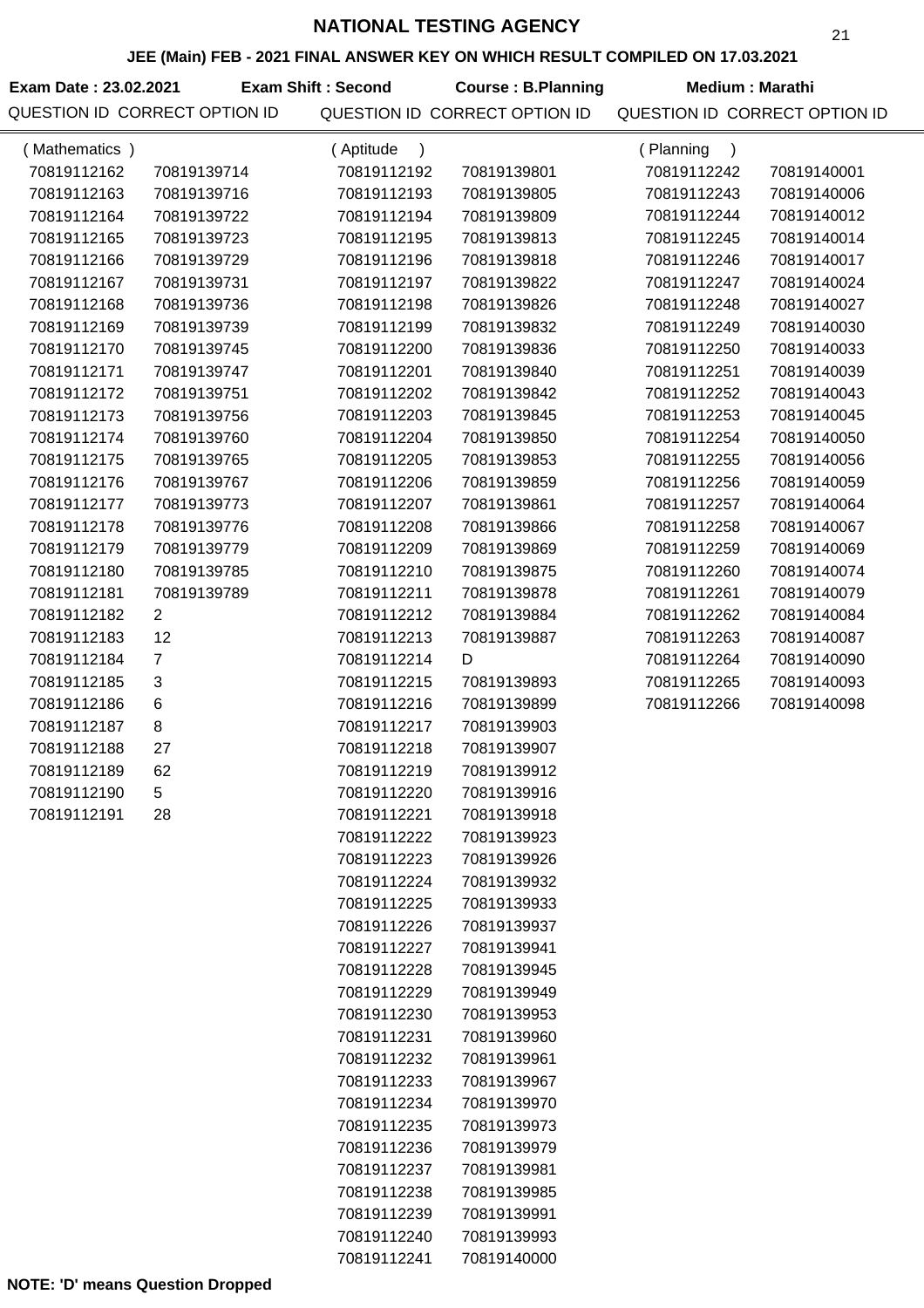#### **JEE (Main) FEB - 2021 FINAL ANSWER KEY ON WHICH RESULT COMPILED ON 17.03.2021**

| Exam Date: 23.02.2021 |                               | <b>Exam Shift: Second</b> | <b>Course: B.Planning</b>     | Medium: Marathi               |             |
|-----------------------|-------------------------------|---------------------------|-------------------------------|-------------------------------|-------------|
|                       | QUESTION ID CORRECT OPTION ID |                           | QUESTION ID CORRECT OPTION ID | QUESTION ID CORRECT OPTION ID |             |
| (Mathematics)         |                               | Aptitude                  |                               | Planning                      |             |
| 70819112162           | 70819139714                   | 70819112192               | 70819139801                   | 70819112242                   | 70819140001 |
| 70819112163           | 70819139716                   | 70819112193               | 70819139805                   | 70819112243                   | 70819140006 |
| 70819112164           | 70819139722                   | 70819112194               | 70819139809                   | 70819112244                   | 70819140012 |
| 70819112165           | 70819139723                   | 70819112195               | 70819139813                   | 70819112245                   | 70819140014 |
| 70819112166           | 70819139729                   | 70819112196               | 70819139818                   | 70819112246                   | 70819140017 |
| 70819112167           | 70819139731                   | 70819112197               | 70819139822                   | 70819112247                   | 70819140024 |
| 70819112168           | 70819139736                   | 70819112198               | 70819139826                   | 70819112248                   | 70819140027 |
| 70819112169           | 70819139739                   | 70819112199               | 70819139832                   | 70819112249                   | 70819140030 |
| 70819112170           | 70819139745                   | 70819112200               | 70819139836                   | 70819112250                   | 70819140033 |
| 70819112171           | 70819139747                   | 70819112201               | 70819139840                   | 70819112251                   | 70819140039 |
| 70819112172           | 70819139751                   | 70819112202               | 70819139842                   | 70819112252                   | 70819140043 |
| 70819112173           | 70819139756                   | 70819112203               | 70819139845                   | 70819112253                   | 70819140045 |
| 70819112174           | 70819139760                   | 70819112204               | 70819139850                   | 70819112254                   | 70819140050 |
| 70819112175           | 70819139765                   | 70819112205               | 70819139853                   | 70819112255                   | 70819140056 |
| 70819112176           | 70819139767                   | 70819112206               | 70819139859                   | 70819112256                   | 70819140059 |

70819112207 70819139861 70819112208 70819139866 70819112209 70819139869 70819112210 70819139875 70819112211 70819139878 70819112212 70819139884 70819112213 70819139887

70819112214 D

70819112177 70819139773 70819112178 70819139776 70819112179 70819139779 70819112180 70819139785 70819112181 70819139789

70819112257 70819140064 70819112258 70819140067 70819112259 70819140069 70819112260 70819140074 70819112261 70819140079 70819112262 70819140084 70819112263 70819140087 70819112264 70819140090 70819112265 70819140093 70819112266 70819140098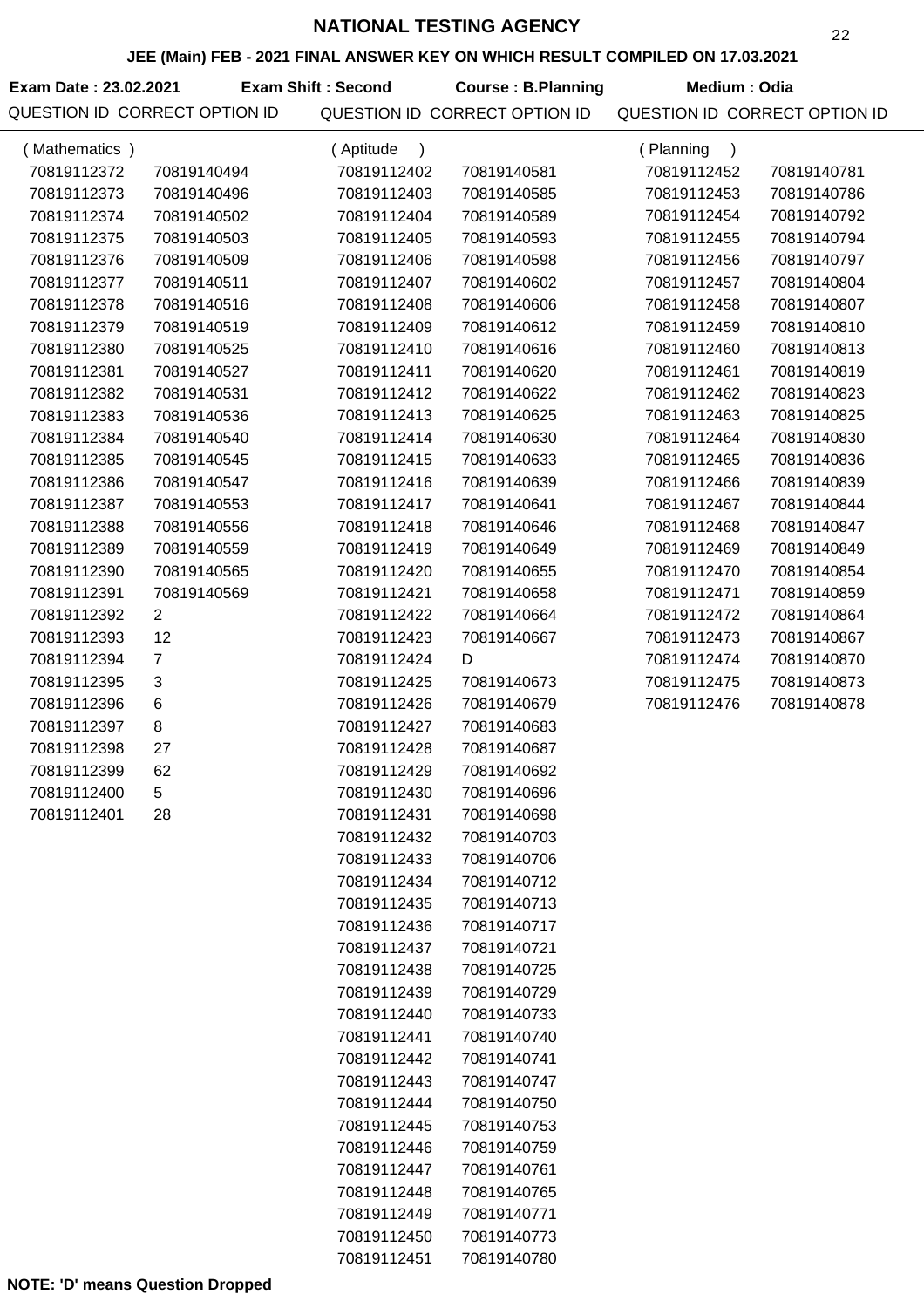### **JEE (Main) FEB - 2021 FINAL ANSWER KEY ON WHICH RESULT COMPILED ON 17.03.2021**

**Exam Date : 23.02.2021 Course : B.Planning Medium : Odia Exam Shift : Second** QUESTION ID CORRECT OPTION ID QUESTION ID CORRECT OPTION ID QUESTION ID CORRECT OPTION ID

| (Mathematics) |                | (Aptitude<br>$\lambda$ |             | (Planning<br>$\lambda$ |             |
|---------------|----------------|------------------------|-------------|------------------------|-------------|
| 70819112372   | 70819140494    | 70819112402            | 70819140581 | 70819112452            | 70819140781 |
| 70819112373   | 70819140496    | 70819112403            | 70819140585 | 70819112453            | 70819140786 |
| 70819112374   | 70819140502    | 70819112404            | 70819140589 | 70819112454            | 70819140792 |
| 70819112375   | 70819140503    | 70819112405            | 70819140593 | 70819112455            | 70819140794 |
| 70819112376   | 70819140509    | 70819112406            | 70819140598 | 70819112456            | 70819140797 |
| 70819112377   | 70819140511    | 70819112407            | 70819140602 | 70819112457            | 70819140804 |
| 70819112378   | 70819140516    | 70819112408            | 70819140606 | 70819112458            | 70819140807 |
| 70819112379   | 70819140519    | 70819112409            | 70819140612 | 70819112459            | 70819140810 |
| 70819112380   | 70819140525    | 70819112410            | 70819140616 | 70819112460            | 70819140813 |
| 70819112381   | 70819140527    | 70819112411            | 70819140620 | 70819112461            | 70819140819 |
| 70819112382   | 70819140531    | 70819112412            | 70819140622 | 70819112462            | 70819140823 |
| 70819112383   | 70819140536    | 70819112413            | 70819140625 | 70819112463            | 70819140825 |
| 70819112384   | 70819140540    | 70819112414            | 70819140630 | 70819112464            | 70819140830 |
| 70819112385   | 70819140545    | 70819112415            | 70819140633 | 70819112465            | 70819140836 |
| 70819112386   | 70819140547    | 70819112416            | 70819140639 | 70819112466            | 70819140839 |
| 70819112387   | 70819140553    | 70819112417            | 70819140641 | 70819112467            | 70819140844 |
| 70819112388   | 70819140556    | 70819112418            | 70819140646 | 70819112468            | 70819140847 |
| 70819112389   | 70819140559    | 70819112419            | 70819140649 | 70819112469            | 70819140849 |
| 70819112390   | 70819140565    | 70819112420            | 70819140655 | 70819112470            | 70819140854 |
| 70819112391   | 70819140569    | 70819112421            | 70819140658 | 70819112471            | 70819140859 |
| 70819112392   | $\overline{2}$ | 70819112422            | 70819140664 | 70819112472            | 70819140864 |
| 70819112393   | 12             | 70819112423            | 70819140667 | 70819112473            | 70819140867 |
| 70819112394   | $\overline{7}$ | 70819112424            | D           | 70819112474            | 70819140870 |
| 70819112395   | 3              | 70819112425            | 70819140673 | 70819112475            | 70819140873 |
| 70819112396   | 6              | 70819112426            | 70819140679 | 70819112476            | 70819140878 |
| 70819112397   | 8              | 70819112427            | 70819140683 |                        |             |
| 70819112398   | 27             | 70819112428            | 70819140687 |                        |             |
| 70819112399   | 62             | 70819112429            | 70819140692 |                        |             |
| 70819112400   | 5              | 70819112430            | 70819140696 |                        |             |
| 70819112401   | 28             | 70819112431            | 70819140698 |                        |             |
|               |                | 70819112432            | 70819140703 |                        |             |
|               |                | 70819112433            | 70819140706 |                        |             |
|               |                | 70819112434            | 70819140712 |                        |             |
|               |                | 70819112435            | 70819140713 |                        |             |
|               |                | 70819112436            | 70819140717 |                        |             |
|               |                | 70819112437            | 70819140721 |                        |             |
|               |                | 70819112438            | 70819140725 |                        |             |
|               |                | 70819112439            | 70819140729 |                        |             |
|               |                | 70819112440            | 70819140733 |                        |             |
|               |                | 70819112441            | 70819140740 |                        |             |
|               |                | 70819112442            | 70819140741 |                        |             |
|               |                | 70819112443            | 70819140747 |                        |             |
|               |                | 70819112444            | 70819140750 |                        |             |
|               |                | 70819112445            | 70819140753 |                        |             |
|               |                | 70819112446            | 70819140759 |                        |             |
|               |                | 70819112447            | 70819140761 |                        |             |
|               |                | 70819112448            | 70819140765 |                        |             |
|               |                | 70819112449            | 70819140771 |                        |             |
|               |                | 70819112450            | 70819140773 |                        |             |
|               |                | 70819112451            | 70819140780 |                        |             |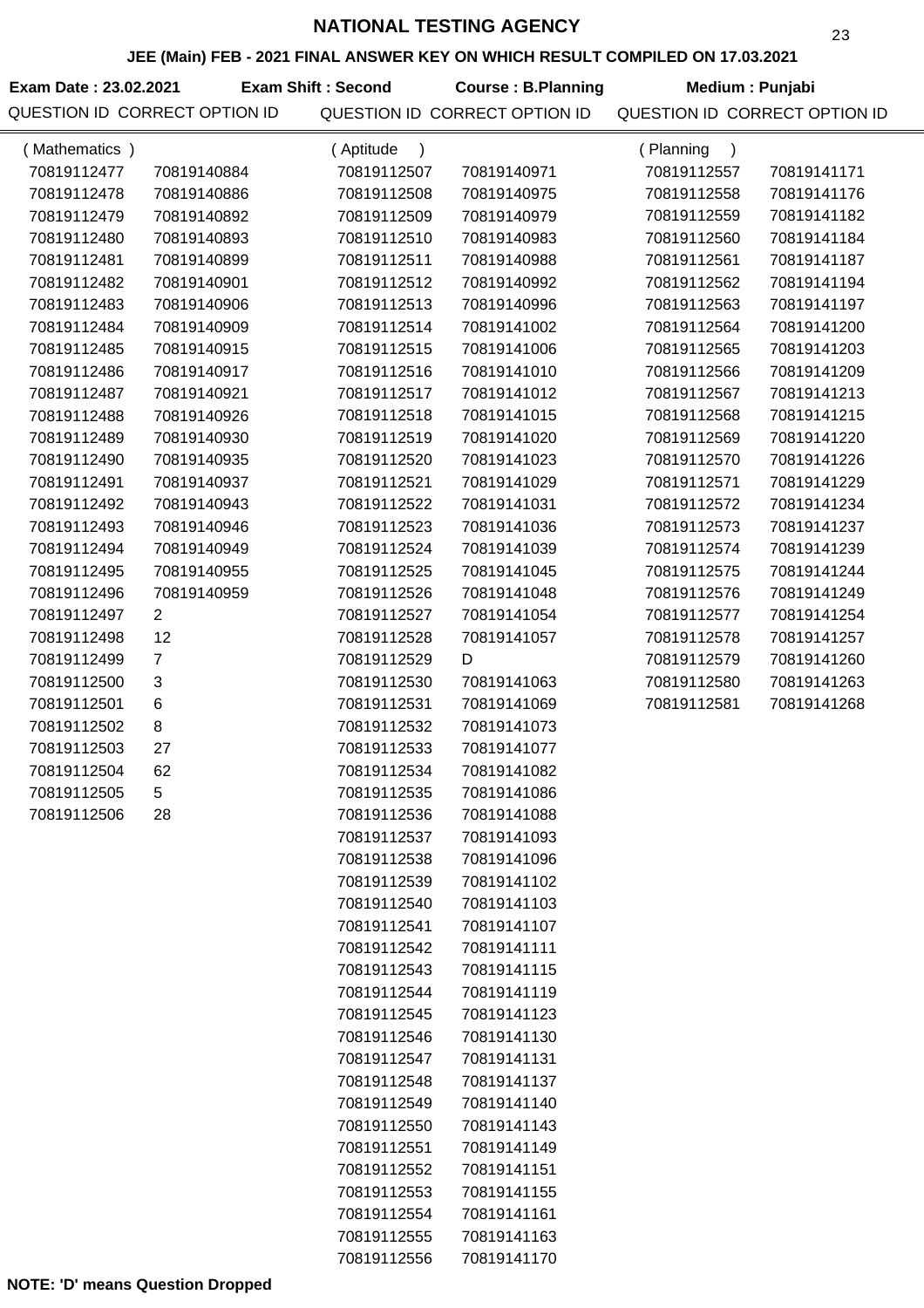## **JEE (Main) FEB - 2021 FINAL ANSWER KEY ON WHICH RESULT COMPILED ON 17.03.2021**

Exam Date : 23.02.2021 **Exam Shift : Second Course : B.Planning Medium : Punjabi** QUESTION ID CORRECT OPTION ID QUESTION ID CORRECT OPTION ID QUESTION ID CORRECT OPTION ID **Exam Shift : Second**

| (Mathematics) |                | (Aptitude<br>$\lambda$ |             | (Planning<br>$\lambda$ |             |
|---------------|----------------|------------------------|-------------|------------------------|-------------|
| 70819112477   | 70819140884    | 70819112507            | 70819140971 | 70819112557            | 70819141171 |
| 70819112478   | 70819140886    | 70819112508            | 70819140975 | 70819112558            | 70819141176 |
| 70819112479   | 70819140892    | 70819112509            | 70819140979 | 70819112559            | 70819141182 |
| 70819112480   | 70819140893    | 70819112510            | 70819140983 | 70819112560            | 70819141184 |
| 70819112481   | 70819140899    | 70819112511            | 70819140988 | 70819112561            | 70819141187 |
| 70819112482   | 70819140901    | 70819112512            | 70819140992 | 70819112562            | 70819141194 |
| 70819112483   | 70819140906    | 70819112513            | 70819140996 | 70819112563            | 70819141197 |
| 70819112484   | 70819140909    | 70819112514            | 70819141002 | 70819112564            | 70819141200 |
| 70819112485   | 70819140915    | 70819112515            | 70819141006 | 70819112565            | 70819141203 |
| 70819112486   | 70819140917    | 70819112516            | 70819141010 | 70819112566            | 70819141209 |
| 70819112487   | 70819140921    | 70819112517            | 70819141012 | 70819112567            | 70819141213 |
| 70819112488   | 70819140926    | 70819112518            | 70819141015 | 70819112568            | 70819141215 |
| 70819112489   | 70819140930    | 70819112519            | 70819141020 | 70819112569            | 70819141220 |
| 70819112490   | 70819140935    | 70819112520            | 70819141023 | 70819112570            | 70819141226 |
| 70819112491   | 70819140937    | 70819112521            | 70819141029 | 70819112571            | 70819141229 |
| 70819112492   | 70819140943    | 70819112522            | 70819141031 | 70819112572            | 70819141234 |
| 70819112493   | 70819140946    | 70819112523            | 70819141036 | 70819112573            | 70819141237 |
| 70819112494   | 70819140949    | 70819112524            | 70819141039 | 70819112574            | 70819141239 |
| 70819112495   | 70819140955    | 70819112525            | 70819141045 | 70819112575            | 70819141244 |
| 70819112496   | 70819140959    | 70819112526            | 70819141048 | 70819112576            | 70819141249 |
| 70819112497   | $\overline{2}$ | 70819112527            | 70819141054 | 70819112577            | 70819141254 |
| 70819112498   | 12             | 70819112528            | 70819141057 | 70819112578            | 70819141257 |
| 70819112499   | $\overline{7}$ | 70819112529            | D           | 70819112579            | 70819141260 |
| 70819112500   | 3              | 70819112530            | 70819141063 | 70819112580            | 70819141263 |
| 70819112501   | 6              | 70819112531            | 70819141069 | 70819112581            | 70819141268 |
| 70819112502   | 8              | 70819112532            | 70819141073 |                        |             |
| 70819112503   | 27             | 70819112533            | 70819141077 |                        |             |
| 70819112504   | 62             | 70819112534            | 70819141082 |                        |             |
| 70819112505   | 5              | 70819112535            | 70819141086 |                        |             |
| 70819112506   | 28             | 70819112536            | 70819141088 |                        |             |
|               |                | 70819112537            | 70819141093 |                        |             |
|               |                | 70819112538            | 70819141096 |                        |             |
|               |                | 70819112539            | 70819141102 |                        |             |
|               |                | 70819112540            | 70819141103 |                        |             |
|               |                | 70819112541            | 70819141107 |                        |             |
|               |                | 70819112542            | 70819141111 |                        |             |
|               |                | 70819112543            | 70819141115 |                        |             |
|               |                | 70819112544            | 70819141119 |                        |             |
|               |                | 70819112545            | 70819141123 |                        |             |
|               |                | 70819112546            | 70819141130 |                        |             |
|               |                | 70819112547            | 70819141131 |                        |             |
|               |                | 70819112548            | 70819141137 |                        |             |
|               |                | 70819112549            | 70819141140 |                        |             |
|               |                | 70819112550            | 70819141143 |                        |             |
|               |                | 70819112551            | 70819141149 |                        |             |
|               |                | 70819112552            | 70819141151 |                        |             |
|               |                | 70819112553            | 70819141155 |                        |             |
|               |                | 70819112554            | 70819141161 |                        |             |
|               |                | 70819112555            | 70819141163 |                        |             |
|               |                | 70819112556            | 70819141170 |                        |             |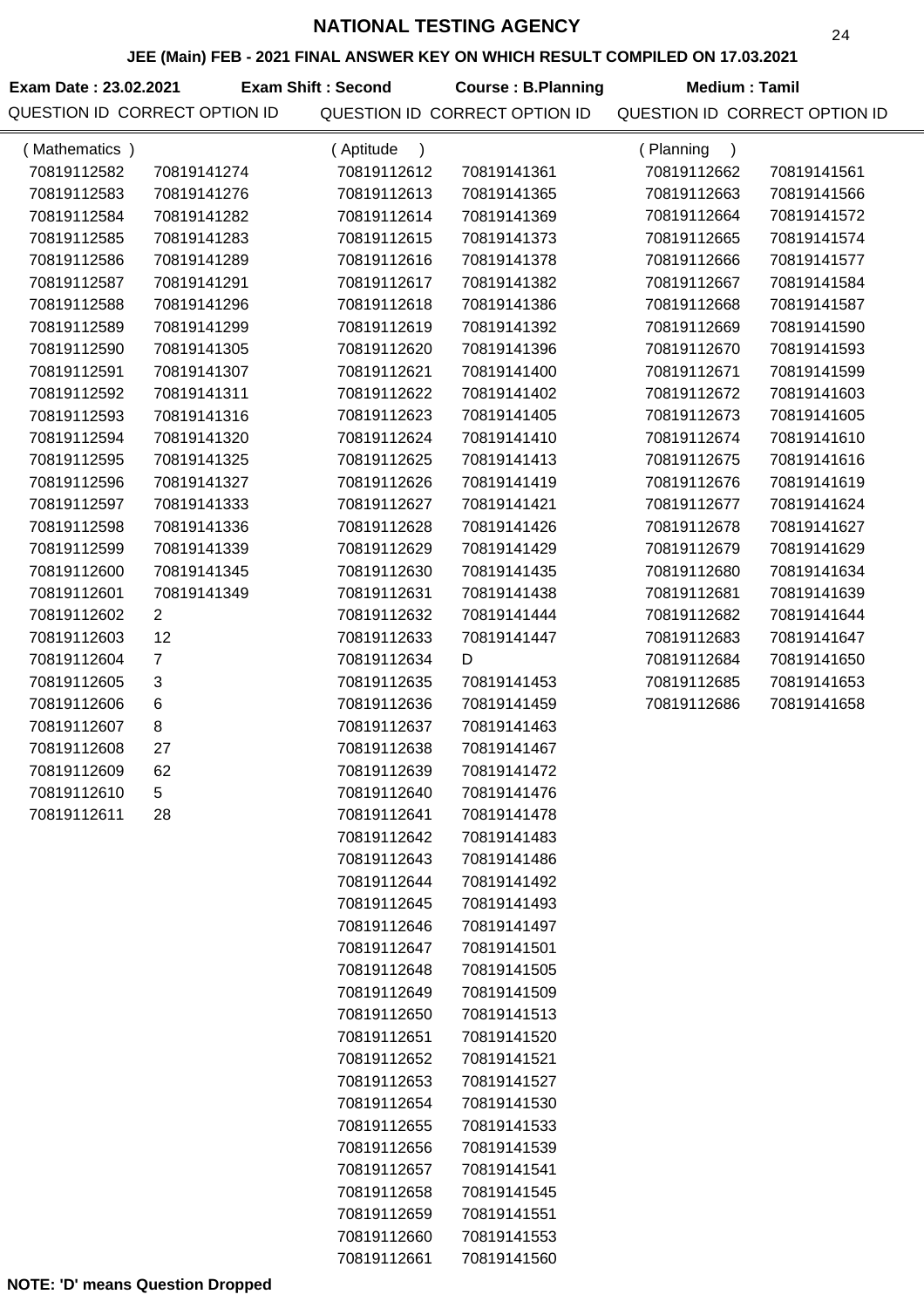# **JEE (Main) FEB - 2021 FINAL ANSWER KEY ON WHICH RESULT COMPILED ON 17.03.2021**

| Exam Date: 23.02.2021         | <b>Exam Shift : Second</b> | Course: B.Planning            | Medium : Tamil                |  |
|-------------------------------|----------------------------|-------------------------------|-------------------------------|--|
| QUESTION ID CORRECT OPTION ID |                            | QUESTION ID CORRECT OPTION ID | QUESTION ID CORRECT OPTION ID |  |

| (Mathematics) |                | (Aptitude<br>$\lambda$     |                            | (Planning<br>$\lambda$ |             |
|---------------|----------------|----------------------------|----------------------------|------------------------|-------------|
| 70819112582   | 70819141274    | 70819112612                | 70819141361                | 70819112662            | 70819141561 |
| 70819112583   | 70819141276    | 70819112613                | 70819141365                | 70819112663            | 70819141566 |
| 70819112584   | 70819141282    | 70819112614                | 70819141369                | 70819112664            | 70819141572 |
| 70819112585   | 70819141283    | 70819112615                | 70819141373                | 70819112665            | 70819141574 |
| 70819112586   | 70819141289    | 70819112616                | 70819141378                | 70819112666            | 70819141577 |
| 70819112587   | 70819141291    | 70819112617                | 70819141382                | 70819112667            | 70819141584 |
| 70819112588   | 70819141296    | 70819112618                | 70819141386                | 70819112668            | 70819141587 |
| 70819112589   | 70819141299    | 70819112619                | 70819141392                | 70819112669            | 70819141590 |
| 70819112590   | 70819141305    | 70819112620                | 70819141396                | 70819112670            | 70819141593 |
| 70819112591   | 70819141307    | 70819112621                | 70819141400                | 70819112671            | 70819141599 |
| 70819112592   | 70819141311    | 70819112622                | 70819141402                | 70819112672            | 70819141603 |
| 70819112593   | 70819141316    | 70819112623                | 70819141405                | 70819112673            | 70819141605 |
| 70819112594   | 70819141320    | 70819112624                | 70819141410                | 70819112674            | 70819141610 |
| 70819112595   | 70819141325    | 70819112625                | 70819141413                | 70819112675            | 70819141616 |
| 70819112596   | 70819141327    | 70819112626                | 70819141419                | 70819112676            | 70819141619 |
| 70819112597   | 70819141333    | 70819112627                | 70819141421                | 70819112677            | 70819141624 |
| 70819112598   | 70819141336    | 70819112628                | 70819141426                | 70819112678            | 70819141627 |
| 70819112599   | 70819141339    | 70819112629                | 70819141429                | 70819112679            | 70819141629 |
| 70819112600   | 70819141345    | 70819112630                | 70819141435                | 70819112680            | 70819141634 |
| 70819112601   | 70819141349    | 70819112631                | 70819141438                | 70819112681            | 70819141639 |
| 70819112602   | $\overline{2}$ | 70819112632                | 70819141444                | 70819112682            | 70819141644 |
| 70819112603   | 12             | 70819112633                | 70819141447                | 70819112683            | 70819141647 |
| 70819112604   | $\overline{7}$ | 70819112634                | D                          | 70819112684            | 70819141650 |
| 70819112605   | 3              | 70819112635                | 70819141453                | 70819112685            | 70819141653 |
| 70819112606   | $\,6$          | 70819112636                | 70819141459                | 70819112686            | 70819141658 |
| 70819112607   | 8              | 70819112637                | 70819141463                |                        |             |
| 70819112608   | 27             | 70819112638                | 70819141467                |                        |             |
| 70819112609   | 62             | 70819112639                | 70819141472                |                        |             |
| 70819112610   | 5              | 70819112640                | 70819141476                |                        |             |
| 70819112611   | 28             | 70819112641                | 70819141478                |                        |             |
|               |                | 70819112642                | 70819141483                |                        |             |
|               |                | 70819112643                | 70819141486                |                        |             |
|               |                | 70819112644                | 70819141492                |                        |             |
|               |                | 70819112645                | 70819141493                |                        |             |
|               |                | 70819112646                | 70819141497                |                        |             |
|               |                | 70819112647                | 70819141501                |                        |             |
|               |                | 70819112648                | 70819141505                |                        |             |
|               |                | 70819112649                | 70819141509                |                        |             |
|               |                | 70819112650                | 70819141513                |                        |             |
|               |                | 70819112651                | 70819141520                |                        |             |
|               |                |                            |                            |                        |             |
|               |                | 70819112652<br>70819112653 | 70819141521<br>70819141527 |                        |             |
|               |                | 70819112654                | 70819141530                |                        |             |
|               |                | 70819112655                | 70819141533                |                        |             |
|               |                |                            |                            |                        |             |
|               |                | 70819112656<br>70819112657 | 70819141539<br>70819141541 |                        |             |
|               |                | 70819112658                | 70819141545                |                        |             |
|               |                | 70819112659                | 70819141551                |                        |             |
|               |                | 70819112660                | 70819141553                |                        |             |
|               |                | 70819112661                | 70819141560                |                        |             |
|               |                |                            |                            |                        |             |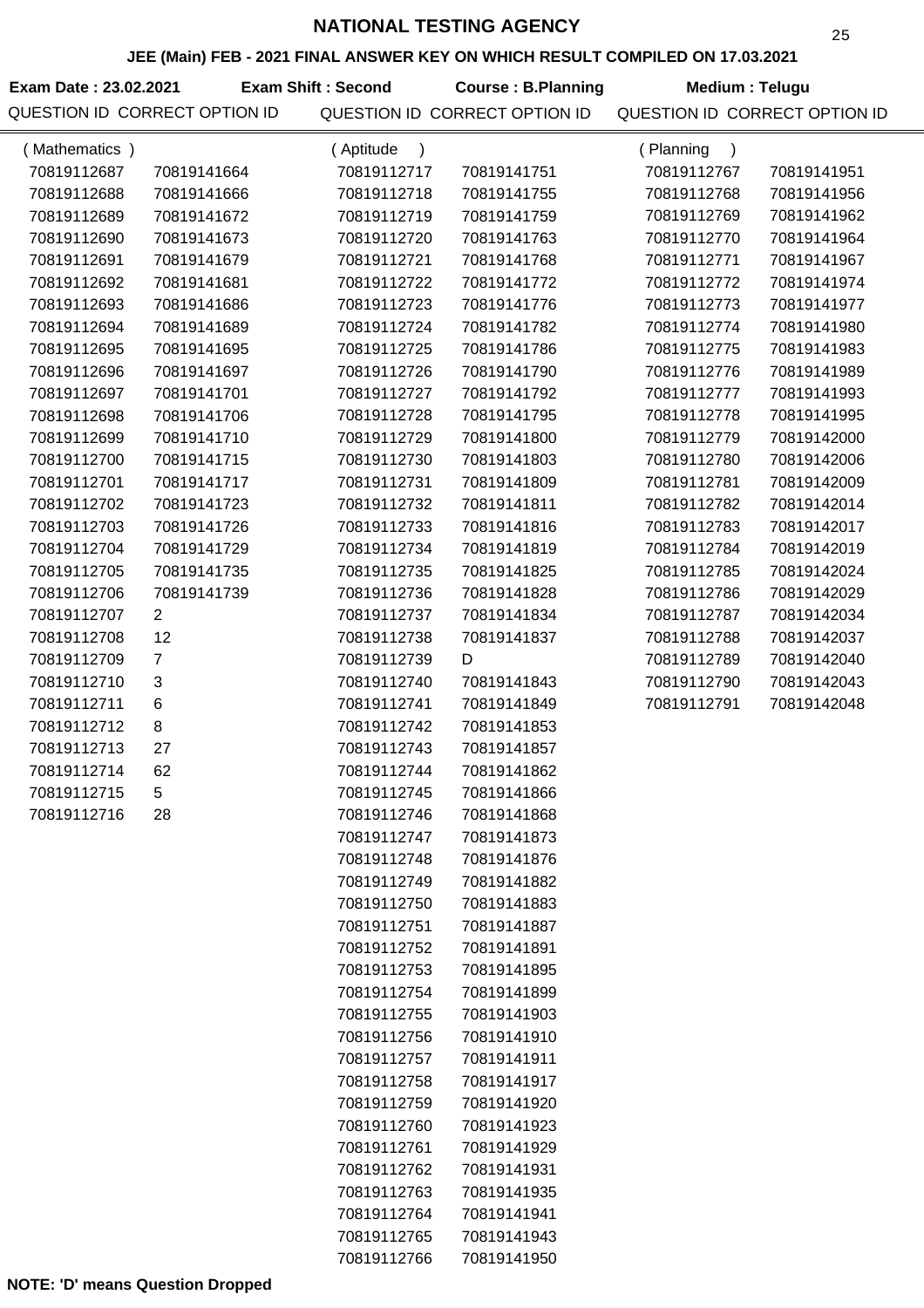# **JEE (Main) FEB - 2021 FINAL ANSWER KEY ON WHICH RESULT COMPILED ON 17.03.2021**

| Exam Date: 23.02.2021 |                               | <b>Exam Shift: Second</b> | <b>Course: B.Planning</b>     | Medium: Telugu                |             |
|-----------------------|-------------------------------|---------------------------|-------------------------------|-------------------------------|-------------|
|                       | QUESTION ID CORRECT OPTION ID |                           | QUESTION ID CORRECT OPTION ID | QUESTION ID CORRECT OPTION ID |             |
| Mathematics )         |                               | Aptitude                  |                               | Planning                      |             |
| 70819112687           | 70819141664                   | 70819112717               | 70819141751                   | 70819112767                   | 70819141951 |
| 70819112688           | 70819141666                   | 70819112718               | 70819141755                   | 70819112768                   | 70819141956 |
| 70819112689           | 70819141672                   | 70819112719               | 70819141759                   | 70819112769                   | 70819141962 |
| 70819112690           | 70819141673                   | 70819112720               | 70819141763                   | 70819112770                   | 70819141964 |
| 70819112691           | 70819141679                   | 70819112721               | 70819141768                   | 70819112771                   | 70819141967 |
| 70819112692           | 70819141681                   | 70819112722               | 70819141772                   | 70819112772                   | 70819141974 |

| 70819112691 | 70819141679    | 70819112721 | 70819141768 | 70819112771 | 70819141967 |
|-------------|----------------|-------------|-------------|-------------|-------------|
| 70819112692 | 70819141681    | 70819112722 | 70819141772 | 70819112772 | 70819141974 |
| 70819112693 | 70819141686    | 70819112723 | 70819141776 | 70819112773 | 70819141977 |
| 70819112694 | 70819141689    | 70819112724 | 70819141782 | 70819112774 | 70819141980 |
| 70819112695 | 70819141695    | 70819112725 | 70819141786 | 70819112775 | 70819141983 |
| 70819112696 | 70819141697    | 70819112726 | 70819141790 | 70819112776 | 70819141989 |
| 70819112697 | 70819141701    | 70819112727 | 70819141792 | 70819112777 | 70819141993 |
| 70819112698 | 70819141706    | 70819112728 | 70819141795 | 70819112778 | 70819141995 |
| 70819112699 | 70819141710    | 70819112729 | 70819141800 | 70819112779 | 70819142000 |
| 70819112700 | 70819141715    | 70819112730 | 70819141803 | 70819112780 | 70819142006 |
| 70819112701 | 70819141717    | 70819112731 | 70819141809 | 70819112781 | 70819142009 |
| 70819112702 | 70819141723    | 70819112732 | 70819141811 | 70819112782 | 70819142014 |
| 70819112703 | 70819141726    | 70819112733 | 70819141816 | 70819112783 | 70819142017 |
| 70819112704 | 70819141729    | 70819112734 | 70819141819 | 70819112784 | 70819142019 |
| 70819112705 | 70819141735    | 70819112735 | 70819141825 | 70819112785 | 70819142024 |
| 70819112706 | 70819141739    | 70819112736 | 70819141828 | 70819112786 | 70819142029 |
| 70819112707 | $\overline{2}$ | 70819112737 | 70819141834 | 70819112787 | 70819142034 |
| 70819112708 | 12             | 70819112738 | 70819141837 | 70819112788 | 70819142037 |
| 70819112709 | $\overline{7}$ | 70819112739 | D           | 70819112789 | 70819142040 |
| 70819112710 | 3              | 70819112740 | 70819141843 | 70819112790 | 70819142043 |
| 70819112711 | 6              | 70819112741 | 70819141849 | 70819112791 | 70819142048 |
| 70819112712 | 8              | 70819112742 | 70819141853 |             |             |
| 70819112713 | 27             | 70819112743 | 70819141857 |             |             |
| 70819112714 | 62             | 70819112744 | 70819141862 |             |             |
| 70819112715 | 5              | 70819112745 | 70819141866 |             |             |
| 70819112716 | 28             | 70819112746 | 70819141868 |             |             |
|             |                | 70819112747 | 70819141873 |             |             |
|             |                | 70819112748 | 70819141876 |             |             |
|             |                | 70819112749 | 70819141882 |             |             |
|             |                | 70819112750 | 70819141883 |             |             |
|             |                | 70819112751 | 70819141887 |             |             |
|             |                | 70819112752 | 70819141891 |             |             |
|             |                | 70819112753 | 70819141895 |             |             |
|             |                | 70819112754 | 70819141899 |             |             |
|             |                | 70819112755 | 70819141903 |             |             |
|             |                | 70819112756 | 70819141910 |             |             |
|             |                | 70819112757 | 70819141911 |             |             |
|             |                | 70819112758 | 70819141917 |             |             |
|             |                | 70819112759 | 70819141920 |             |             |
|             |                | 70819112760 | 70819141923 |             |             |
|             |                | 70819112761 | 70819141929 |             |             |
|             |                | 70819112762 | 70819141931 |             |             |
|             |                | 70819112763 | 70819141935 |             |             |
|             |                | 70819112764 | 70819141941 |             |             |
|             |                | 70819112765 | 70819141943 |             |             |
|             |                | 70819112766 | 70819141950 |             |             |
|             |                |             |             |             |             |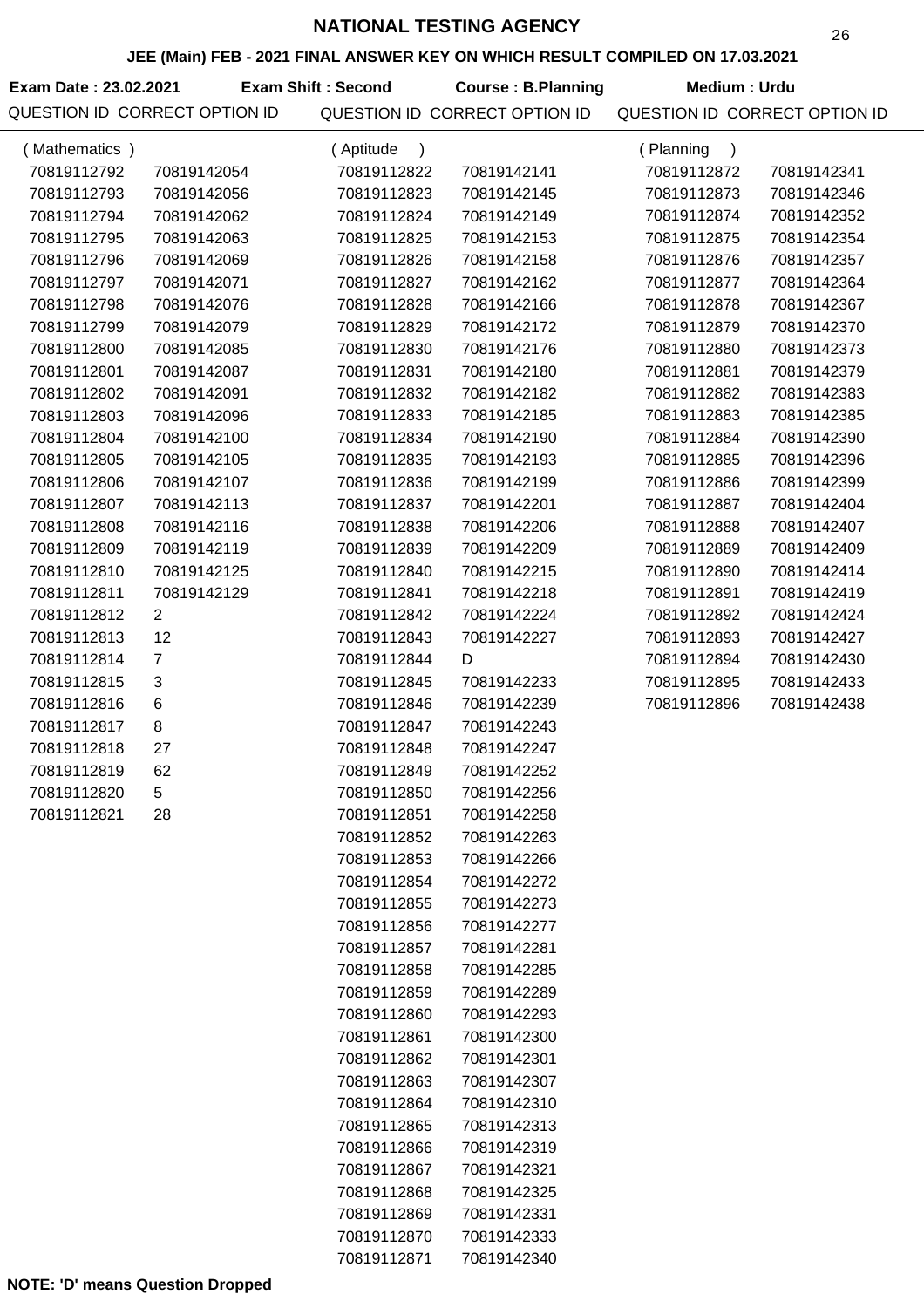### **JEE (Main) FEB - 2021 FINAL ANSWER KEY ON WHICH RESULT COMPILED ON 17.03.2021**

| Exam Date: 23.02.2021         | Exam Shift : Second | <b>Course: B.Planning</b>     | Medium : Urdu       |
|-------------------------------|---------------------|-------------------------------|---------------------|
| QUESTION ID CORRECT OPTION ID |                     | QUESTION ID CORRECT OPTION ID | QUESTION ID CORRECT |

| (Mathematics) |                | (Aptitude<br>$\lambda$ |             | (Planning   |             |
|---------------|----------------|------------------------|-------------|-------------|-------------|
| 70819112792   | 70819142054    | 70819112822            | 70819142141 | 70819112872 | 70819142341 |
| 70819112793   | 70819142056    | 70819112823            | 70819142145 | 70819112873 | 70819142346 |
| 70819112794   | 70819142062    | 70819112824            | 70819142149 | 70819112874 | 70819142352 |
| 70819112795   | 70819142063    | 70819112825            | 70819142153 | 70819112875 | 70819142354 |
| 70819112796   | 70819142069    | 70819112826            | 70819142158 | 70819112876 | 70819142357 |
| 70819112797   | 70819142071    | 70819112827            | 70819142162 | 70819112877 | 70819142364 |
| 70819112798   | 70819142076    | 70819112828            | 70819142166 | 70819112878 | 70819142367 |
| 70819112799   | 70819142079    | 70819112829            | 70819142172 | 70819112879 | 70819142370 |
| 70819112800   | 70819142085    | 70819112830            | 70819142176 | 70819112880 | 70819142373 |
| 70819112801   | 70819142087    | 70819112831            | 70819142180 | 70819112881 | 70819142379 |
| 70819112802   | 70819142091    | 70819112832            | 70819142182 | 70819112882 | 70819142383 |
| 70819112803   | 70819142096    | 70819112833            | 70819142185 | 70819112883 | 70819142385 |
| 70819112804   | 70819142100    | 70819112834            | 70819142190 | 70819112884 | 70819142390 |
| 70819112805   | 70819142105    | 70819112835            | 70819142193 | 70819112885 | 70819142396 |
| 70819112806   | 70819142107    | 70819112836            | 70819142199 | 70819112886 | 70819142399 |
| 70819112807   | 70819142113    | 70819112837            | 70819142201 | 70819112887 | 70819142404 |
| 70819112808   | 70819142116    | 70819112838            | 70819142206 | 70819112888 | 70819142407 |
| 70819112809   | 70819142119    | 70819112839            | 70819142209 | 70819112889 | 70819142409 |
| 70819112810   | 70819142125    | 70819112840            | 70819142215 | 70819112890 | 70819142414 |
| 70819112811   | 70819142129    | 70819112841            | 70819142218 | 70819112891 | 70819142419 |
| 70819112812   | $\overline{2}$ | 70819112842            | 70819142224 | 70819112892 | 70819142424 |
| 70819112813   | 12             | 70819112843            | 70819142227 | 70819112893 | 70819142427 |
| 70819112814   | $\overline{7}$ | 70819112844            | D           | 70819112894 | 70819142430 |
| 70819112815   | 3              | 70819112845            | 70819142233 | 70819112895 | 70819142433 |
| 70819112816   | $\,6$          | 70819112846            | 70819142239 | 70819112896 | 70819142438 |
| 70819112817   | 8              | 70819112847            | 70819142243 |             |             |
| 70819112818   | 27             | 70819112848            | 70819142247 |             |             |
| 70819112819   | 62             | 70819112849            | 70819142252 |             |             |
| 70819112820   | 5              | 70819112850            | 70819142256 |             |             |
| 70819112821   | 28             | 70819112851            | 70819142258 |             |             |
|               |                | 70819112852            | 70819142263 |             |             |
|               |                | 70819112853            | 70819142266 |             |             |
|               |                | 70819112854            | 70819142272 |             |             |
|               |                | 70819112855            | 70819142273 |             |             |
|               |                | 70819112856            | 70819142277 |             |             |
|               |                | 70819112857            | 70819142281 |             |             |
|               |                | 70819112858            | 70819142285 |             |             |
|               |                | 70819112859            | 70819142289 |             |             |
|               |                | 70819112860            | 70819142293 |             |             |
|               |                | 70819112861            | 70819142300 |             |             |
|               |                | 70819112862            | 70819142301 |             |             |
|               |                | 70819112863            | 70819142307 |             |             |
|               |                | 70819112864            | 70819142310 |             |             |
|               |                | 70819112865            | 70819142313 |             |             |
|               |                | 70819112866            | 70819142319 |             |             |
|               |                | 70819112867            | 70819142321 |             |             |
|               |                | 70819112868            | 70819142325 |             |             |
|               |                | 70819112869            | 70819142331 |             |             |
|               |                | 70819112870            | 70819142333 |             |             |
|               |                | 70819112871            | 70819142340 |             |             |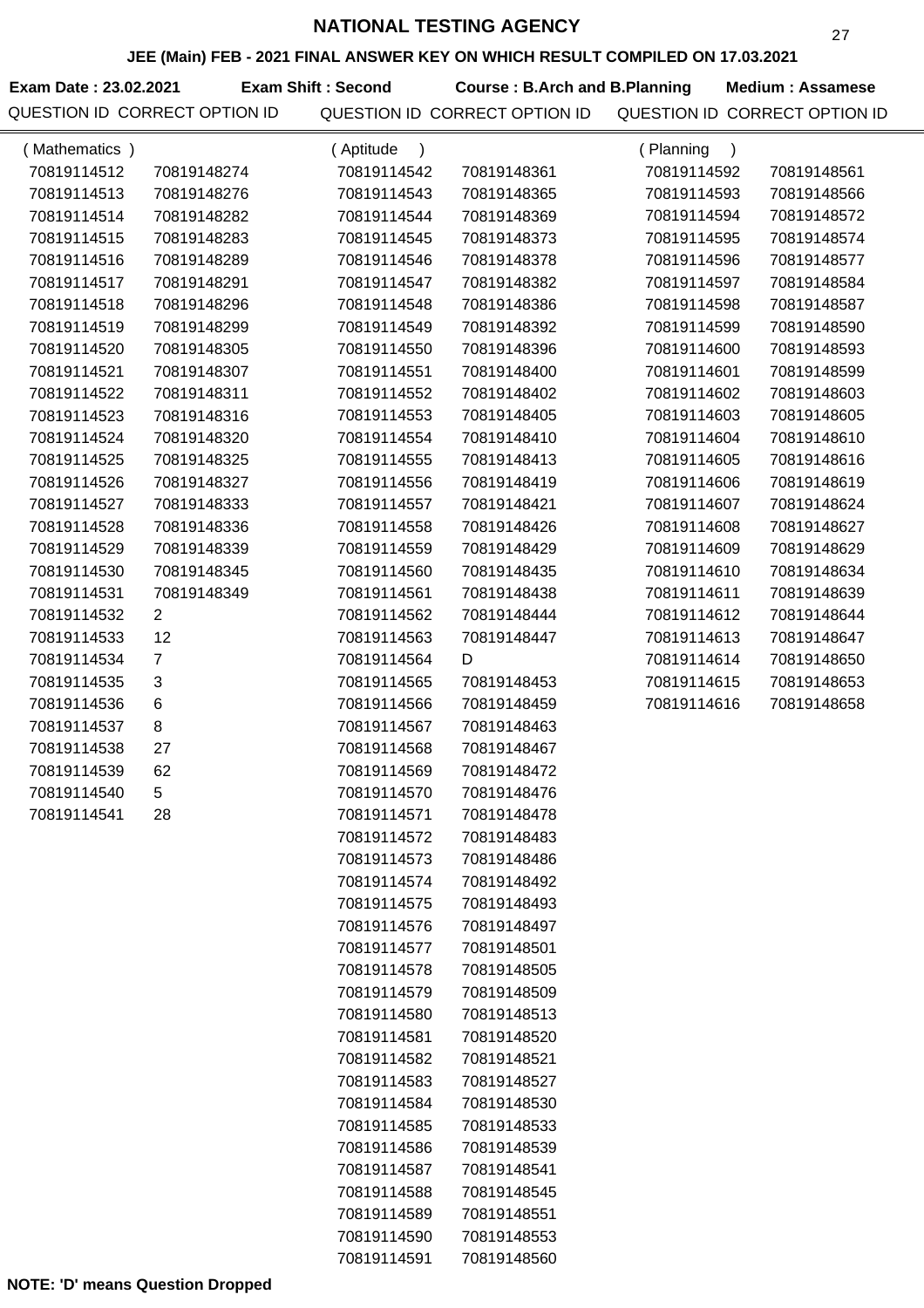**JEE (Main) FEB - 2021 FINAL ANSWER KEY ON WHICH RESULT COMPILED ON 17.03.2021**

**Exam Date : 23.02.2021 Course : B.Arch and B.Planning Medium : Assamese** QUESTION ID CORRECT OPTION ID QUESTION ID CORRECT OPTION ID QUESTION ID CORRECT OPTION ID **Exam Shift : Second**

| (Mathematics) |                | (Aptitude<br>$\mathcal{C}$ |             | (Planning<br>$\lambda$ |             |
|---------------|----------------|----------------------------|-------------|------------------------|-------------|
| 70819114512   | 70819148274    | 70819114542                | 70819148361 | 70819114592            | 70819148561 |
| 70819114513   | 70819148276    | 70819114543                | 70819148365 | 70819114593            | 70819148566 |
| 70819114514   | 70819148282    | 70819114544                | 70819148369 | 70819114594            | 70819148572 |
| 70819114515   | 70819148283    | 70819114545                | 70819148373 | 70819114595            | 70819148574 |
| 70819114516   | 70819148289    | 70819114546                | 70819148378 | 70819114596            | 70819148577 |
| 70819114517   | 70819148291    | 70819114547                | 70819148382 | 70819114597            | 70819148584 |
| 70819114518   | 70819148296    | 70819114548                | 70819148386 | 70819114598            | 70819148587 |
| 70819114519   | 70819148299    | 70819114549                | 70819148392 | 70819114599            | 70819148590 |
| 70819114520   | 70819148305    | 70819114550                | 70819148396 | 70819114600            | 70819148593 |
| 70819114521   | 70819148307    | 70819114551                | 70819148400 | 70819114601            | 70819148599 |
| 70819114522   | 70819148311    | 70819114552                | 70819148402 | 70819114602            | 70819148603 |
| 70819114523   | 70819148316    | 70819114553                | 70819148405 | 70819114603            | 70819148605 |
| 70819114524   | 70819148320    | 70819114554                | 70819148410 | 70819114604            | 70819148610 |
| 70819114525   | 70819148325    | 70819114555                | 70819148413 | 70819114605            | 70819148616 |
| 70819114526   | 70819148327    | 70819114556                | 70819148419 | 70819114606            | 70819148619 |
| 70819114527   | 70819148333    | 70819114557                | 70819148421 | 70819114607            | 70819148624 |
| 70819114528   | 70819148336    | 70819114558                | 70819148426 | 70819114608            | 70819148627 |
| 70819114529   | 70819148339    | 70819114559                | 70819148429 | 70819114609            | 70819148629 |
| 70819114530   | 70819148345    | 70819114560                | 70819148435 | 70819114610            | 70819148634 |
| 70819114531   | 70819148349    | 70819114561                | 70819148438 | 70819114611            | 70819148639 |
| 70819114532   | $\overline{2}$ | 70819114562                | 70819148444 | 70819114612            | 70819148644 |
| 70819114533   | 12             | 70819114563                | 70819148447 | 70819114613            | 70819148647 |
| 70819114534   | $\overline{7}$ | 70819114564                | D           | 70819114614            | 70819148650 |
| 70819114535   | 3              | 70819114565                | 70819148453 | 70819114615            | 70819148653 |
| 70819114536   | 6              | 70819114566                | 70819148459 | 70819114616            | 70819148658 |
| 70819114537   | 8              | 70819114567                | 70819148463 |                        |             |
| 70819114538   | 27             | 70819114568                | 70819148467 |                        |             |
| 70819114539   | 62             | 70819114569                | 70819148472 |                        |             |
| 70819114540   | 5              | 70819114570                | 70819148476 |                        |             |
| 70819114541   | 28             | 70819114571                | 70819148478 |                        |             |
|               |                | 70819114572                | 70819148483 |                        |             |
|               |                | 70819114573                | 70819148486 |                        |             |
|               |                | 70819114574                | 70819148492 |                        |             |
|               |                | 70819114575                | 70819148493 |                        |             |
|               |                | 70819114576                | 70819148497 |                        |             |
|               |                | 70819114577                | 70819148501 |                        |             |
|               |                | 70819114578                | 70819148505 |                        |             |
|               |                | 70819114579                | 70819148509 |                        |             |
|               |                | 70819114580                | 70819148513 |                        |             |
|               |                | 70819114581                | 70819148520 |                        |             |
|               |                | 70819114582                | 70819148521 |                        |             |
|               |                | 70819114583                | 70819148527 |                        |             |
|               |                | 70819114584                | 70819148530 |                        |             |
|               |                | 70819114585                | 70819148533 |                        |             |
|               |                | 70819114586                | 70819148539 |                        |             |
|               |                | 70819114587                | 70819148541 |                        |             |
|               |                | 70819114588                | 70819148545 |                        |             |
|               |                | 70819114589                | 70819148551 |                        |             |
|               |                | 70819114590                | 70819148553 |                        |             |
|               |                | 70819114591                | 70819148560 |                        |             |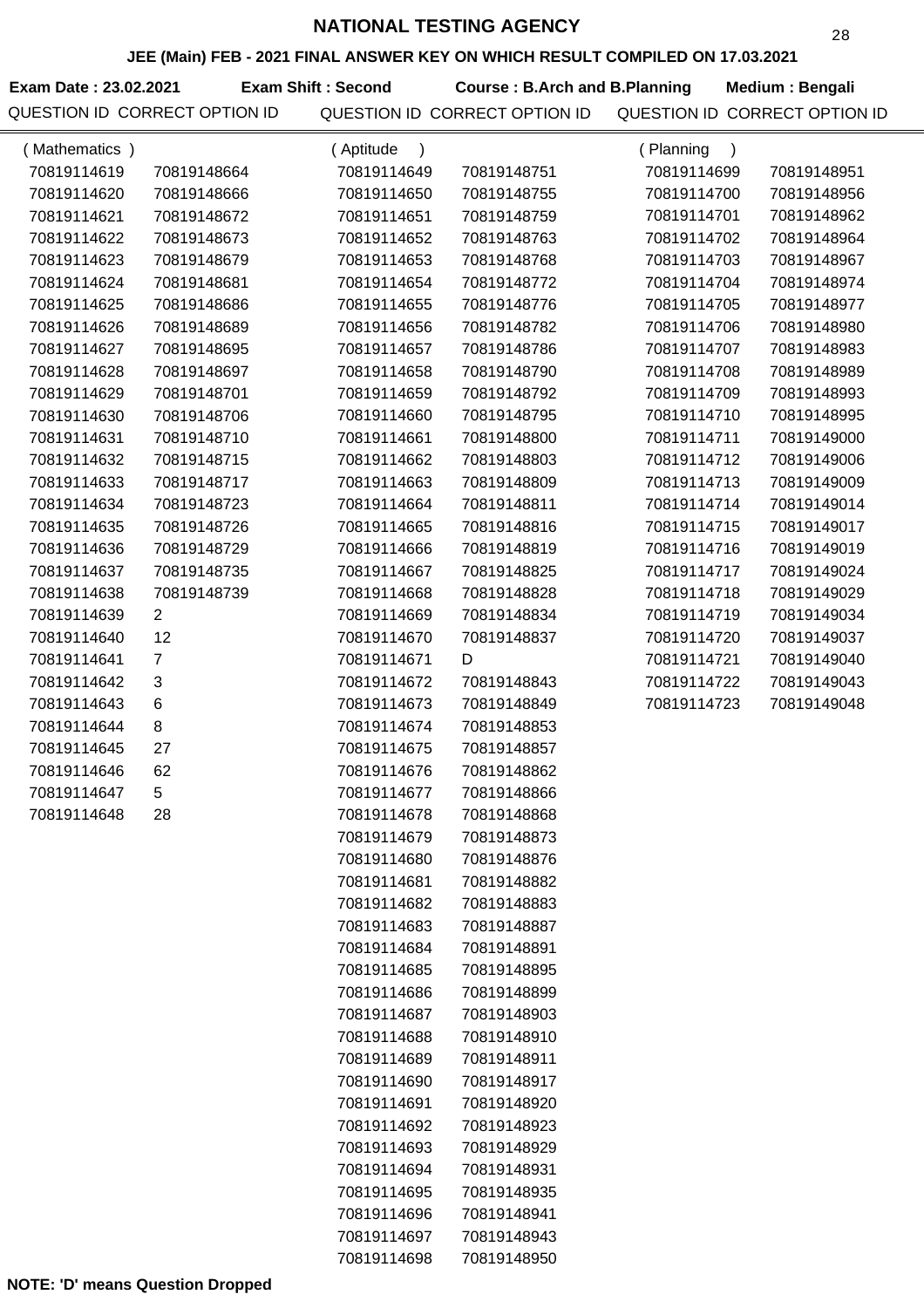**JEE (Main) FEB - 2021 FINAL ANSWER KEY ON WHICH RESULT COMPILED ON 17.03.2021**

**Exam Date : 23.02.2021 Exam Shift : Second Course : B.Arch and B.Planning Medium : Bengali** 

QUESTION ID CORRECT OPTION ID QUESTION ID CORRECT OPTION ID QUESTION ID CORRECT OPTION ID

| (Mathematics) |                | (Aptitude<br>$\lambda$ |             | (Planning<br>$\lambda$ |             |
|---------------|----------------|------------------------|-------------|------------------------|-------------|
| 70819114619   | 70819148664    | 70819114649            | 70819148751 | 70819114699            | 70819148951 |
| 70819114620   | 70819148666    | 70819114650            | 70819148755 | 70819114700            | 70819148956 |
| 70819114621   | 70819148672    | 70819114651            | 70819148759 | 70819114701            | 70819148962 |
| 70819114622   | 70819148673    | 70819114652            | 70819148763 | 70819114702            | 70819148964 |
| 70819114623   | 70819148679    | 70819114653            | 70819148768 | 70819114703            | 70819148967 |
| 70819114624   | 70819148681    | 70819114654            | 70819148772 | 70819114704            | 70819148974 |
| 70819114625   | 70819148686    | 70819114655            | 70819148776 | 70819114705            | 70819148977 |
| 70819114626   | 70819148689    | 70819114656            | 70819148782 | 70819114706            | 70819148980 |
| 70819114627   | 70819148695    | 70819114657            | 70819148786 | 70819114707            | 70819148983 |
| 70819114628   | 70819148697    | 70819114658            | 70819148790 | 70819114708            | 70819148989 |
| 70819114629   | 70819148701    | 70819114659            | 70819148792 | 70819114709            | 70819148993 |
| 70819114630   | 70819148706    | 70819114660            | 70819148795 | 70819114710            | 70819148995 |
| 70819114631   | 70819148710    | 70819114661            | 70819148800 | 70819114711            | 70819149000 |
| 70819114632   | 70819148715    | 70819114662            | 70819148803 | 70819114712            | 70819149006 |
| 70819114633   | 70819148717    | 70819114663            | 70819148809 | 70819114713            | 70819149009 |
| 70819114634   | 70819148723    | 70819114664            | 70819148811 | 70819114714            | 70819149014 |
| 70819114635   | 70819148726    | 70819114665            | 70819148816 | 70819114715            | 70819149017 |
| 70819114636   | 70819148729    | 70819114666            | 70819148819 | 70819114716            | 70819149019 |
| 70819114637   | 70819148735    | 70819114667            | 70819148825 | 70819114717            | 70819149024 |
| 70819114638   | 70819148739    | 70819114668            | 70819148828 | 70819114718            | 70819149029 |
| 70819114639   | $\overline{2}$ | 70819114669            | 70819148834 | 70819114719            | 70819149034 |
| 70819114640   | 12             | 70819114670            | 70819148837 | 70819114720            | 70819149037 |
| 70819114641   | $\overline{7}$ | 70819114671            | D           | 70819114721            | 70819149040 |
| 70819114642   | 3              | 70819114672            | 70819148843 | 70819114722            | 70819149043 |
| 70819114643   | 6              | 70819114673            | 70819148849 | 70819114723            | 70819149048 |
| 70819114644   | 8              | 70819114674            | 70819148853 |                        |             |
| 70819114645   | 27             | 70819114675            | 70819148857 |                        |             |
| 70819114646   | 62             | 70819114676            | 70819148862 |                        |             |
| 70819114647   | 5              | 70819114677            | 70819148866 |                        |             |
| 70819114648   | 28             | 70819114678            | 70819148868 |                        |             |
|               |                | 70819114679            | 70819148873 |                        |             |
|               |                | 70819114680            | 70819148876 |                        |             |
|               |                | 70819114681            | 70819148882 |                        |             |
|               |                | 70819114682            | 70819148883 |                        |             |
|               |                | 70819114683            | 70819148887 |                        |             |
|               |                | 70819114684            | 70819148891 |                        |             |
|               |                | 70819114685            | 70819148895 |                        |             |
|               |                | 70819114686            | 70819148899 |                        |             |
|               |                | 70819114687            | 70819148903 |                        |             |
|               |                | 70819114688            | 70819148910 |                        |             |
|               |                | 70819114689            | 70819148911 |                        |             |
|               |                | 70819114690            | 70819148917 |                        |             |
|               |                | 70819114691            | 70819148920 |                        |             |
|               |                | 70819114692            | 70819148923 |                        |             |
|               |                | 70819114693            | 70819148929 |                        |             |
|               |                | 70819114694            | 70819148931 |                        |             |
|               |                | 70819114695            | 70819148935 |                        |             |
|               |                | 70819114696            | 70819148941 |                        |             |
|               |                | 70819114697            | 70819148943 |                        |             |
|               |                | 70819114698            | 70819148950 |                        |             |

**NOTE: 'D' means Question Dropped**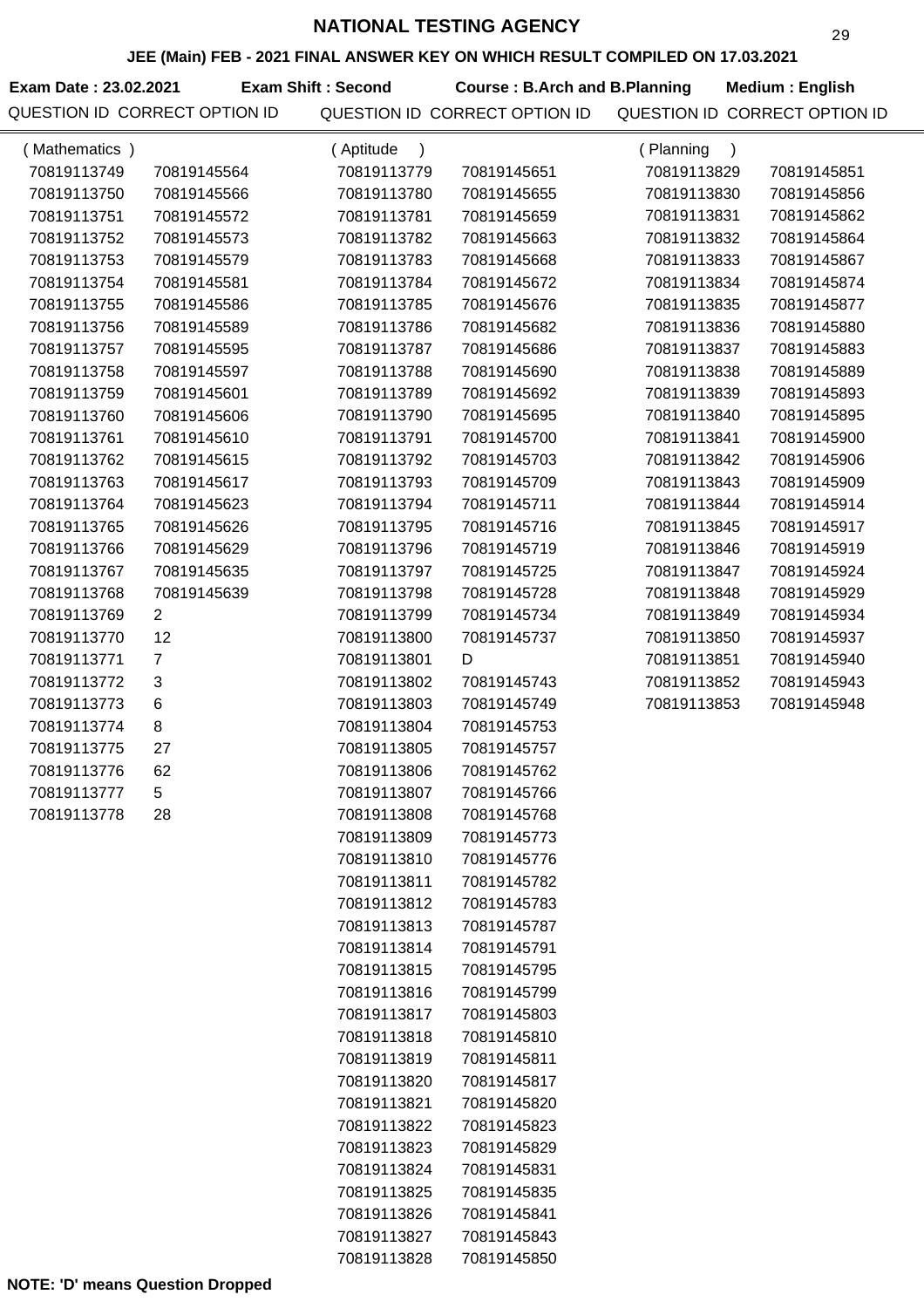**JEE (Main) FEB - 2021 FINAL ANSWER KEY ON WHICH RESULT COMPILED ON 17.03.2021**

**Exam Date : 23.02.2021 Course : B.Arch and B.Planning Medium : English Exam Shift : Second**

| (Mathematics) |                | (Aptitude<br>$\lambda$ |             | (Planning<br>$\lambda$ |             |
|---------------|----------------|------------------------|-------------|------------------------|-------------|
| 70819113749   | 70819145564    | 70819113779            | 70819145651 | 70819113829            | 70819145851 |
| 70819113750   | 70819145566    | 70819113780            | 70819145655 | 70819113830            | 70819145856 |
| 70819113751   | 70819145572    | 70819113781            | 70819145659 | 70819113831            | 70819145862 |
| 70819113752   | 70819145573    | 70819113782            | 70819145663 | 70819113832            | 70819145864 |
| 70819113753   | 70819145579    | 70819113783            | 70819145668 | 70819113833            | 70819145867 |
| 70819113754   | 70819145581    | 70819113784            | 70819145672 | 70819113834            | 70819145874 |
| 70819113755   | 70819145586    | 70819113785            | 70819145676 | 70819113835            | 70819145877 |
| 70819113756   | 70819145589    | 70819113786            | 70819145682 | 70819113836            | 70819145880 |
| 70819113757   | 70819145595    | 70819113787            | 70819145686 | 70819113837            | 70819145883 |
| 70819113758   | 70819145597    | 70819113788            | 70819145690 | 70819113838            | 70819145889 |
| 70819113759   | 70819145601    | 70819113789            | 70819145692 | 70819113839            | 70819145893 |
| 70819113760   | 70819145606    | 70819113790            | 70819145695 | 70819113840            | 70819145895 |
| 70819113761   | 70819145610    | 70819113791            | 70819145700 | 70819113841            | 70819145900 |
| 70819113762   | 70819145615    | 70819113792            | 70819145703 | 70819113842            | 70819145906 |
| 70819113763   | 70819145617    | 70819113793            | 70819145709 | 70819113843            | 70819145909 |
| 70819113764   | 70819145623    | 70819113794            | 70819145711 | 70819113844            | 70819145914 |
| 70819113765   | 70819145626    | 70819113795            | 70819145716 | 70819113845            | 70819145917 |
| 70819113766   | 70819145629    | 70819113796            | 70819145719 | 70819113846            | 70819145919 |
| 70819113767   | 70819145635    | 70819113797            | 70819145725 | 70819113847            | 70819145924 |
| 70819113768   | 70819145639    | 70819113798            | 70819145728 | 70819113848            | 70819145929 |
| 70819113769   | 2              | 70819113799            | 70819145734 | 70819113849            | 70819145934 |
| 70819113770   | 12             | 70819113800            | 70819145737 | 70819113850            | 70819145937 |
| 70819113771   | $\overline{7}$ | 70819113801            | D           | 70819113851            | 70819145940 |
| 70819113772   | 3              | 70819113802            | 70819145743 | 70819113852            | 70819145943 |
| 70819113773   | 6              | 70819113803            | 70819145749 | 70819113853            | 70819145948 |
| 70819113774   | 8              | 70819113804            | 70819145753 |                        |             |
| 70819113775   | 27             | 70819113805            | 70819145757 |                        |             |
| 70819113776   | 62             | 70819113806            | 70819145762 |                        |             |
| 70819113777   | $\,$ 5 $\,$    | 70819113807            | 70819145766 |                        |             |
| 70819113778   | 28             | 70819113808            | 70819145768 |                        |             |
|               |                | 70819113809            | 70819145773 |                        |             |
|               |                | 70819113810            | 70819145776 |                        |             |
|               |                | 70819113811            | 70819145782 |                        |             |
|               |                | 70819113812            | 70819145783 |                        |             |
|               |                | 70819113813            | 70819145787 |                        |             |
|               |                | 70819113814            | 70819145791 |                        |             |
|               |                | 70819113815            | 70819145795 |                        |             |
|               |                | 70819113816            | 70819145799 |                        |             |
|               |                | 70819113817            | 70819145803 |                        |             |
|               |                | 70819113818            | 70819145810 |                        |             |
|               |                | 70819113819            | 70819145811 |                        |             |
|               |                | 70819113820            | 70819145817 |                        |             |
|               |                | 70819113821            | 70819145820 |                        |             |
|               |                | 70819113822            | 70819145823 |                        |             |
|               |                | 70819113823            | 70819145829 |                        |             |
|               |                | 70819113824            | 70819145831 |                        |             |
|               |                | 70819113825            | 70819145835 |                        |             |
|               |                | 70819113826            | 70819145841 |                        |             |
|               |                | 70819113827            | 70819145843 |                        |             |
|               |                | 70819113828            | 70819145850 |                        |             |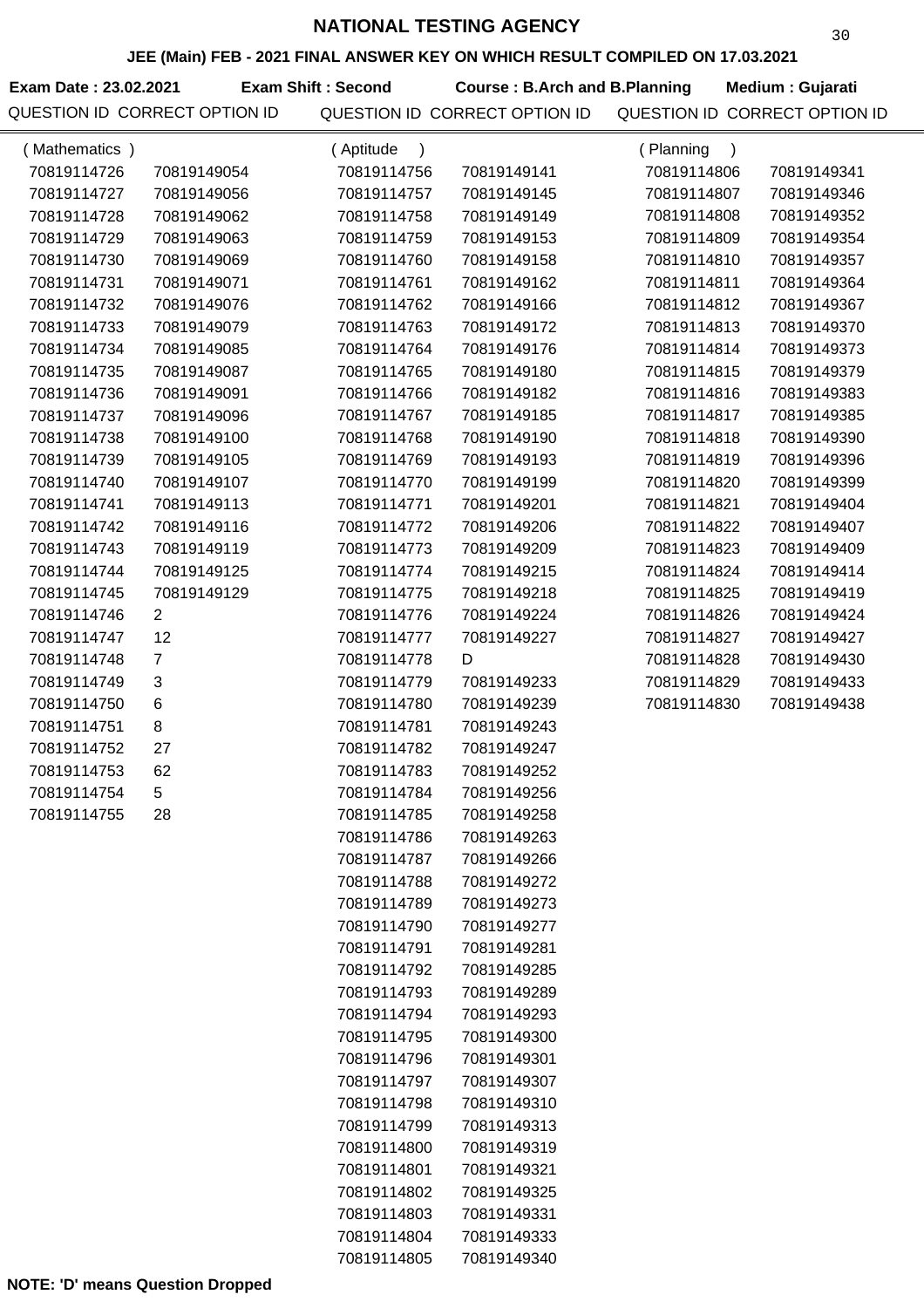**JEE (Main) FEB - 2021 FINAL ANSWER KEY ON WHICH RESULT COMPILED ON 17.03.2021**

Exam Date : 23.02.2021 Exam Shift : Second Course : B.Arch and B.Planning Medium : Gujarati

| (Mathematics) |                | (Aptitude<br>$\lambda$ |             | (Planning<br>$\rightarrow$ |             |
|---------------|----------------|------------------------|-------------|----------------------------|-------------|
| 70819114726   | 70819149054    | 70819114756            | 70819149141 | 70819114806                | 70819149341 |
| 70819114727   | 70819149056    | 70819114757            | 70819149145 | 70819114807                | 70819149346 |
| 70819114728   | 70819149062    | 70819114758            | 70819149149 | 70819114808                | 70819149352 |
| 70819114729   | 70819149063    | 70819114759            | 70819149153 | 70819114809                | 70819149354 |
| 70819114730   | 70819149069    | 70819114760            | 70819149158 | 70819114810                | 70819149357 |
| 70819114731   | 70819149071    | 70819114761            | 70819149162 | 70819114811                | 70819149364 |
| 70819114732   | 70819149076    | 70819114762            | 70819149166 | 70819114812                | 70819149367 |
| 70819114733   | 70819149079    | 70819114763            | 70819149172 | 70819114813                | 70819149370 |
| 70819114734   | 70819149085    | 70819114764            | 70819149176 | 70819114814                | 70819149373 |
| 70819114735   | 70819149087    | 70819114765            | 70819149180 | 70819114815                | 70819149379 |
| 70819114736   | 70819149091    | 70819114766            | 70819149182 | 70819114816                | 70819149383 |
| 70819114737   | 70819149096    | 70819114767            | 70819149185 | 70819114817                | 70819149385 |
| 70819114738   | 70819149100    | 70819114768            | 70819149190 | 70819114818                | 70819149390 |
| 70819114739   | 70819149105    | 70819114769            | 70819149193 | 70819114819                | 70819149396 |
| 70819114740   | 70819149107    | 70819114770            | 70819149199 | 70819114820                | 70819149399 |
| 70819114741   | 70819149113    | 70819114771            | 70819149201 | 70819114821                | 70819149404 |
| 70819114742   | 70819149116    | 70819114772            | 70819149206 | 70819114822                | 70819149407 |
| 70819114743   | 70819149119    | 70819114773            | 70819149209 | 70819114823                | 70819149409 |
| 70819114744   | 70819149125    | 70819114774            | 70819149215 | 70819114824                | 70819149414 |
| 70819114745   | 70819149129    | 70819114775            | 70819149218 | 70819114825                | 70819149419 |
| 70819114746   | $\overline{2}$ | 70819114776            | 70819149224 | 70819114826                | 70819149424 |
| 70819114747   | 12             | 70819114777            | 70819149227 | 70819114827                | 70819149427 |
| 70819114748   | $\overline{7}$ | 70819114778            | D           | 70819114828                | 70819149430 |
| 70819114749   | 3              | 70819114779            | 70819149233 | 70819114829                | 70819149433 |
| 70819114750   | 6              | 70819114780            | 70819149239 | 70819114830                | 70819149438 |
| 70819114751   | 8              | 70819114781            | 70819149243 |                            |             |
| 70819114752   | 27             | 70819114782            | 70819149247 |                            |             |
| 70819114753   | 62             | 70819114783            | 70819149252 |                            |             |
| 70819114754   | 5              | 70819114784            | 70819149256 |                            |             |
| 70819114755   | 28             | 70819114785            | 70819149258 |                            |             |
|               |                | 70819114786            | 70819149263 |                            |             |
|               |                | 70819114787            | 70819149266 |                            |             |
|               |                | 70819114788            | 70819149272 |                            |             |
|               |                | 70819114789            | 70819149273 |                            |             |
|               |                | 70819114790            | 70819149277 |                            |             |
|               |                | 70819114791            | 70819149281 |                            |             |
|               |                | 70819114792            | 70819149285 |                            |             |
|               |                | 70819114793            | 70819149289 |                            |             |
|               |                | 70819114794            | 70819149293 |                            |             |
|               |                | 70819114795            | 70819149300 |                            |             |
|               |                | 70819114796            | 70819149301 |                            |             |
|               |                | 70819114797            | 70819149307 |                            |             |
|               |                | 70819114798            | 70819149310 |                            |             |
|               |                | 70819114799            | 70819149313 |                            |             |
|               |                | 70819114800            | 70819149319 |                            |             |
|               |                | 70819114801            | 70819149321 |                            |             |
|               |                | 70819114802            | 70819149325 |                            |             |
|               |                | 70819114803            | 70819149331 |                            |             |
|               |                | 70819114804            | 70819149333 |                            |             |
|               |                | 70819114805            | 70819149340 |                            |             |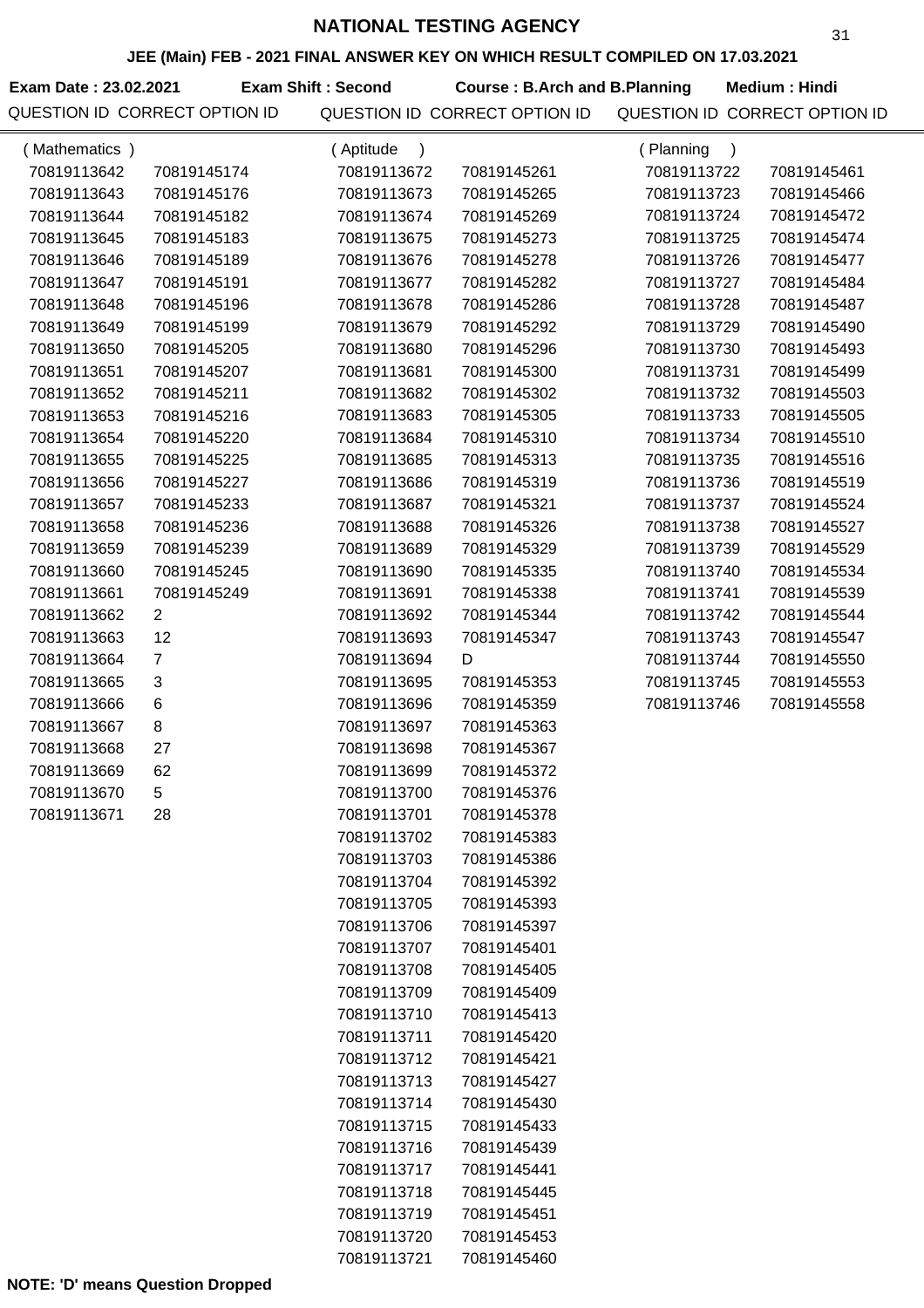**JEE (Main) FEB - 2021 FINAL ANSWER KEY ON WHICH RESULT COMPILED ON 17.03.2021**

**Exam Date : 23.02.2021 Course : B.Arch and B.Planning Medium : Hindi**

**Exam Shift : Second**

| (Mathematics) |                | (Aptitude   |             | (Planning<br>$\mathcal{C}$ |             |
|---------------|----------------|-------------|-------------|----------------------------|-------------|
| 70819113642   | 70819145174    | 70819113672 | 70819145261 | 70819113722                | 70819145461 |
| 70819113643   | 70819145176    | 70819113673 | 70819145265 | 70819113723                | 70819145466 |
| 70819113644   | 70819145182    | 70819113674 | 70819145269 | 70819113724                | 70819145472 |
| 70819113645   | 70819145183    | 70819113675 | 70819145273 | 70819113725                | 70819145474 |
| 70819113646   | 70819145189    | 70819113676 | 70819145278 | 70819113726                | 70819145477 |
| 70819113647   | 70819145191    | 70819113677 | 70819145282 | 70819113727                | 70819145484 |
| 70819113648   | 70819145196    | 70819113678 | 70819145286 | 70819113728                | 70819145487 |
| 70819113649   | 70819145199    | 70819113679 | 70819145292 | 70819113729                | 70819145490 |
| 70819113650   | 70819145205    | 70819113680 | 70819145296 | 70819113730                | 70819145493 |
| 70819113651   | 70819145207    | 70819113681 | 70819145300 | 70819113731                | 70819145499 |
| 70819113652   | 70819145211    | 70819113682 | 70819145302 | 70819113732                | 70819145503 |
| 70819113653   | 70819145216    | 70819113683 | 70819145305 | 70819113733                | 70819145505 |
| 70819113654   | 70819145220    | 70819113684 | 70819145310 | 70819113734                | 70819145510 |
| 70819113655   | 70819145225    | 70819113685 | 70819145313 | 70819113735                | 70819145516 |
| 70819113656   | 70819145227    | 70819113686 | 70819145319 | 70819113736                | 70819145519 |
| 70819113657   | 70819145233    | 70819113687 | 70819145321 | 70819113737                | 70819145524 |
| 70819113658   | 70819145236    | 70819113688 | 70819145326 | 70819113738                | 70819145527 |
| 70819113659   | 70819145239    | 70819113689 | 70819145329 | 70819113739                | 70819145529 |
| 70819113660   | 70819145245    | 70819113690 | 70819145335 | 70819113740                | 70819145534 |
| 70819113661   | 70819145249    | 70819113691 | 70819145338 | 70819113741                | 70819145539 |
| 70819113662   | $\overline{2}$ | 70819113692 | 70819145344 | 70819113742                | 70819145544 |
| 70819113663   | 12             | 70819113693 | 70819145347 | 70819113743                | 70819145547 |
| 70819113664   | $\overline{7}$ | 70819113694 | D           | 70819113744                | 70819145550 |
| 70819113665   | 3              | 70819113695 | 70819145353 | 70819113745                | 70819145553 |
| 70819113666   | $\,6$          | 70819113696 | 70819145359 | 70819113746                | 70819145558 |
| 70819113667   | 8              | 70819113697 | 70819145363 |                            |             |
| 70819113668   | 27             | 70819113698 | 70819145367 |                            |             |
| 70819113669   | 62             | 70819113699 | 70819145372 |                            |             |
| 70819113670   | 5              | 70819113700 | 70819145376 |                            |             |
| 70819113671   | 28             | 70819113701 | 70819145378 |                            |             |
|               |                | 70819113702 | 70819145383 |                            |             |
|               |                | 70819113703 | 70819145386 |                            |             |
|               |                | 70819113704 | 70819145392 |                            |             |
|               |                | 70819113705 | 70819145393 |                            |             |
|               |                | 70819113706 | 70819145397 |                            |             |
|               |                | 70819113707 | 70819145401 |                            |             |
|               |                | 70819113708 | 70819145405 |                            |             |
|               |                | 70819113709 | 70819145409 |                            |             |
|               |                | 70819113710 | 70819145413 |                            |             |
|               |                | 70819113711 | 70819145420 |                            |             |
|               |                | 70819113712 | 70819145421 |                            |             |
|               |                | 70819113713 | 70819145427 |                            |             |
|               |                | 70819113714 | 70819145430 |                            |             |
|               |                | 70819113715 | 70819145433 |                            |             |
|               |                | 70819113716 | 70819145439 |                            |             |
|               |                | 70819113717 | 70819145441 |                            |             |
|               |                | 70819113718 | 70819145445 |                            |             |
|               |                | 70819113719 | 70819145451 |                            |             |
|               |                | 70819113720 | 70819145453 |                            |             |
|               |                | 70819113721 | 70819145460 |                            |             |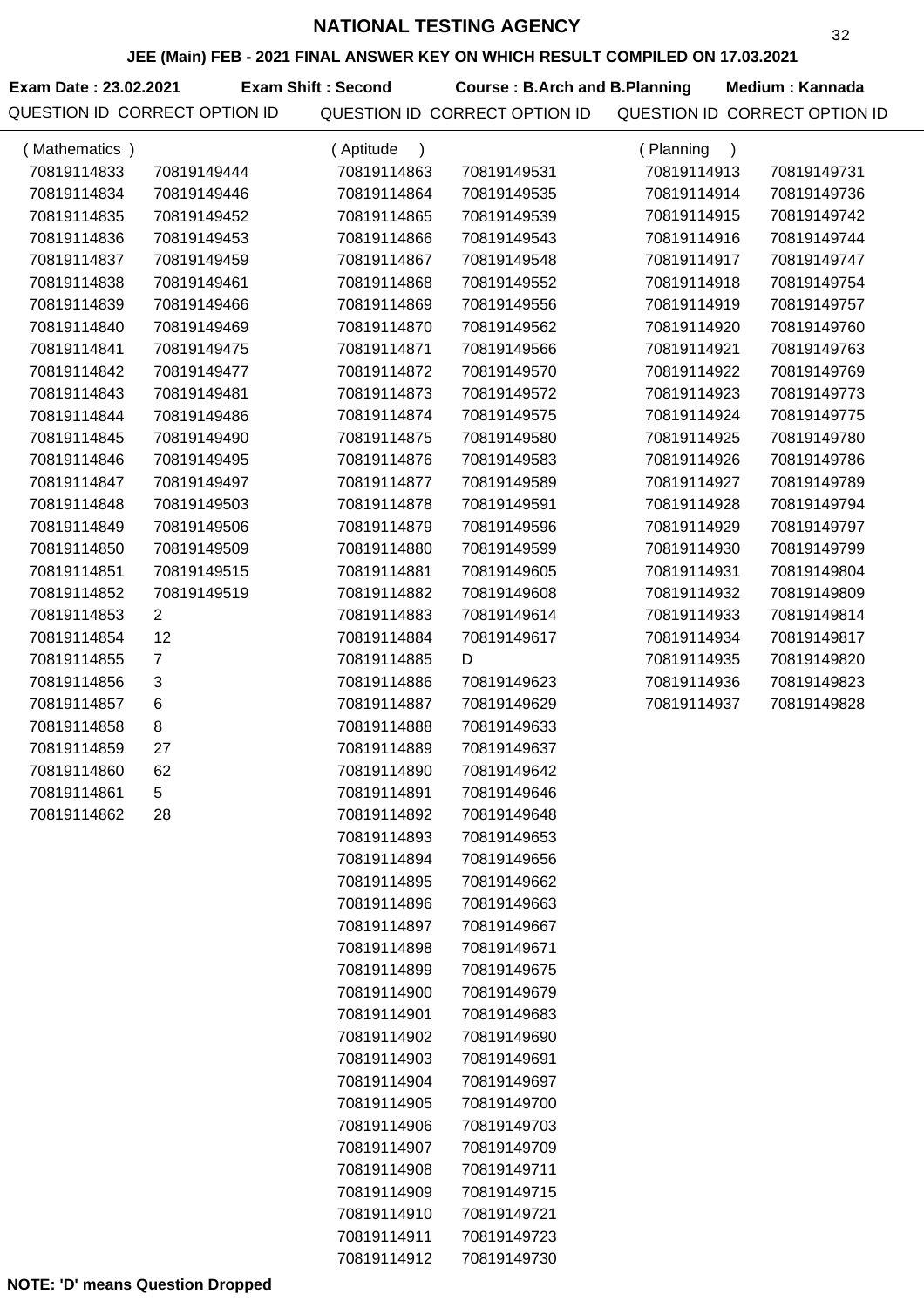**JEE (Main) FEB - 2021 FINAL ANSWER KEY ON WHICH RESULT COMPILED ON 17.03.2021**

**Exam Date : 23.02.2021 Course : B.Arch and B.Planning Medium : Kannada Exam Shift : Second**

| (Mathematics) |                | (Aptitude<br>$\lambda$     |                            | (Planning<br>$\lambda$ |             |
|---------------|----------------|----------------------------|----------------------------|------------------------|-------------|
| 70819114833   | 70819149444    | 70819114863                | 70819149531                | 70819114913            | 70819149731 |
| 70819114834   | 70819149446    | 70819114864                | 70819149535                | 70819114914            | 70819149736 |
| 70819114835   | 70819149452    | 70819114865                | 70819149539                | 70819114915            | 70819149742 |
| 70819114836   | 70819149453    | 70819114866                | 70819149543                | 70819114916            | 70819149744 |
| 70819114837   | 70819149459    | 70819114867                | 70819149548                | 70819114917            | 70819149747 |
| 70819114838   | 70819149461    | 70819114868                | 70819149552                | 70819114918            | 70819149754 |
| 70819114839   | 70819149466    | 70819114869                | 70819149556                | 70819114919            | 70819149757 |
| 70819114840   | 70819149469    | 70819114870                | 70819149562                | 70819114920            | 70819149760 |
| 70819114841   | 70819149475    | 70819114871                | 70819149566                | 70819114921            | 70819149763 |
| 70819114842   | 70819149477    | 70819114872                | 70819149570                | 70819114922            | 70819149769 |
| 70819114843   | 70819149481    | 70819114873                | 70819149572                | 70819114923            | 70819149773 |
| 70819114844   | 70819149486    | 70819114874                | 70819149575                | 70819114924            | 70819149775 |
| 70819114845   | 70819149490    | 70819114875                | 70819149580                | 70819114925            | 70819149780 |
| 70819114846   | 70819149495    | 70819114876                | 70819149583                | 70819114926            | 70819149786 |
| 70819114847   | 70819149497    | 70819114877                | 70819149589                | 70819114927            | 70819149789 |
| 70819114848   | 70819149503    | 70819114878                | 70819149591                | 70819114928            | 70819149794 |
| 70819114849   | 70819149506    | 70819114879                | 70819149596                | 70819114929            | 70819149797 |
| 70819114850   | 70819149509    | 70819114880                | 70819149599                | 70819114930            | 70819149799 |
| 70819114851   | 70819149515    | 70819114881                | 70819149605                | 70819114931            | 70819149804 |
| 70819114852   | 70819149519    | 70819114882                | 70819149608                | 70819114932            | 70819149809 |
| 70819114853   | $\overline{2}$ | 70819114883                | 70819149614                | 70819114933            | 70819149814 |
| 70819114854   | 12             | 70819114884                | 70819149617                | 70819114934            | 70819149817 |
| 70819114855   | $\overline{7}$ | 70819114885                | D                          | 70819114935            | 70819149820 |
| 70819114856   | 3              | 70819114886                | 70819149623                | 70819114936            | 70819149823 |
| 70819114857   | 6              | 70819114887                | 70819149629                | 70819114937            | 70819149828 |
| 70819114858   | 8              | 70819114888                | 70819149633                |                        |             |
| 70819114859   | 27             | 70819114889                | 70819149637                |                        |             |
| 70819114860   | 62             | 70819114890                | 70819149642                |                        |             |
| 70819114861   | 5              | 70819114891                | 70819149646                |                        |             |
| 70819114862   | 28             | 70819114892                | 70819149648                |                        |             |
|               |                | 70819114893                | 70819149653                |                        |             |
|               |                | 70819114894                | 70819149656                |                        |             |
|               |                | 70819114895                | 70819149662                |                        |             |
|               |                | 70819114896                | 70819149663                |                        |             |
|               |                | 70819114897                | 70819149667                |                        |             |
|               |                | 70819114898                | 70819149671                |                        |             |
|               |                | 70819114899                | 70819149675                |                        |             |
|               |                | 70819114900                | 70819149679                |                        |             |
|               |                | 70819114901                | 70819149683                |                        |             |
|               |                | 70819114902                | 70819149690                |                        |             |
|               |                | 70819114903                | 70819149691                |                        |             |
|               |                | 70819114904<br>70819114905 | 70819149697                |                        |             |
|               |                | 70819114906                | 70819149700<br>70819149703 |                        |             |
|               |                | 70819114907                | 70819149709                |                        |             |
|               |                | 70819114908                | 70819149711                |                        |             |
|               |                | 70819114909                | 70819149715                |                        |             |
|               |                | 70819114910                | 70819149721                |                        |             |
|               |                | 70819114911                | 70819149723                |                        |             |
|               |                | 70819114912                | 70819149730                |                        |             |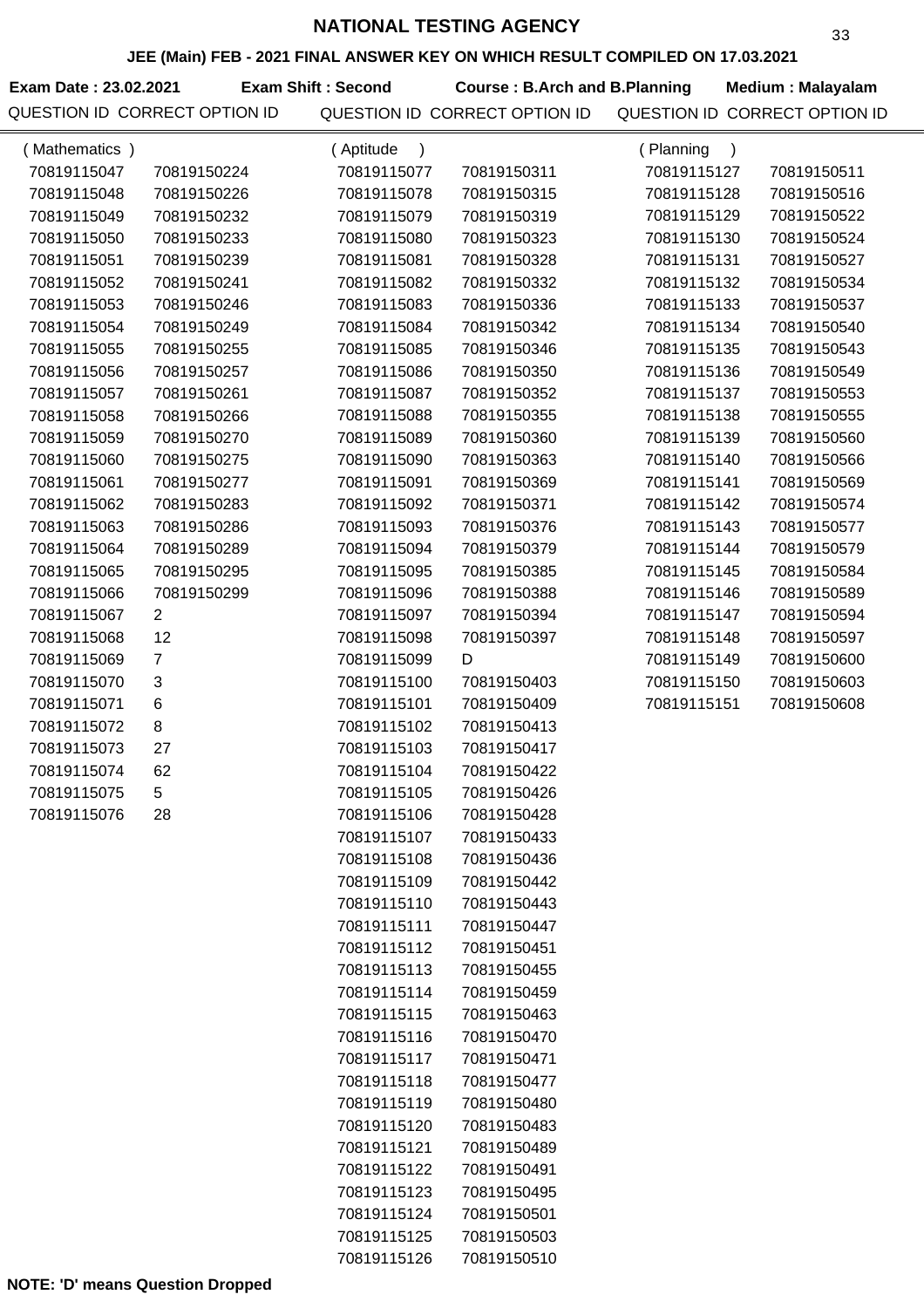**JEE (Main) FEB - 2021 FINAL ANSWER KEY ON WHICH RESULT COMPILED ON 17.03.2021**

**Exam Date : 23.02.2021 Course : B.Arch and B.Planning Medium : Malayalam** QUESTION ID CORRECT OPTION ID QUESTION ID CORRECT OPTION ID QUESTION ID CORRECT OPTION ID **Exam Shift : Second**

| (Mathematics) |                | (Aptitude<br>$\lambda$ |             | (Planning<br>$\lambda$ |             |
|---------------|----------------|------------------------|-------------|------------------------|-------------|
| 70819115047   | 70819150224    | 70819115077            | 70819150311 | 70819115127            | 70819150511 |
| 70819115048   | 70819150226    | 70819115078            | 70819150315 | 70819115128            | 70819150516 |
| 70819115049   | 70819150232    | 70819115079            | 70819150319 | 70819115129            | 70819150522 |
| 70819115050   | 70819150233    | 70819115080            | 70819150323 | 70819115130            | 70819150524 |
| 70819115051   | 70819150239    | 70819115081            | 70819150328 | 70819115131            | 70819150527 |
| 70819115052   | 70819150241    | 70819115082            | 70819150332 | 70819115132            | 70819150534 |
| 70819115053   | 70819150246    | 70819115083            | 70819150336 | 70819115133            | 70819150537 |
| 70819115054   | 70819150249    | 70819115084            | 70819150342 | 70819115134            | 70819150540 |
| 70819115055   | 70819150255    | 70819115085            | 70819150346 | 70819115135            | 70819150543 |
| 70819115056   | 70819150257    | 70819115086            | 70819150350 | 70819115136            | 70819150549 |
| 70819115057   | 70819150261    | 70819115087            | 70819150352 | 70819115137            | 70819150553 |
| 70819115058   | 70819150266    | 70819115088            | 70819150355 | 70819115138            | 70819150555 |
| 70819115059   | 70819150270    | 70819115089            | 70819150360 | 70819115139            | 70819150560 |
| 70819115060   | 70819150275    | 70819115090            | 70819150363 | 70819115140            | 70819150566 |
| 70819115061   | 70819150277    | 70819115091            | 70819150369 | 70819115141            | 70819150569 |
| 70819115062   | 70819150283    | 70819115092            | 70819150371 | 70819115142            | 70819150574 |
| 70819115063   | 70819150286    | 70819115093            | 70819150376 | 70819115143            | 70819150577 |
| 70819115064   | 70819150289    | 70819115094            | 70819150379 | 70819115144            | 70819150579 |
| 70819115065   | 70819150295    | 70819115095            | 70819150385 | 70819115145            | 70819150584 |
| 70819115066   | 70819150299    | 70819115096            | 70819150388 | 70819115146            | 70819150589 |
| 70819115067   | 2              | 70819115097            | 70819150394 | 70819115147            | 70819150594 |
| 70819115068   | 12             | 70819115098            | 70819150397 | 70819115148            | 70819150597 |
| 70819115069   | $\overline{7}$ | 70819115099            | D           | 70819115149            | 70819150600 |
| 70819115070   | $\sqrt{3}$     | 70819115100            | 70819150403 | 70819115150            | 70819150603 |
| 70819115071   | 6              | 70819115101            | 70819150409 | 70819115151            | 70819150608 |
| 70819115072   | 8              | 70819115102            | 70819150413 |                        |             |
| 70819115073   | 27             | 70819115103            | 70819150417 |                        |             |
| 70819115074   | 62             | 70819115104            | 70819150422 |                        |             |
| 70819115075   | 5              | 70819115105            | 70819150426 |                        |             |
| 70819115076   | 28             | 70819115106            | 70819150428 |                        |             |
|               |                | 70819115107            | 70819150433 |                        |             |
|               |                | 70819115108            | 70819150436 |                        |             |
|               |                | 70819115109            | 70819150442 |                        |             |
|               |                | 70819115110            | 70819150443 |                        |             |
|               |                | 70819115111            | 70819150447 |                        |             |
|               |                | 70819115112            | 70819150451 |                        |             |
|               |                | 70819115113            | 70819150455 |                        |             |
|               |                | 70819115114            | 70819150459 |                        |             |
|               |                | 70819115115            | 70819150463 |                        |             |
|               |                | 70819115116            | 70819150470 |                        |             |
|               |                | 70819115117            | 70819150471 |                        |             |
|               |                | 70819115118            | 70819150477 |                        |             |
|               |                | 70819115119            | 70819150480 |                        |             |
|               |                | 70819115120            | 70819150483 |                        |             |
|               |                | 70819115121            | 70819150489 |                        |             |
|               |                | 70819115122            | 70819150491 |                        |             |
|               |                | 70819115123            | 70819150495 |                        |             |
|               |                | 70819115124            | 70819150501 |                        |             |
|               |                | 70819115125            | 70819150503 |                        |             |
|               |                | 70819115126            | 70819150510 |                        |             |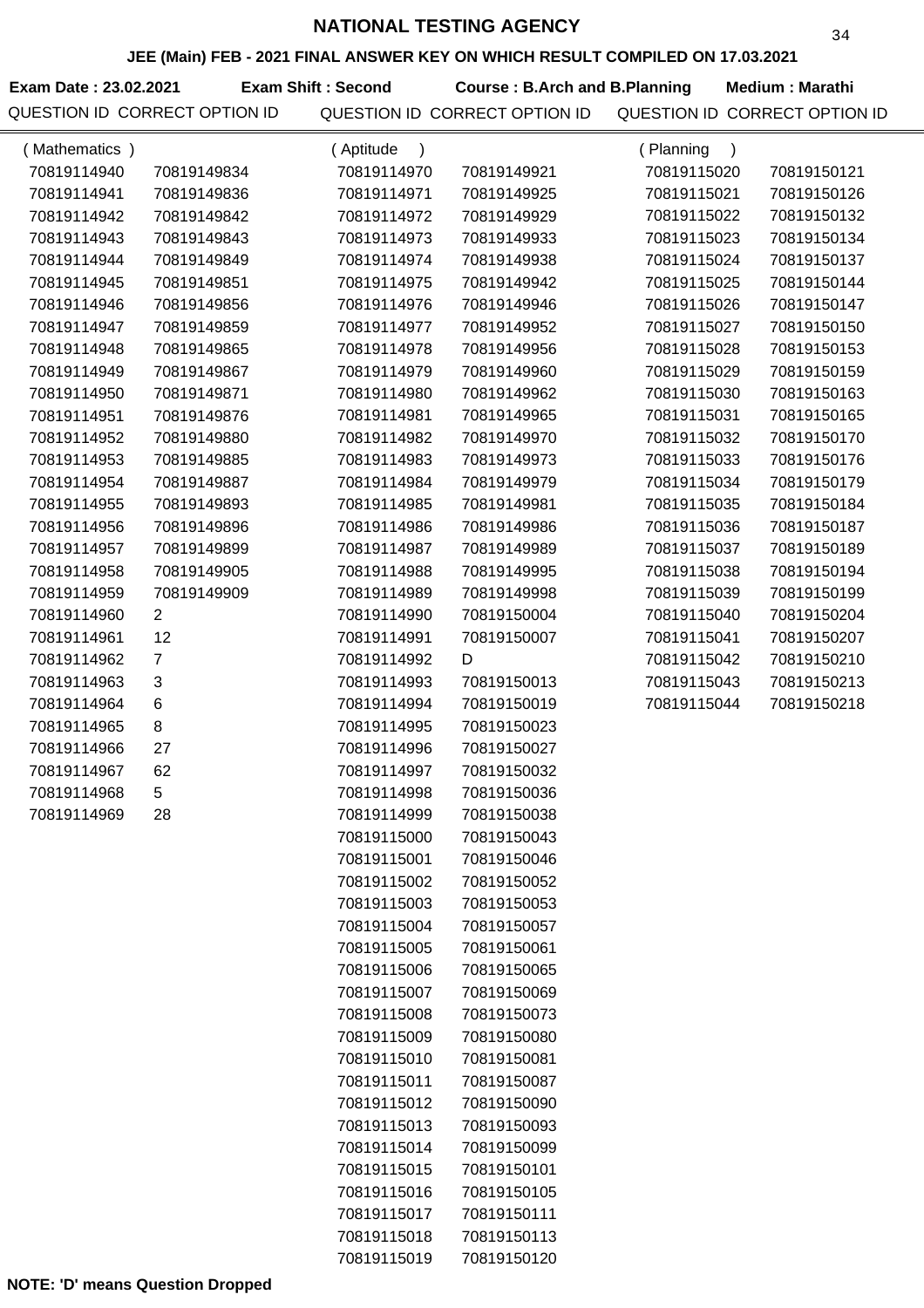**JEE (Main) FEB - 2021 FINAL ANSWER KEY ON WHICH RESULT COMPILED ON 17.03.2021**

**Exam Date : 23.02.2021 Exam Shift : Second Course : B.Arch and B.Planning Medium : Marathi** 

| (Mathematics) |                | (Aptitude<br>$\lambda$ |             | (Planning<br>$\lambda$ |             |
|---------------|----------------|------------------------|-------------|------------------------|-------------|
| 70819114940   | 70819149834    | 70819114970            | 70819149921 | 70819115020            | 70819150121 |
| 70819114941   | 70819149836    | 70819114971            | 70819149925 | 70819115021            | 70819150126 |
| 70819114942   | 70819149842    | 70819114972            | 70819149929 | 70819115022            | 70819150132 |
| 70819114943   | 70819149843    | 70819114973            | 70819149933 | 70819115023            | 70819150134 |
| 70819114944   | 70819149849    | 70819114974            | 70819149938 | 70819115024            | 70819150137 |
| 70819114945   | 70819149851    | 70819114975            | 70819149942 | 70819115025            | 70819150144 |
| 70819114946   | 70819149856    | 70819114976            | 70819149946 | 70819115026            | 70819150147 |
| 70819114947   | 70819149859    | 70819114977            | 70819149952 | 70819115027            | 70819150150 |
| 70819114948   | 70819149865    | 70819114978            | 70819149956 | 70819115028            | 70819150153 |
| 70819114949   | 70819149867    | 70819114979            | 70819149960 | 70819115029            | 70819150159 |
| 70819114950   | 70819149871    | 70819114980            | 70819149962 | 70819115030            | 70819150163 |
| 70819114951   | 70819149876    | 70819114981            | 70819149965 | 70819115031            | 70819150165 |
| 70819114952   | 70819149880    | 70819114982            | 70819149970 | 70819115032            | 70819150170 |
| 70819114953   | 70819149885    | 70819114983            | 70819149973 | 70819115033            | 70819150176 |
| 70819114954   | 70819149887    | 70819114984            | 70819149979 | 70819115034            | 70819150179 |
| 70819114955   | 70819149893    | 70819114985            | 70819149981 | 70819115035            | 70819150184 |
| 70819114956   | 70819149896    | 70819114986            | 70819149986 | 70819115036            | 70819150187 |
| 70819114957   | 70819149899    | 70819114987            | 70819149989 | 70819115037            | 70819150189 |
| 70819114958   | 70819149905    | 70819114988            | 70819149995 | 70819115038            | 70819150194 |
| 70819114959   | 70819149909    | 70819114989            | 70819149998 | 70819115039            | 70819150199 |
| 70819114960   | $\overline{2}$ | 70819114990            | 70819150004 | 70819115040            | 70819150204 |
| 70819114961   | 12             | 70819114991            | 70819150007 | 70819115041            | 70819150207 |
| 70819114962   | $\overline{7}$ | 70819114992            | D           | 70819115042            | 70819150210 |
| 70819114963   | 3              | 70819114993            | 70819150013 | 70819115043            | 70819150213 |
| 70819114964   | 6              | 70819114994            | 70819150019 | 70819115044            | 70819150218 |
| 70819114965   | 8              | 70819114995            | 70819150023 |                        |             |
| 70819114966   | 27             | 70819114996            | 70819150027 |                        |             |
| 70819114967   | 62             | 70819114997            | 70819150032 |                        |             |
| 70819114968   | 5              | 70819114998            | 70819150036 |                        |             |
| 70819114969   | 28             | 70819114999            | 70819150038 |                        |             |
|               |                | 70819115000            | 70819150043 |                        |             |
|               |                | 70819115001            | 70819150046 |                        |             |
|               |                | 70819115002            | 70819150052 |                        |             |
|               |                | 70819115003            | 70819150053 |                        |             |
|               |                | 70819115004            | 70819150057 |                        |             |
|               |                | 70819115005            | 70819150061 |                        |             |
|               |                | 70819115006            | 70819150065 |                        |             |
|               |                | 70819115007            | 70819150069 |                        |             |
|               |                | 70819115008            | 70819150073 |                        |             |
|               |                | 70819115009            | 70819150080 |                        |             |
|               |                | 70819115010            | 70819150081 |                        |             |
|               |                | 70819115011            | 70819150087 |                        |             |
|               |                | 70819115012            | 70819150090 |                        |             |
|               |                | 70819115013            | 70819150093 |                        |             |
|               |                | 70819115014            | 70819150099 |                        |             |
|               |                | 70819115015            | 70819150101 |                        |             |
|               |                | 70819115016            | 70819150105 |                        |             |
|               |                | 70819115017            | 70819150111 |                        |             |
|               |                | 70819115018            | 70819150113 |                        |             |
|               |                | 70819115019            | 70819150120 |                        |             |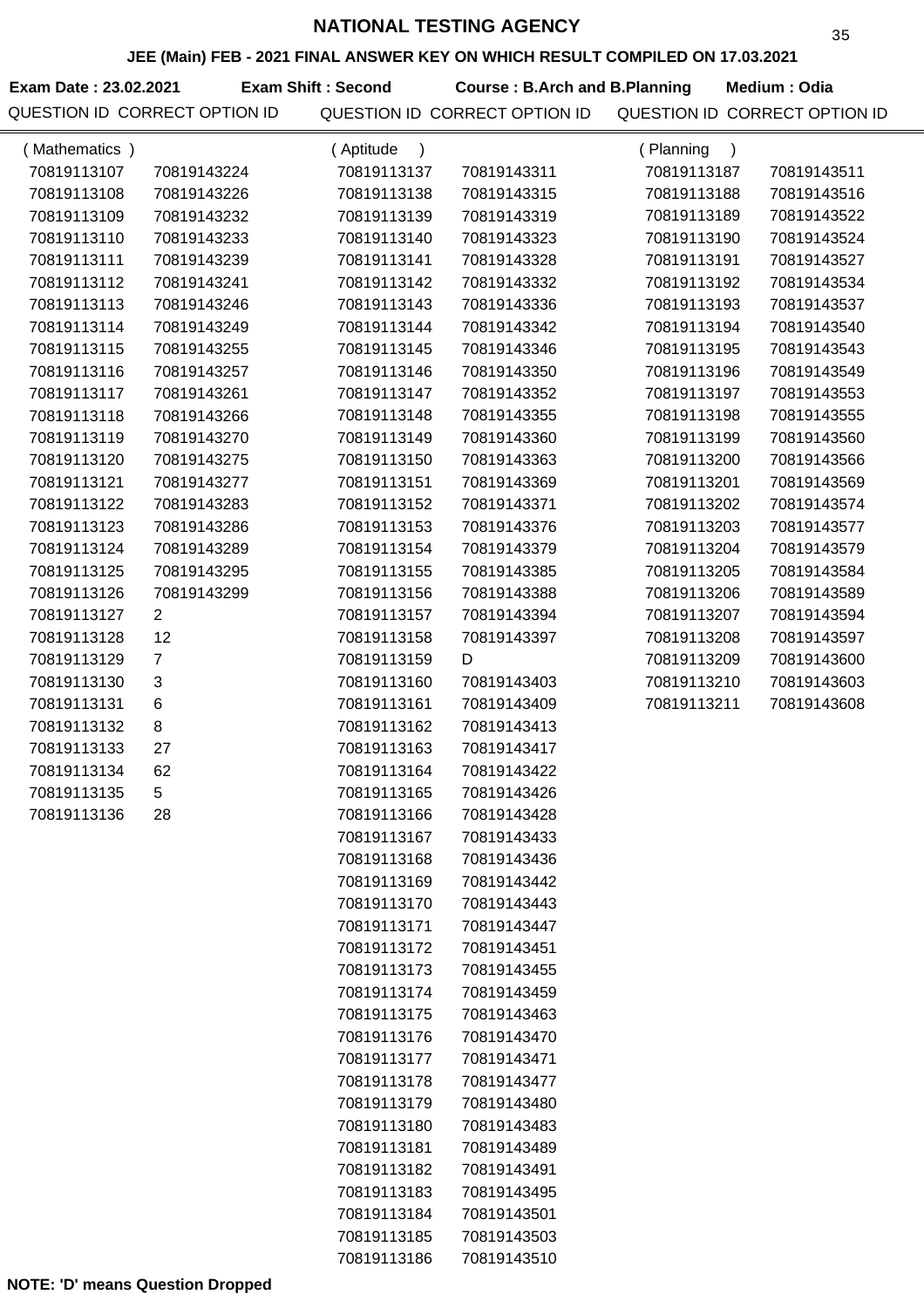**JEE (Main) FEB - 2021 FINAL ANSWER KEY ON WHICH RESULT COMPILED ON 17.03.2021**

Exam Date : 23.02.2021 **Exam Shift : Second Course : B.Arch and B.Planning Medium : Odia** 

| (Mathematics) |                           | (Aptitude<br>$\lambda$ |             | (Planning<br>$\lambda$ |             |
|---------------|---------------------------|------------------------|-------------|------------------------|-------------|
| 70819113107   | 70819143224               | 70819113137            | 70819143311 | 70819113187            | 70819143511 |
| 70819113108   | 70819143226               | 70819113138            | 70819143315 | 70819113188            | 70819143516 |
| 70819113109   | 70819143232               | 70819113139            | 70819143319 | 70819113189            | 70819143522 |
| 70819113110   | 70819143233               | 70819113140            | 70819143323 | 70819113190            | 70819143524 |
| 70819113111   | 70819143239               | 70819113141            | 70819143328 | 70819113191            | 70819143527 |
| 70819113112   | 70819143241               | 70819113142            | 70819143332 | 70819113192            | 70819143534 |
| 70819113113   | 70819143246               | 70819113143            | 70819143336 | 70819113193            | 70819143537 |
| 70819113114   | 70819143249               | 70819113144            | 70819143342 | 70819113194            | 70819143540 |
| 70819113115   | 70819143255               | 70819113145            | 70819143346 | 70819113195            | 70819143543 |
| 70819113116   | 70819143257               | 70819113146            | 70819143350 | 70819113196            | 70819143549 |
| 70819113117   | 70819143261               | 70819113147            | 70819143352 | 70819113197            | 70819143553 |
| 70819113118   | 70819143266               | 70819113148            | 70819143355 | 70819113198            | 70819143555 |
| 70819113119   | 70819143270               | 70819113149            | 70819143360 | 70819113199            | 70819143560 |
| 70819113120   | 70819143275               | 70819113150            | 70819143363 | 70819113200            | 70819143566 |
| 70819113121   | 70819143277               | 70819113151            | 70819143369 | 70819113201            | 70819143569 |
| 70819113122   | 70819143283               | 70819113152            | 70819143371 | 70819113202            | 70819143574 |
| 70819113123   | 70819143286               | 70819113153            | 70819143376 | 70819113203            | 70819143577 |
| 70819113124   | 70819143289               | 70819113154            | 70819143379 | 70819113204            | 70819143579 |
| 70819113125   | 70819143295               | 70819113155            | 70819143385 | 70819113205            | 70819143584 |
| 70819113126   | 70819143299               | 70819113156            | 70819143388 | 70819113206            | 70819143589 |
| 70819113127   | $\overline{2}$            | 70819113157            | 70819143394 | 70819113207            | 70819143594 |
| 70819113128   | 12                        | 70819113158            | 70819143397 | 70819113208            | 70819143597 |
| 70819113129   | $\overline{7}$            | 70819113159            | D           | 70819113209            | 70819143600 |
| 70819113130   | $\ensuremath{\mathsf{3}}$ | 70819113160            | 70819143403 | 70819113210            | 70819143603 |
| 70819113131   | $\,6$                     | 70819113161            | 70819143409 | 70819113211            | 70819143608 |
| 70819113132   | 8                         | 70819113162            | 70819143413 |                        |             |
| 70819113133   | 27                        | 70819113163            | 70819143417 |                        |             |
| 70819113134   | 62                        | 70819113164            | 70819143422 |                        |             |
| 70819113135   | 5                         | 70819113165            | 70819143426 |                        |             |
| 70819113136   | 28                        | 70819113166            | 70819143428 |                        |             |
|               |                           | 70819113167            | 70819143433 |                        |             |
|               |                           | 70819113168            | 70819143436 |                        |             |
|               |                           | 70819113169            | 70819143442 |                        |             |
|               |                           | 70819113170            | 70819143443 |                        |             |
|               |                           | 70819113171            | 70819143447 |                        |             |
|               |                           | 70819113172            | 70819143451 |                        |             |
|               |                           | 70819113173            | 70819143455 |                        |             |
|               |                           | 70819113174            | 70819143459 |                        |             |
|               |                           | 70819113175            | 70819143463 |                        |             |
|               |                           | 70819113176            | 70819143470 |                        |             |
|               |                           | 70819113177            | 70819143471 |                        |             |
|               |                           | 70819113178            | 70819143477 |                        |             |
|               |                           | 70819113179            | 70819143480 |                        |             |
|               |                           | 70819113180            | 70819143483 |                        |             |
|               |                           | 70819113181            | 70819143489 |                        |             |
|               |                           | 70819113182            | 70819143491 |                        |             |
|               |                           | 70819113183            | 70819143495 |                        |             |
|               |                           | 70819113184            | 70819143501 |                        |             |
|               |                           | 70819113185            | 70819143503 |                        |             |
|               |                           | 70819113186            | 70819143510 |                        |             |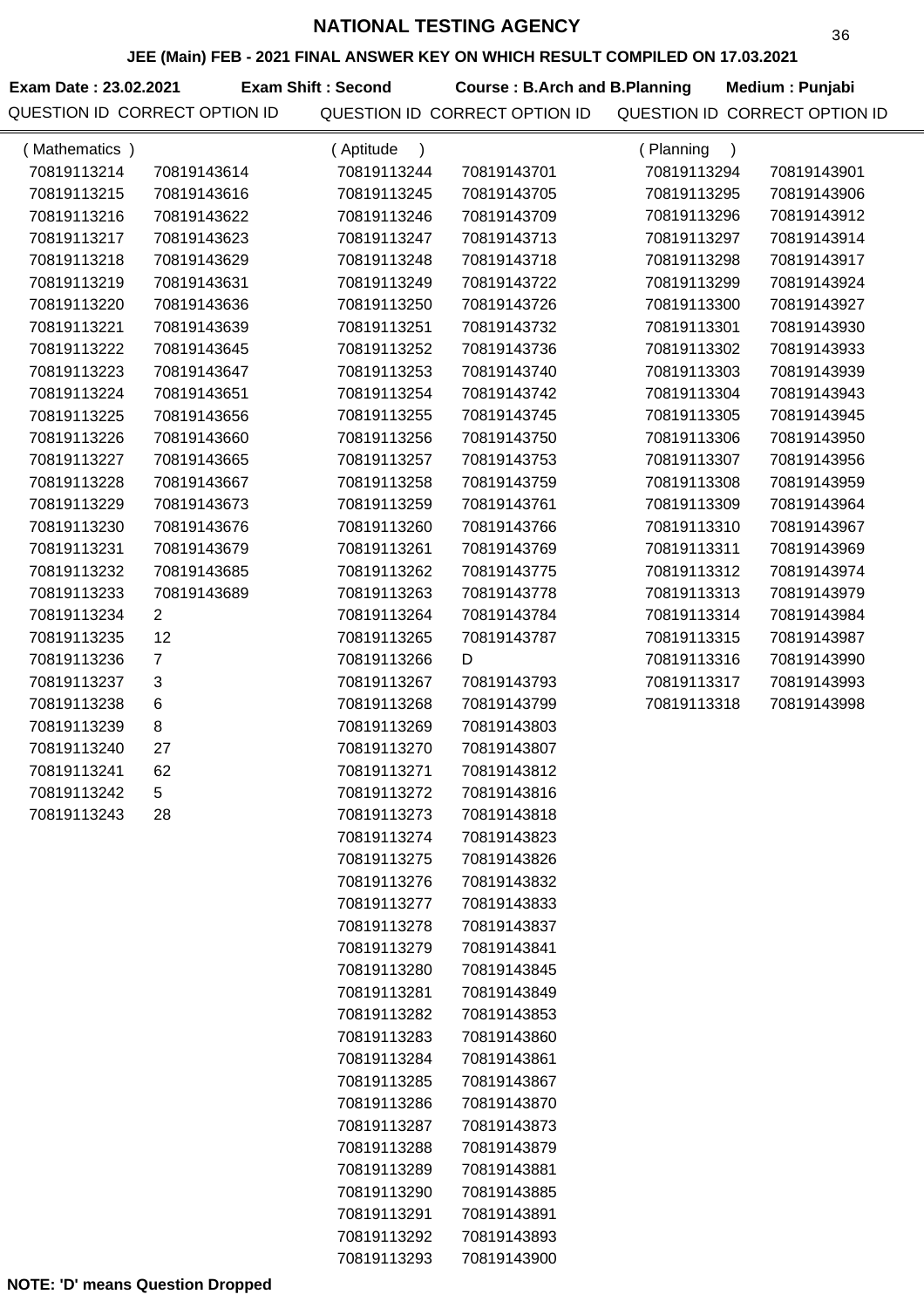**JEE (Main) FEB - 2021 FINAL ANSWER KEY ON WHICH RESULT COMPILED ON 17.03.2021**

**Exam Date : 23.02.2021 Course : B.Arch and B.Planning Medium : Punjabi Exam Shift : Second**

| (Mathematics) |                | (Aptitude<br>$\lambda$ |             | (Planning<br>$\lambda$ |             |
|---------------|----------------|------------------------|-------------|------------------------|-------------|
| 70819113214   | 70819143614    | 70819113244            | 70819143701 | 70819113294            | 70819143901 |
| 70819113215   | 70819143616    | 70819113245            | 70819143705 | 70819113295            | 70819143906 |
| 70819113216   | 70819143622    | 70819113246            | 70819143709 | 70819113296            | 70819143912 |
| 70819113217   | 70819143623    | 70819113247            | 70819143713 | 70819113297            | 70819143914 |
| 70819113218   | 70819143629    | 70819113248            | 70819143718 | 70819113298            | 70819143917 |
| 70819113219   | 70819143631    | 70819113249            | 70819143722 | 70819113299            | 70819143924 |
| 70819113220   | 70819143636    | 70819113250            | 70819143726 | 70819113300            | 70819143927 |
| 70819113221   | 70819143639    | 70819113251            | 70819143732 | 70819113301            | 70819143930 |
| 70819113222   | 70819143645    | 70819113252            | 70819143736 | 70819113302            | 70819143933 |
| 70819113223   | 70819143647    | 70819113253            | 70819143740 | 70819113303            | 70819143939 |
| 70819113224   | 70819143651    | 70819113254            | 70819143742 | 70819113304            | 70819143943 |
| 70819113225   | 70819143656    | 70819113255            | 70819143745 | 70819113305            | 70819143945 |
| 70819113226   | 70819143660    | 70819113256            | 70819143750 | 70819113306            | 70819143950 |
| 70819113227   | 70819143665    | 70819113257            | 70819143753 | 70819113307            | 70819143956 |
| 70819113228   | 70819143667    | 70819113258            | 70819143759 | 70819113308            | 70819143959 |
| 70819113229   | 70819143673    | 70819113259            | 70819143761 | 70819113309            | 70819143964 |
| 70819113230   | 70819143676    | 70819113260            | 70819143766 | 70819113310            | 70819143967 |
| 70819113231   | 70819143679    | 70819113261            | 70819143769 | 70819113311            | 70819143969 |
| 70819113232   | 70819143685    | 70819113262            | 70819143775 | 70819113312            | 70819143974 |
| 70819113233   | 70819143689    | 70819113263            | 70819143778 | 70819113313            | 70819143979 |
| 70819113234   | $\overline{2}$ | 70819113264            | 70819143784 | 70819113314            | 70819143984 |
| 70819113235   | 12             | 70819113265            | 70819143787 | 70819113315            | 70819143987 |
| 70819113236   | $\overline{7}$ | 70819113266            | D           | 70819113316            | 70819143990 |
| 70819113237   | 3              | 70819113267            | 70819143793 | 70819113317            | 70819143993 |
| 70819113238   | 6              | 70819113268            | 70819143799 | 70819113318            | 70819143998 |
| 70819113239   | 8              | 70819113269            | 70819143803 |                        |             |
| 70819113240   | 27             | 70819113270            | 70819143807 |                        |             |
| 70819113241   | 62             | 70819113271            | 70819143812 |                        |             |
| 70819113242   | 5              | 70819113272            | 70819143816 |                        |             |
| 70819113243   | 28             | 70819113273            | 70819143818 |                        |             |
|               |                | 70819113274            | 70819143823 |                        |             |
|               |                | 70819113275            | 70819143826 |                        |             |
|               |                | 70819113276            | 70819143832 |                        |             |
|               |                | 70819113277            | 70819143833 |                        |             |
|               |                | 70819113278            | 70819143837 |                        |             |
|               |                | 70819113279            | 70819143841 |                        |             |
|               |                | 70819113280            | 70819143845 |                        |             |
|               |                | 70819113281            | 70819143849 |                        |             |
|               |                | 70819113282            | 70819143853 |                        |             |
|               |                | 70819113283            | 70819143860 |                        |             |
|               |                | 70819113284            | 70819143861 |                        |             |
|               |                | 70819113285            | 70819143867 |                        |             |
|               |                | 70819113286            | 70819143870 |                        |             |
|               |                | 70819113287            | 70819143873 |                        |             |
|               |                | 70819113288            | 70819143879 |                        |             |
|               |                | 70819113289            | 70819143881 |                        |             |
|               |                | 70819113290            | 70819143885 |                        |             |
|               |                | 70819113291            | 70819143891 |                        |             |
|               |                | 70819113292            | 70819143893 |                        |             |
|               |                | 70819113293            | 70819143900 |                        |             |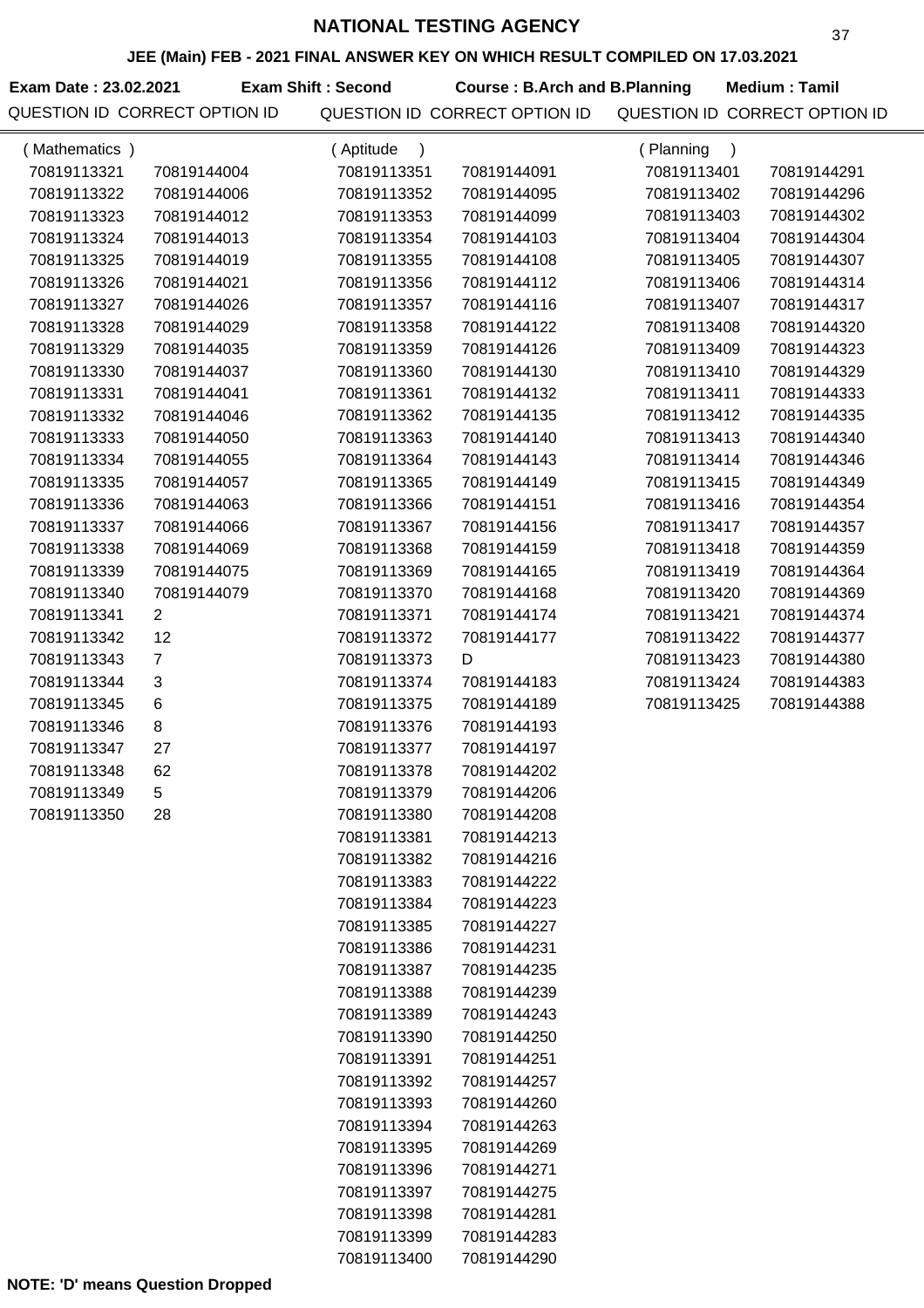**JEE (Main) FEB - 2021 FINAL ANSWER KEY ON WHICH RESULT COMPILED ON 17.03.2021**

**Exam Date : 23.02.2021 Exam Shift : Second Course : B.Arch and B.Planning Medium : Tamil** 

| (Mathematics) |                | (Aptitude<br>$\lambda$ |             | (Planning<br>$\rightarrow$ |             |
|---------------|----------------|------------------------|-------------|----------------------------|-------------|
| 70819113321   | 70819144004    | 70819113351            | 70819144091 | 70819113401                | 70819144291 |
| 70819113322   | 70819144006    | 70819113352            | 70819144095 | 70819113402                | 70819144296 |
| 70819113323   | 70819144012    | 70819113353            | 70819144099 | 70819113403                | 70819144302 |
| 70819113324   | 70819144013    | 70819113354            | 70819144103 | 70819113404                | 70819144304 |
| 70819113325   | 70819144019    | 70819113355            | 70819144108 | 70819113405                | 70819144307 |
| 70819113326   | 70819144021    | 70819113356            | 70819144112 | 70819113406                | 70819144314 |
| 70819113327   | 70819144026    | 70819113357            | 70819144116 | 70819113407                | 70819144317 |
| 70819113328   | 70819144029    | 70819113358            | 70819144122 | 70819113408                | 70819144320 |
| 70819113329   | 70819144035    | 70819113359            | 70819144126 | 70819113409                | 70819144323 |
| 70819113330   | 70819144037    | 70819113360            | 70819144130 | 70819113410                | 70819144329 |
| 70819113331   | 70819144041    | 70819113361            | 70819144132 | 70819113411                | 70819144333 |
| 70819113332   | 70819144046    | 70819113362            | 70819144135 | 70819113412                | 70819144335 |
| 70819113333   | 70819144050    | 70819113363            | 70819144140 | 70819113413                | 70819144340 |
| 70819113334   | 70819144055    | 70819113364            | 70819144143 | 70819113414                | 70819144346 |
| 70819113335   | 70819144057    | 70819113365            | 70819144149 | 70819113415                | 70819144349 |
| 70819113336   | 70819144063    | 70819113366            | 70819144151 | 70819113416                | 70819144354 |
| 70819113337   | 70819144066    | 70819113367            | 70819144156 | 70819113417                | 70819144357 |
| 70819113338   | 70819144069    | 70819113368            | 70819144159 | 70819113418                | 70819144359 |
| 70819113339   | 70819144075    | 70819113369            | 70819144165 | 70819113419                | 70819144364 |
| 70819113340   | 70819144079    | 70819113370            | 70819144168 | 70819113420                | 70819144369 |
| 70819113341   | $\overline{2}$ | 70819113371            | 70819144174 | 70819113421                | 70819144374 |
| 70819113342   | 12             | 70819113372            | 70819144177 | 70819113422                | 70819144377 |
| 70819113343   | $\overline{7}$ | 70819113373            | D           | 70819113423                | 70819144380 |
| 70819113344   | 3              | 70819113374            | 70819144183 | 70819113424                | 70819144383 |
| 70819113345   | $\,6$          | 70819113375            | 70819144189 | 70819113425                | 70819144388 |
| 70819113346   | 8              | 70819113376            | 70819144193 |                            |             |
| 70819113347   | 27             | 70819113377            | 70819144197 |                            |             |
| 70819113348   | 62             | 70819113378            | 70819144202 |                            |             |
| 70819113349   | 5              | 70819113379            | 70819144206 |                            |             |
| 70819113350   | 28             | 70819113380            | 70819144208 |                            |             |
|               |                | 70819113381            | 70819144213 |                            |             |
|               |                | 70819113382            | 70819144216 |                            |             |
|               |                | 70819113383            | 70819144222 |                            |             |
|               |                | 70819113384            | 70819144223 |                            |             |
|               |                | 70819113385            | 70819144227 |                            |             |
|               |                | 70819113386            | 70819144231 |                            |             |
|               |                | 70819113387            | 70819144235 |                            |             |
|               |                | 70819113388            | 70819144239 |                            |             |
|               |                | 70819113389            | 70819144243 |                            |             |
|               |                | 70819113390            | 70819144250 |                            |             |
|               |                | 70819113391            | 70819144251 |                            |             |
|               |                | 70819113392            | 70819144257 |                            |             |
|               |                | 70819113393            | 70819144260 |                            |             |
|               |                | 70819113394            | 70819144263 |                            |             |
|               |                | 70819113395            | 70819144269 |                            |             |
|               |                | 70819113396            | 70819144271 |                            |             |
|               |                | 70819113397            | 70819144275 |                            |             |
|               |                | 70819113398            | 70819144281 |                            |             |
|               |                | 70819113399            | 70819144283 |                            |             |
|               |                | 70819113400            | 70819144290 |                            |             |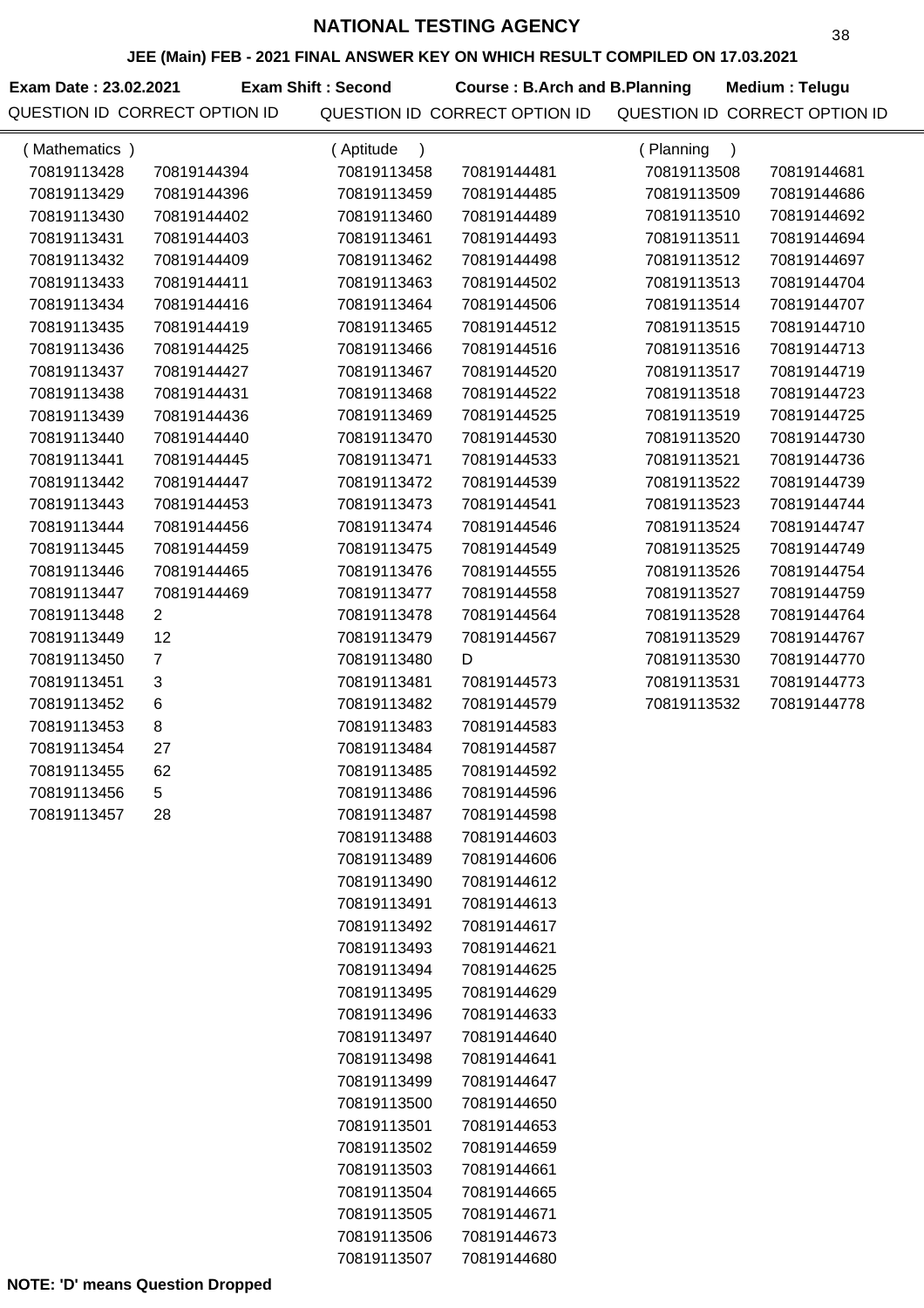**JEE (Main) FEB - 2021 FINAL ANSWER KEY ON WHICH RESULT COMPILED ON 17.03.2021**

**Exam Date : 23.02.2021 Course : B.Arch and B.Planning Medium : Telugu** QUESTION ID CORRECT OPTION ID QUESTION ID CORRECT OPTION ID QUESTION ID CORRECT OPTION ID **Exam Shift : Second**

| (Mathematics) |                | (Aptitude                |             | (Planning                |             |
|---------------|----------------|--------------------------|-------------|--------------------------|-------------|
| 70819113428   | 70819144394    | $\lambda$<br>70819113458 | 70819144481 | $\lambda$<br>70819113508 | 70819144681 |
| 70819113429   | 70819144396    | 70819113459              | 70819144485 | 70819113509              | 70819144686 |
| 70819113430   | 70819144402    | 70819113460              | 70819144489 | 70819113510              | 70819144692 |
| 70819113431   | 70819144403    | 70819113461              | 70819144493 | 70819113511              | 70819144694 |
| 70819113432   | 70819144409    | 70819113462              | 70819144498 | 70819113512              | 70819144697 |
| 70819113433   | 70819144411    | 70819113463              | 70819144502 | 70819113513              | 70819144704 |
| 70819113434   | 70819144416    | 70819113464              | 70819144506 | 70819113514              | 70819144707 |
| 70819113435   | 70819144419    | 70819113465              | 70819144512 | 70819113515              | 70819144710 |
| 70819113436   | 70819144425    | 70819113466              | 70819144516 | 70819113516              | 70819144713 |
| 70819113437   | 70819144427    | 70819113467              | 70819144520 | 70819113517              | 70819144719 |
| 70819113438   | 70819144431    | 70819113468              | 70819144522 | 70819113518              | 70819144723 |
| 70819113439   | 70819144436    | 70819113469              | 70819144525 | 70819113519              | 70819144725 |
| 70819113440   | 70819144440    | 70819113470              | 70819144530 | 70819113520              | 70819144730 |
| 70819113441   | 70819144445    | 70819113471              | 70819144533 | 70819113521              | 70819144736 |
| 70819113442   | 70819144447    | 70819113472              | 70819144539 | 70819113522              | 70819144739 |
| 70819113443   | 70819144453    | 70819113473              | 70819144541 | 70819113523              | 70819144744 |
| 70819113444   | 70819144456    | 70819113474              | 70819144546 | 70819113524              | 70819144747 |
| 70819113445   | 70819144459    | 70819113475              | 70819144549 | 70819113525              | 70819144749 |
| 70819113446   | 70819144465    | 70819113476              | 70819144555 | 70819113526              | 70819144754 |
| 70819113447   | 70819144469    | 70819113477              | 70819144558 | 70819113527              | 70819144759 |
| 70819113448   | $\overline{2}$ | 70819113478              | 70819144564 | 70819113528              | 70819144764 |
| 70819113449   | 12             | 70819113479              | 70819144567 | 70819113529              | 70819144767 |
| 70819113450   | $\overline{7}$ | 70819113480              | D           | 70819113530              | 70819144770 |
| 70819113451   | 3              | 70819113481              | 70819144573 | 70819113531              | 70819144773 |
| 70819113452   | 6              | 70819113482              | 70819144579 | 70819113532              | 70819144778 |
| 70819113453   | 8              | 70819113483              | 70819144583 |                          |             |
| 70819113454   | 27             | 70819113484              | 70819144587 |                          |             |
| 70819113455   | 62             | 70819113485              | 70819144592 |                          |             |
| 70819113456   | 5              | 70819113486              | 70819144596 |                          |             |
| 70819113457   | 28             | 70819113487              | 70819144598 |                          |             |
|               |                | 70819113488              | 70819144603 |                          |             |
|               |                | 70819113489              | 70819144606 |                          |             |
|               |                | 70819113490              | 70819144612 |                          |             |
|               |                | 70819113491              | 70819144613 |                          |             |
|               |                | 70819113492              | 70819144617 |                          |             |
|               |                | 70819113493              | 70819144621 |                          |             |
|               |                | 70819113494              | 70819144625 |                          |             |
|               |                | 70819113495              | 70819144629 |                          |             |
|               |                | 70819113496              | 70819144633 |                          |             |
|               |                | 70819113497              | 70819144640 |                          |             |
|               |                | 70819113498              | 70819144641 |                          |             |
|               |                | 70819113499              | 70819144647 |                          |             |
|               |                | 70819113500              | 70819144650 |                          |             |
|               |                | 70819113501              | 70819144653 |                          |             |
|               |                | 70819113502              | 70819144659 |                          |             |
|               |                | 70819113503              | 70819144661 |                          |             |
|               |                | 70819113504              | 70819144665 |                          |             |
|               |                | 70819113505              | 70819144671 |                          |             |
|               |                | 70819113506              | 70819144673 |                          |             |
|               |                | 70819113507              | 70819144680 |                          |             |